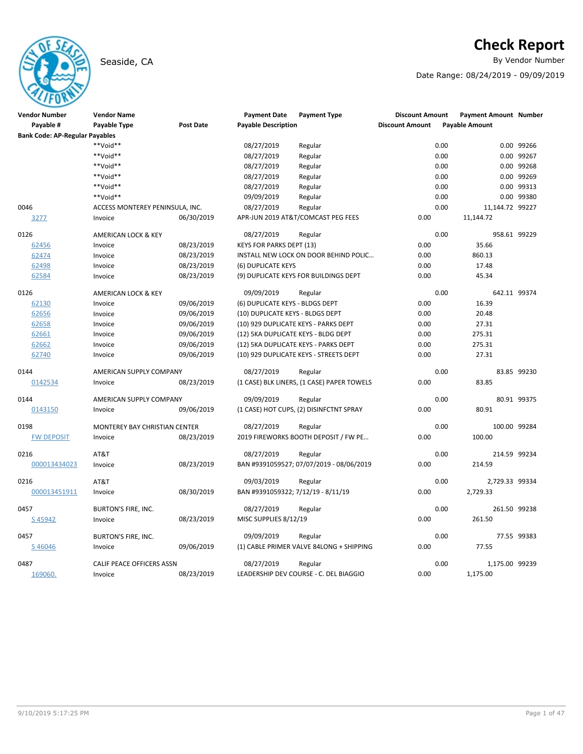## Seaside, CA By Vendor Number and Seaside, CA By Vendor Number and Seaside, CA By Vendor Number and Seaside and S

# **Check Report**

Date Range: 08/24/2019 - 09/09/2019

| <b>Vendor Number</b>                  | <b>Vendor Name</b>              |                  | <b>Payment Date</b>                 | <b>Payment Type</b>                        | <b>Discount Amount</b> |      | <b>Payment Amount Number</b> |             |
|---------------------------------------|---------------------------------|------------------|-------------------------------------|--------------------------------------------|------------------------|------|------------------------------|-------------|
| Payable #                             | Payable Type                    | <b>Post Date</b> | <b>Payable Description</b>          |                                            | <b>Discount Amount</b> |      | <b>Payable Amount</b>        |             |
| <b>Bank Code: AP-Regular Payables</b> |                                 |                  |                                     |                                            |                        |      |                              |             |
|                                       | **Void**                        |                  | 08/27/2019                          | Regular                                    |                        | 0.00 |                              | 0.00 99266  |
|                                       | **Void**                        |                  | 08/27/2019                          | Regular                                    |                        | 0.00 |                              | 0.00 99267  |
|                                       | **Void**                        |                  | 08/27/2019                          | Regular                                    |                        | 0.00 |                              | 0.00 99268  |
|                                       | **Void**                        |                  | 08/27/2019                          | Regular                                    |                        | 0.00 |                              | 0.00 99269  |
|                                       | **Void**                        |                  | 08/27/2019                          | Regular                                    |                        | 0.00 |                              | 0.00 99313  |
|                                       | **Void**                        |                  | 09/09/2019                          | Regular                                    |                        | 0.00 |                              | 0.00 99380  |
| 0046                                  | ACCESS MONTEREY PENINSULA, INC. |                  | 08/27/2019                          | Regular                                    |                        | 0.00 | 11,144.72 99227              |             |
| 3277                                  | Invoice                         | 06/30/2019       |                                     | APR-JUN 2019 AT&T/COMCAST PEG FEES         | 0.00                   |      | 11,144.72                    |             |
| 0126                                  | AMERICAN LOCK & KEY             |                  | 08/27/2019                          | Regular                                    |                        | 0.00 | 958.61 99229                 |             |
| 62456                                 | Invoice                         | 08/23/2019       | <b>KEYS FOR PARKS DEPT (13)</b>     |                                            | 0.00                   |      | 35.66                        |             |
| 62474                                 | Invoice                         | 08/23/2019       |                                     | INSTALL NEW LOCK ON DOOR BEHIND POLIC      | 0.00                   |      | 860.13                       |             |
| 62498                                 | Invoice                         | 08/23/2019       | (6) DUPLICATE KEYS                  |                                            | 0.00                   |      | 17.48                        |             |
| 62584                                 | Invoice                         | 08/23/2019       |                                     | (9) DUPLICATE KEYS FOR BUILDINGS DEPT      | 0.00                   |      | 45.34                        |             |
| 0126                                  | AMERICAN LOCK & KEY             |                  | 09/09/2019                          | Regular                                    |                        | 0.00 | 642.11 99374                 |             |
| 62130                                 | Invoice                         | 09/06/2019       | (6) DUPLICATE KEYS - BLDGS DEPT     |                                            | 0.00                   |      | 16.39                        |             |
| 62656                                 | Invoice                         | 09/06/2019       | (10) DUPLICATE KEYS - BLDGS DEPT    |                                            | 0.00                   |      | 20.48                        |             |
| 62658                                 | Invoice                         | 09/06/2019       |                                     | (10) 929 DUPLICATE KEYS - PARKS DEPT       | 0.00                   |      | 27.31                        |             |
| 62661                                 | Invoice                         | 09/06/2019       | (12) 5KA DUPLICATE KEYS - BLDG DEPT |                                            | 0.00                   |      | 275.31                       |             |
| 62662                                 | Invoice                         | 09/06/2019       |                                     | (12) 5KA DUPLICATE KEYS - PARKS DEPT       | 0.00                   |      | 275.31                       |             |
| 62740                                 | Invoice                         | 09/06/2019       |                                     | (10) 929 DUPLICATE KEYS - STREETS DEPT     | 0.00                   |      | 27.31                        |             |
| 0144                                  | AMERICAN SUPPLY COMPANY         |                  | 08/27/2019                          | Regular                                    |                        | 0.00 |                              | 83.85 99230 |
| 0142534                               | Invoice                         | 08/23/2019       |                                     | (1 CASE) BLK LINERS, (1 CASE) PAPER TOWELS | 0.00                   |      | 83.85                        |             |
| 0144                                  | AMERICAN SUPPLY COMPANY         |                  | 09/09/2019                          | Regular                                    |                        | 0.00 |                              | 80.91 99375 |
| 0143150                               | Invoice                         | 09/06/2019       |                                     | (1 CASE) HOT CUPS, (2) DISINFCTNT SPRAY    | 0.00                   |      | 80.91                        |             |
| 0198                                  | MONTEREY BAY CHRISTIAN CENTER   |                  | 08/27/2019                          | Regular                                    |                        | 0.00 | 100.00 99284                 |             |
| <b>FW DEPOSIT</b>                     | Invoice                         | 08/23/2019       |                                     | 2019 FIREWORKS BOOTH DEPOSIT / FW PE       | 0.00                   |      | 100.00                       |             |
| 0216                                  | AT&T                            |                  | 08/27/2019                          | Regular                                    |                        | 0.00 | 214.59 99234                 |             |
| 000013434023                          | Invoice                         | 08/23/2019       |                                     | BAN #9391059527; 07/07/2019 - 08/06/2019   | 0.00                   |      | 214.59                       |             |
| 0216                                  | AT&T                            |                  | 09/03/2019                          | Regular                                    |                        | 0.00 | 2,729.33 99334               |             |
| 000013451911                          | Invoice                         | 08/30/2019       | BAN #9391059322; 7/12/19 - 8/11/19  |                                            | 0.00                   |      | 2,729.33                     |             |
| 0457                                  | <b>BURTON'S FIRE, INC.</b>      |                  | 08/27/2019                          | Regular                                    |                        | 0.00 | 261.50 99238                 |             |
| S45942                                | Invoice                         | 08/23/2019       | MISC SUPPLIES 8/12/19               |                                            | 0.00                   |      | 261.50                       |             |
| 0457                                  | <b>BURTON'S FIRE, INC.</b>      |                  | 09/09/2019                          | Regular                                    |                        | 0.00 |                              | 77.55 99383 |
| S 46046                               | Invoice                         | 09/06/2019       |                                     | (1) CABLE PRIMER VALVE 84LONG + SHIPPING   | 0.00                   |      | 77.55                        |             |
| 0487                                  | CALIF PEACE OFFICERS ASSN       |                  | 08/27/2019                          | Regular                                    |                        | 0.00 | 1,175.00 99239               |             |
| 169060.                               | Invoice                         | 08/23/2019       |                                     | LEADERSHIP DEV COURSE - C. DEL BIAGGIO     | 0.00                   |      | 1,175.00                     |             |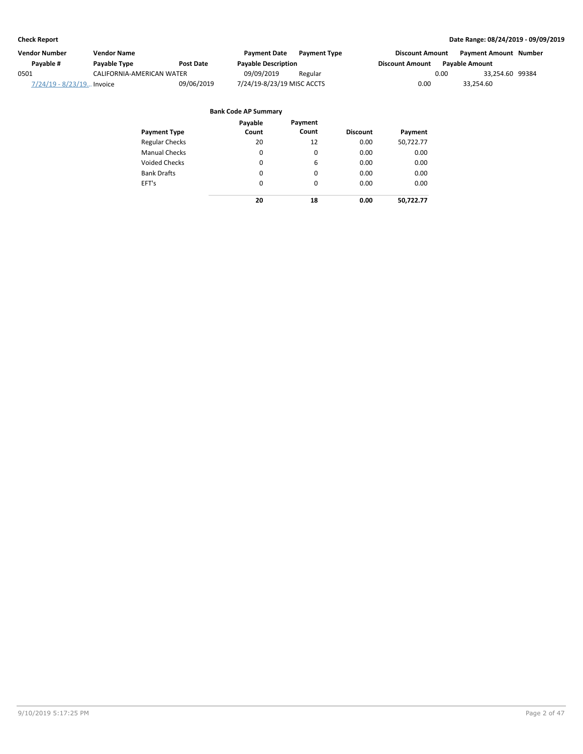| Vendor Number             | Vendor Name               |                  | <b>Payment Date</b>        | <b>Payment Type</b> | <b>Discount Amount</b> |                       | <b>Payment Amount Number</b> |  |
|---------------------------|---------------------------|------------------|----------------------------|---------------------|------------------------|-----------------------|------------------------------|--|
| Pavable #                 | Payable Type              | <b>Post Date</b> | <b>Payable Description</b> |                     | <b>Discount Amount</b> | <b>Pavable Amount</b> |                              |  |
| 0501                      | CALIFORNIA-AMERICAN WATER |                  | 09/09/2019                 | Regular             |                        | 0.00                  | 33,254.60 99384              |  |
| 7/24/19 - 8/23/19 Invoice |                           | 09/06/2019       | 7/24/19-8/23/19 MISC ACCTS |                     | 0.00                   |                       | 33.254.60                    |  |

| <b>Payment Type</b>   | Payable<br>Count | Payment<br>Count | <b>Discount</b> | Payment   |
|-----------------------|------------------|------------------|-----------------|-----------|
| <b>Regular Checks</b> | 20               | 12               | 0.00            | 50,722.77 |
| <b>Manual Checks</b>  | 0                | 0                | 0.00            | 0.00      |
| <b>Voided Checks</b>  | 0                | 6                | 0.00            | 0.00      |
| <b>Bank Drafts</b>    | 0                | 0                | 0.00            | 0.00      |
| EFT's                 | $\Omega$         | $\Omega$         | 0.00            | 0.00      |
|                       | 20               | 18               | 0.00            | 50,722.77 |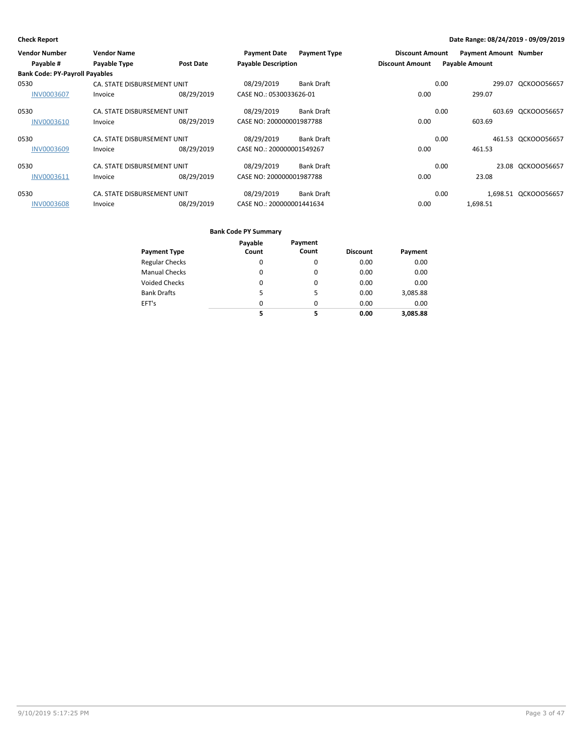| <b>Vendor Number</b>                  | <b>Vendor Name</b>          |            | <b>Payment Date</b>        | <b>Payment Type</b> | <b>Discount Amount</b> | <b>Payment Amount Number</b> |                      |
|---------------------------------------|-----------------------------|------------|----------------------------|---------------------|------------------------|------------------------------|----------------------|
| Payable #                             | <b>Payable Type</b>         | Post Date  | <b>Payable Description</b> |                     | <b>Discount Amount</b> | <b>Payable Amount</b>        |                      |
| <b>Bank Code: PY-Payroll Payables</b> |                             |            |                            |                     |                        |                              |                      |
| 0530                                  | CA. STATE DISBURSEMENT UNIT |            | 08/29/2019                 | Bank Draft          |                        | 0.00                         | 299.07 QCKOOO56657   |
| <b>INV0003607</b>                     | Invoice                     | 08/29/2019 | CASE NO.: 0530033626-01    |                     | 0.00                   | 299.07                       |                      |
| 0530                                  | CA. STATE DISBURSEMENT UNIT |            | 08/29/2019                 | Bank Draft          |                        | 0.00                         | 603.69 QCKOOO56657   |
| <b>INV0003610</b>                     | Invoice                     | 08/29/2019 | CASE NO: 200000001987788   |                     | 0.00                   | 603.69                       |                      |
| 0530                                  | CA. STATE DISBURSEMENT UNIT |            | 08/29/2019                 | Bank Draft          |                        | 0.00                         | 461.53 QCKOOO56657   |
| <b>INV0003609</b>                     | Invoice                     | 08/29/2019 | CASE NO.: 200000001549267  |                     | 0.00                   | 461.53                       |                      |
| 0530                                  | CA. STATE DISBURSEMENT UNIT |            | 08/29/2019                 | Bank Draft          |                        | 0.00                         | 23.08 QCKOOO56657    |
| INV0003611                            | Invoice                     | 08/29/2019 | CASE NO: 200000001987788   |                     | 0.00                   | 23.08                        |                      |
| 0530                                  | CA. STATE DISBURSEMENT UNIT |            | 08/29/2019                 | Bank Draft          |                        | 0.00                         | 1,698.51 QCKOOO56657 |
| <b>INV0003608</b>                     | Invoice                     | 08/29/2019 | CASE NO.: 200000001441634  |                     | 0.00                   | 1,698.51                     |                      |

|                       | Payable  | Payment  |                 |          |
|-----------------------|----------|----------|-----------------|----------|
| <b>Payment Type</b>   | Count    | Count    | <b>Discount</b> | Payment  |
| <b>Regular Checks</b> | 0        | 0        | 0.00            | 0.00     |
| <b>Manual Checks</b>  | 0        | $\Omega$ | 0.00            | 0.00     |
| <b>Voided Checks</b>  | 0        | 0        | 0.00            | 0.00     |
| <b>Bank Drafts</b>    | 5        | 5        | 0.00            | 3,085.88 |
| EFT's                 | $\Omega$ | $\Omega$ | 0.00            | 0.00     |
|                       | 5        | 5        | 0.00            | 3.085.88 |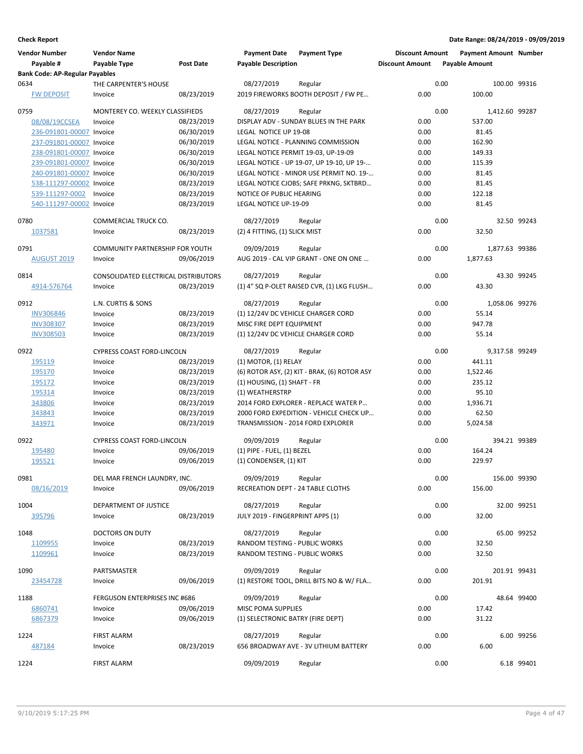| <b>Vendor Number</b>                        | <b>Vendor Name</b>                     |                          | <b>Payment Date</b>                               | <b>Payment Type</b>                                                             | <b>Discount Amount</b> |      | <b>Payment Amount Number</b> |             |
|---------------------------------------------|----------------------------------------|--------------------------|---------------------------------------------------|---------------------------------------------------------------------------------|------------------------|------|------------------------------|-------------|
| Payable #                                   | Payable Type                           | <b>Post Date</b>         | <b>Payable Description</b>                        |                                                                                 | <b>Discount Amount</b> |      | <b>Payable Amount</b>        |             |
| <b>Bank Code: AP-Regular Payables</b>       |                                        |                          |                                                   |                                                                                 |                        |      |                              |             |
| 0634                                        | THE CARPENTER'S HOUSE                  |                          | 08/27/2019                                        | Regular                                                                         | 0.00                   | 0.00 | 100.00 99316<br>100.00       |             |
| <b>FW DEPOSIT</b>                           | Invoice                                | 08/23/2019               |                                                   | 2019 FIREWORKS BOOTH DEPOSIT / FW PE                                            |                        |      |                              |             |
| 0759                                        | MONTEREY CO. WEEKLY CLASSIFIEDS        |                          | 08/27/2019                                        | Regular                                                                         |                        | 0.00 | 1,412.60 99287               |             |
| 08/08/19CCSEA                               | Invoice                                | 08/23/2019               |                                                   | DISPLAY ADV - SUNDAY BLUES IN THE PARK                                          | 0.00                   |      | 537.00                       |             |
| 236-091801-00007 Invoice                    |                                        | 06/30/2019               | LEGAL NOTICE UP 19-08                             |                                                                                 | 0.00                   |      | 81.45                        |             |
| 237-091801-00007 Invoice                    |                                        | 06/30/2019               |                                                   | LEGAL NOTICE - PLANNING COMMISSION                                              | 0.00                   |      | 162.90                       |             |
| 238-091801-00007 Invoice                    |                                        | 06/30/2019               |                                                   | LEGAL NOTICE PERMIT 19-03, UP-19-09                                             | 0.00                   |      | 149.33                       |             |
| 239-091801-00007 Invoice                    |                                        | 06/30/2019               |                                                   | LEGAL NOTICE - UP 19-07, UP 19-10, UP 19-                                       | 0.00                   |      | 115.39                       |             |
| 240-091801-00007 Invoice                    |                                        | 06/30/2019               |                                                   | LEGAL NOTICE - MINOR USE PERMIT NO. 19-                                         | 0.00                   |      | 81.45                        |             |
| 538-111297-00002 Invoice                    |                                        | 08/23/2019               |                                                   | LEGAL NOTICE CJOBS; SAFE PRKNG, SKTBRD                                          | 0.00<br>0.00           |      | 81.45                        |             |
| 539-111297-0002<br>540-111297-00002 Invoice | Invoice                                | 08/23/2019<br>08/23/2019 | NOTICE OF PUBLIC HEARING<br>LEGAL NOTICE UP-19-09 |                                                                                 | 0.00                   |      | 122.18<br>81.45              |             |
|                                             |                                        |                          |                                                   |                                                                                 |                        |      |                              |             |
| 0780                                        | COMMERCIAL TRUCK CO.                   |                          | 08/27/2019                                        | Regular                                                                         |                        | 0.00 |                              | 32.50 99243 |
| 1037581                                     | Invoice                                | 08/23/2019               | (2) 4 FITTING, (1) SLICK MIST                     |                                                                                 | 0.00                   |      | 32.50                        |             |
| 0791                                        | <b>COMMUNITY PARTNERSHIP FOR YOUTH</b> |                          |                                                   |                                                                                 |                        | 0.00 |                              |             |
| <b>AUGUST 2019</b>                          | Invoice                                | 09/06/2019               | 09/09/2019                                        | Regular<br>AUG 2019 - CAL VIP GRANT - ONE ON ONE                                | 0.00                   |      | 1,877.63 99386<br>1,877.63   |             |
|                                             |                                        |                          |                                                   |                                                                                 |                        |      |                              |             |
| 0814                                        | CONSOLIDATED ELECTRICAL DISTRIBUTORS   |                          | 08/27/2019                                        | Regular                                                                         |                        | 0.00 |                              | 43.30 99245 |
| 4914-576764                                 | Invoice                                | 08/23/2019               |                                                   | (1) 4" SQ P-OLET RAISED CVR, (1) LKG FLUSH                                      | 0.00                   |      | 43.30                        |             |
| 0912                                        | L.N. CURTIS & SONS                     |                          | 08/27/2019                                        |                                                                                 |                        | 0.00 | 1,058.06 99276               |             |
| <b>INV306846</b>                            | Invoice                                | 08/23/2019               |                                                   | Regular<br>(1) 12/24V DC VEHICLE CHARGER CORD                                   | 0.00                   |      | 55.14                        |             |
| <b>INV308307</b>                            | Invoice                                | 08/23/2019               | MISC FIRE DEPT EQUIPMENT                          |                                                                                 | 0.00                   |      | 947.78                       |             |
| <b>INV308503</b>                            | Invoice                                | 08/23/2019               |                                                   | (1) 12/24V DC VEHICLE CHARGER CORD                                              | 0.00                   |      | 55.14                        |             |
|                                             |                                        |                          |                                                   |                                                                                 |                        |      |                              |             |
| 0922                                        | <b>CYPRESS COAST FORD-LINCOLN</b>      |                          | 08/27/2019                                        | Regular                                                                         |                        | 0.00 | 9,317.58 99249               |             |
| 195119                                      | Invoice                                | 08/23/2019               | $(1)$ MOTOR, $(1)$ RELAY                          |                                                                                 | 0.00                   |      | 441.11                       |             |
| 195170                                      | Invoice                                | 08/23/2019               |                                                   | (6) ROTOR ASY, (2) KIT - BRAK, (6) ROTOR ASY                                    | 0.00                   |      | 1,522.46                     |             |
| 195172                                      | Invoice                                | 08/23/2019               | (1) HOUSING, (1) SHAFT - FR                       |                                                                                 | 0.00                   |      | 235.12                       |             |
| 195314                                      | Invoice                                | 08/23/2019               | (1) WEATHERSTRP                                   |                                                                                 | 0.00                   |      | 95.10                        |             |
| 343806<br>343843                            | Invoice<br>Invoice                     | 08/23/2019<br>08/23/2019 |                                                   | 2014 FORD EXPLORER - REPLACE WATER P<br>2000 FORD EXPEDITION - VEHICLE CHECK UP | 0.00<br>0.00           |      | 1,936.71<br>62.50            |             |
| 343971                                      | Invoice                                | 08/23/2019               |                                                   | TRANSMISSION - 2014 FORD EXPLORER                                               | 0.00                   |      | 5,024.58                     |             |
|                                             |                                        |                          |                                                   |                                                                                 |                        |      |                              |             |
| 0922                                        | <b>CYPRESS COAST FORD-LINCOLN</b>      |                          | 09/09/2019                                        | Regular                                                                         |                        | 0.00 | 394.21 99389                 |             |
| 195480                                      | Invoice                                | 09/06/2019               | (1) PIPE - FUEL, (1) BEZEL                        |                                                                                 | 0.00                   |      | 164.24                       |             |
| 195521                                      | Invoice                                | 09/06/2019               | (1) CONDENSER, (1) KIT                            |                                                                                 | 0.00                   |      | 229.97                       |             |
| 0981                                        | DEL MAR FRENCH LAUNDRY, INC.           |                          | 09/09/2019                                        | Regular                                                                         |                        | 0.00 | 156.00 99390                 |             |
| 08/16/2019                                  | Invoice                                | 09/06/2019               | <b>RECREATION DEPT - 24 TABLE CLOTHS</b>          |                                                                                 | 0.00                   |      | 156.00                       |             |
|                                             |                                        |                          |                                                   |                                                                                 |                        |      |                              |             |
| 1004                                        | DEPARTMENT OF JUSTICE                  |                          | 08/27/2019                                        | Regular                                                                         |                        | 0.00 |                              | 32.00 99251 |
| 395796                                      | Invoice                                | 08/23/2019               | JULY 2019 - FINGERPRINT APPS (1)                  |                                                                                 | 0.00                   |      | 32.00                        |             |
| 1048                                        | DOCTORS ON DUTY                        |                          | 08/27/2019                                        | Regular                                                                         |                        | 0.00 |                              | 65.00 99252 |
| 1109955                                     | Invoice                                | 08/23/2019               | RANDOM TESTING - PUBLIC WORKS                     |                                                                                 | 0.00                   |      | 32.50                        |             |
| 1109961                                     | Invoice                                | 08/23/2019               | RANDOM TESTING - PUBLIC WORKS                     |                                                                                 | 0.00                   |      | 32.50                        |             |
|                                             |                                        |                          |                                                   |                                                                                 |                        |      |                              |             |
| 1090                                        | PARTSMASTER                            |                          | 09/09/2019                                        | Regular                                                                         |                        | 0.00 | 201.91 99431                 |             |
| 23454728                                    | Invoice                                | 09/06/2019               |                                                   | (1) RESTORE TOOL, DRILL BITS NO & W/ FLA                                        | 0.00                   |      | 201.91                       |             |
| 1188                                        | FERGUSON ENTERPRISES INC #686          |                          | 09/09/2019                                        | Regular                                                                         |                        | 0.00 |                              | 48.64 99400 |
| 6860741                                     | Invoice                                | 09/06/2019               | MISC POMA SUPPLIES                                |                                                                                 | 0.00                   |      | 17.42                        |             |
| 6867379                                     | Invoice                                | 09/06/2019               | (1) SELECTRONIC BATRY (FIRE DEPT)                 |                                                                                 | 0.00                   |      | 31.22                        |             |
|                                             |                                        |                          |                                                   |                                                                                 |                        |      |                              |             |
| 1224                                        | <b>FIRST ALARM</b>                     |                          | 08/27/2019                                        | Regular                                                                         |                        | 0.00 |                              | 6.00 99256  |
| 487184                                      | Invoice                                | 08/23/2019               |                                                   | 656 BROADWAY AVE - 3V LITHIUM BATTERY                                           | 0.00                   |      | 6.00                         |             |
| 1224                                        | <b>FIRST ALARM</b>                     |                          | 09/09/2019                                        | Regular                                                                         |                        | 0.00 |                              | 6.18 99401  |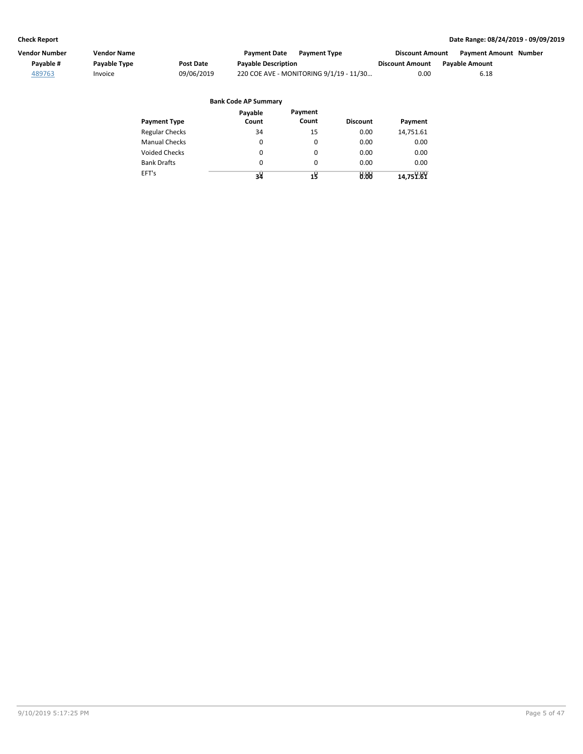| Vendor Number | Vendor Name         |            | <b>Payment Date</b><br><b>Payment Type</b> | <b>Discount Amount</b> | <b>Payment Amount Number</b> |  |
|---------------|---------------------|------------|--------------------------------------------|------------------------|------------------------------|--|
| Pavable #     | <b>Pavable Type</b> | Post Date  | <b>Payable Description</b>                 | <b>Discount Amount</b> | <b>Pavable Amount</b>        |  |
| 489763        | Invoice             | 09/06/2019 | 220 COE AVE - MONITORING 9/1/19 - 11/30    | 0.00                   | 6.18                         |  |

|                       | <b>Bank Code AP Summary</b> |                  |                 |           |
|-----------------------|-----------------------------|------------------|-----------------|-----------|
| <b>Payment Type</b>   | Payable<br>Count            | Payment<br>Count | <b>Discount</b> | Payment   |
| <b>Regular Checks</b> | 34                          | 15               | 0.00            | 14,751.61 |
| <b>Manual Checks</b>  | 0                           | 0                | 0.00            | 0.00      |
| <b>Voided Checks</b>  | 0                           | $\Omega$         | 0.00            | 0.00      |
| <b>Bank Drafts</b>    | 0                           | $\Omega$         | 0.00            | 0.00      |
| EFT's                 | 34                          | 18               | 0.00            | 14,751.89 |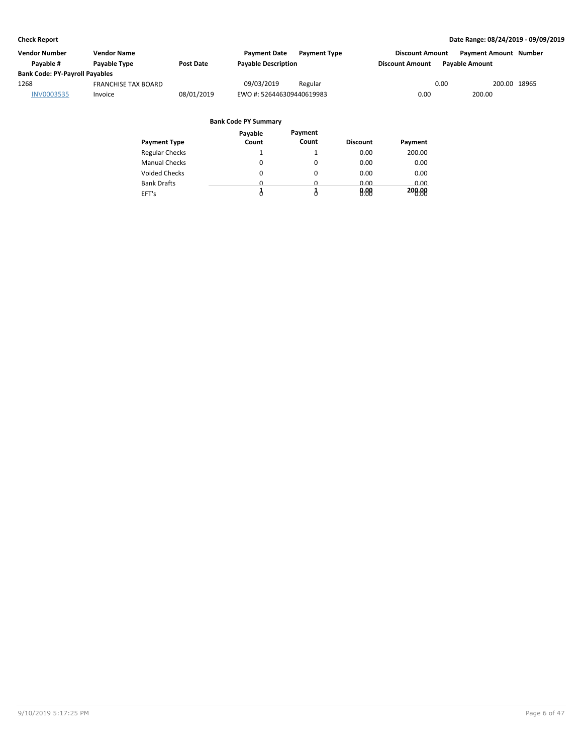| Vendor Number                         | Vendor Name                |            | <b>Payment Date</b>        | <b>Payment Type</b> | <b>Discount Amount</b> | <b>Payment Amount Number</b> |              |  |
|---------------------------------------|----------------------------|------------|----------------------------|---------------------|------------------------|------------------------------|--------------|--|
| Pavable #                             | Payable Type               | Post Date  | <b>Payable Description</b> |                     | <b>Discount Amount</b> | <b>Pavable Amount</b>        |              |  |
| <b>Bank Code: PY-Payroll Payables</b> |                            |            |                            |                     |                        |                              |              |  |
| 1268                                  | <b>FRANCHISE TAX BOARD</b> |            | 09/03/2019                 | Regular             |                        | 0.00                         | 200.00 18965 |  |
| INV0003535                            | Invoice                    | 08/01/2019 | EWO #: 526446309440619983  |                     | 0.00                   | 200.00                       |              |  |

|                       | Payable | Payment  |                 |         |
|-----------------------|---------|----------|-----------------|---------|
| <b>Payment Type</b>   | Count   | Count    | <b>Discount</b> | Payment |
| <b>Regular Checks</b> |         |          | 0.00            | 200.00  |
| <b>Manual Checks</b>  | 0       | 0        | 0.00            | 0.00    |
| <b>Voided Checks</b>  | 0       | $\Omega$ | 0.00            | 0.00    |
| <b>Bank Drafts</b>    | 0       | 0        | 0.00            | 0.00    |
| EFT's                 |         |          | 0.00            | 200.00  |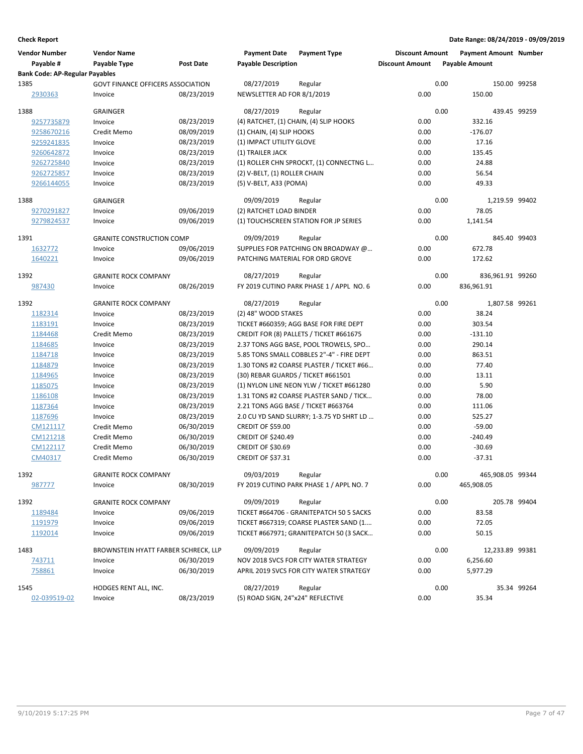| <b>Vendor Number</b><br>Payable #     | <b>Vendor Name</b><br>Payable Type       | <b>Post Date</b> | <b>Payment Date</b><br><b>Payable Description</b> | <b>Payment Type</b>                       | <b>Discount Amount</b><br><b>Discount Amount</b> | <b>Payment Amount Number</b><br><b>Payable Amount</b> |              |
|---------------------------------------|------------------------------------------|------------------|---------------------------------------------------|-------------------------------------------|--------------------------------------------------|-------------------------------------------------------|--------------|
| <b>Bank Code: AP-Regular Payables</b> |                                          |                  |                                                   |                                           |                                                  |                                                       |              |
| 1385                                  | <b>GOVT FINANCE OFFICERS ASSOCIATION</b> |                  | 08/27/2019                                        | Regular                                   | 0.00                                             |                                                       | 150.00 99258 |
| 2930363                               | Invoice                                  | 08/23/2019       | NEWSLETTER AD FOR 8/1/2019                        |                                           | 0.00                                             | 150.00                                                |              |
| 1388                                  | <b>GRAINGER</b>                          |                  | 08/27/2019                                        | Regular                                   | 0.00                                             | 439.45 99259                                          |              |
| 9257735879                            | Invoice                                  | 08/23/2019       |                                                   | (4) RATCHET, (1) CHAIN, (4) SLIP HOOKS    | 0.00                                             | 332.16                                                |              |
| 9258670216                            | Credit Memo                              | 08/09/2019       | (1) CHAIN, (4) SLIP HOOKS                         |                                           | 0.00                                             | $-176.07$                                             |              |
| 9259241835                            | Invoice                                  | 08/23/2019       | (1) IMPACT UTILITY GLOVE                          |                                           | 0.00                                             | 17.16                                                 |              |
| 9260642872                            | Invoice                                  | 08/23/2019       | (1) TRAILER JACK                                  |                                           | 0.00                                             | 135.45                                                |              |
| 9262725840                            | Invoice                                  | 08/23/2019       |                                                   | (1) ROLLER CHN SPROCKT, (1) CONNECTNG L   | 0.00                                             | 24.88                                                 |              |
| 9262725857                            | Invoice                                  | 08/23/2019       | (2) V-BELT, (1) ROLLER CHAIN                      |                                           | 0.00                                             | 56.54                                                 |              |
| 9266144055                            | Invoice                                  | 08/23/2019       | (5) V-BELT, A33 (POMA)                            |                                           | 0.00                                             | 49.33                                                 |              |
| 1388                                  | <b>GRAINGER</b>                          |                  | 09/09/2019                                        | Regular                                   | 0.00                                             | 1,219.59 99402                                        |              |
| 9270291827                            | Invoice                                  | 09/06/2019       | (2) RATCHET LOAD BINDER                           |                                           | 0.00                                             | 78.05                                                 |              |
| 9279824537                            | Invoice                                  | 09/06/2019       |                                                   | (1) TOUCHSCREEN STATION FOR JP SERIES     | 0.00                                             | 1,141.54                                              |              |
|                                       |                                          |                  |                                                   |                                           |                                                  |                                                       |              |
| 1391                                  | <b>GRANITE CONSTRUCTION COMP</b>         |                  | 09/09/2019                                        | Regular                                   | 0.00                                             | 845.40 99403                                          |              |
| 1632772                               | Invoice                                  | 09/06/2019       |                                                   | SUPPLIES FOR PATCHING ON BROADWAY @       | 0.00                                             | 672.78                                                |              |
| 1640221                               | Invoice                                  | 09/06/2019       | PATCHING MATERIAL FOR ORD GROVE                   |                                           | 0.00                                             | 172.62                                                |              |
| 1392                                  | <b>GRANITE ROCK COMPANY</b>              |                  | 08/27/2019                                        | Regular                                   | 0.00                                             | 836,961.91 99260                                      |              |
| 987430                                | Invoice                                  | 08/26/2019       |                                                   | FY 2019 CUTINO PARK PHASE 1 / APPL NO. 6  | 0.00                                             | 836,961.91                                            |              |
| 1392                                  | <b>GRANITE ROCK COMPANY</b>              |                  | 08/27/2019                                        | Regular                                   | 0.00                                             | 1.807.58 99261                                        |              |
| 1182314                               | Invoice                                  | 08/23/2019       | (2) 48" WOOD STAKES                               |                                           | 0.00                                             | 38.24                                                 |              |
| 1183191                               | Invoice                                  | 08/23/2019       |                                                   | TICKET #660359; AGG BASE FOR FIRE DEPT    | 0.00                                             | 303.54                                                |              |
| 1184468                               | Credit Memo                              | 08/23/2019       |                                                   | CREDIT FOR (8) PALLETS / TICKET #661675   | 0.00                                             | $-131.10$                                             |              |
| 1184685                               | Invoice                                  | 08/23/2019       |                                                   | 2.37 TONS AGG BASE, POOL TROWELS, SPO     | 0.00                                             | 290.14                                                |              |
| 1184718                               | Invoice                                  | 08/23/2019       |                                                   | 5.85 TONS SMALL COBBLES 2"-4" - FIRE DEPT | 0.00                                             | 863.51                                                |              |
| 1184879                               | Invoice                                  | 08/23/2019       |                                                   | 1.30 TONS #2 COARSE PLASTER / TICKET #66  | 0.00                                             | 77.40                                                 |              |
| 1184965                               | Invoice                                  | 08/23/2019       | (30) REBAR GUARDS / TICKET #661501                |                                           | 0.00                                             | 13.11                                                 |              |
| 1185075                               | Invoice                                  | 08/23/2019       |                                                   | (1) NYLON LINE NEON YLW / TICKET #661280  | 0.00                                             | 5.90                                                  |              |
| 1186108                               | Invoice                                  | 08/23/2019       |                                                   | 1.31 TONS #2 COARSE PLASTER SAND / TICK   | 0.00                                             | 78.00                                                 |              |
| 1187364                               | Invoice                                  | 08/23/2019       | 2.21 TONS AGG BASE / TICKET #663764               |                                           | 0.00                                             | 111.06                                                |              |
| 1187696                               | Invoice                                  | 08/23/2019       |                                                   | 2.0 CU YD SAND SLURRY; 1-3.75 YD SHRT LD  | 0.00                                             | 525.27                                                |              |
| CM121117                              | Credit Memo                              | 06/30/2019       | CREDIT OF \$59.00                                 |                                           | 0.00                                             | $-59.00$                                              |              |
| CM121218                              | Credit Memo                              | 06/30/2019       | <b>CREDIT OF \$240.49</b>                         |                                           | 0.00                                             | $-240.49$                                             |              |
| CM122117                              | Credit Memo                              | 06/30/2019       | <b>CREDIT OF \$30.69</b>                          |                                           | 0.00                                             | $-30.69$                                              |              |
| CM40317                               | Credit Memo                              | 06/30/2019       | <b>CREDIT OF \$37.31</b>                          |                                           | 0.00                                             | $-37.31$                                              |              |
| 1392                                  | <b>GRANITE ROCK COMPANY</b>              |                  | 09/03/2019                                        | Regular                                   | 0.00                                             | 465,908.05 99344                                      |              |
| 987777                                | Invoice                                  | 08/30/2019       |                                                   | FY 2019 CUTINO PARK PHASE 1 / APPL NO. 7  | 0.00                                             | 465,908.05                                            |              |
| 1392                                  | <b>GRANITE ROCK COMPANY</b>              |                  | 09/09/2019                                        | Regular                                   | 0.00                                             |                                                       | 205.78 99404 |
| 1189484                               | Invoice                                  | 09/06/2019       |                                                   | TICKET #664706 - GRANITEPATCH 50 5 SACKS  | 0.00                                             | 83.58                                                 |              |
| 1191979                               | Invoice                                  | 09/06/2019       |                                                   | TICKET #667319; COARSE PLASTER SAND (1    | 0.00                                             | 72.05                                                 |              |
| 1192014                               | Invoice                                  | 09/06/2019       |                                                   | TICKET #667971; GRANITEPATCH 50 (3 SACK   | 0.00                                             | 50.15                                                 |              |
| 1483                                  | BROWNSTEIN HYATT FARBER SCHRECK, LLP     |                  | 09/09/2019                                        | Regular                                   | 0.00                                             | 12,233.89 99381                                       |              |
| 743711                                | Invoice                                  | 06/30/2019       |                                                   | NOV 2018 SVCS FOR CITY WATER STRATEGY     | 0.00                                             | 6,256.60                                              |              |
| 758861                                | Invoice                                  | 06/30/2019       |                                                   | APRIL 2019 SVCS FOR CITY WATER STRATEGY   | 0.00                                             | 5,977.29                                              |              |
| 1545                                  | HODGES RENT ALL, INC.                    |                  | 08/27/2019                                        | Regular                                   | 0.00                                             |                                                       | 35.34 99264  |
| 02-039519-02                          | Invoice                                  | 08/23/2019       | (5) ROAD SIGN, 24"x24" REFLECTIVE                 |                                           | 0.00                                             | 35.34                                                 |              |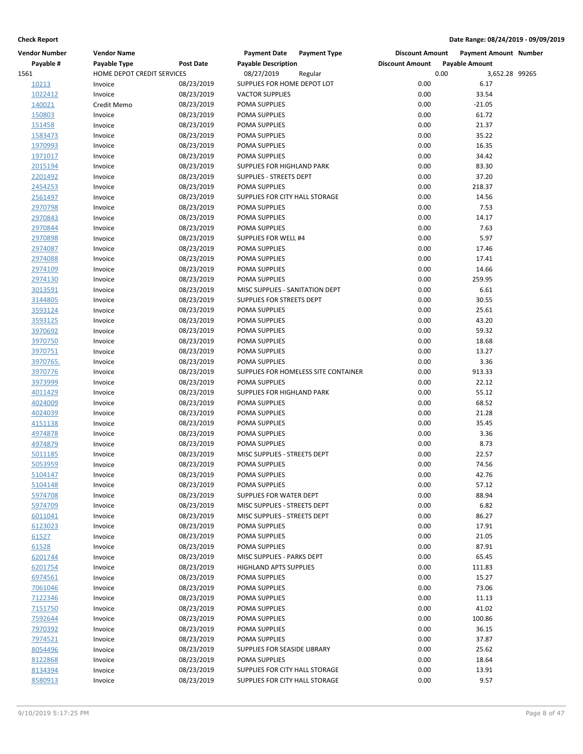| <b>Vendor Number</b> | <b>Vendor Name</b>         |                  | <b>Payment Date</b>             | <b>Payment Type</b>                  | <b>Discount Amount</b> | <b>Payment Amount Number</b> |  |
|----------------------|----------------------------|------------------|---------------------------------|--------------------------------------|------------------------|------------------------------|--|
| Payable #            | Payable Type               | <b>Post Date</b> | <b>Payable Description</b>      |                                      | <b>Discount Amount</b> | <b>Payable Amount</b>        |  |
| 1561                 | HOME DEPOT CREDIT SERVICES |                  | 08/27/2019                      | Regular                              | 0.00                   | 3,652.28 99265               |  |
| 10213                | Invoice                    | 08/23/2019       | SUPPLIES FOR HOME DEPOT LOT     |                                      | 0.00                   | 6.17                         |  |
| 1022412              | Invoice                    | 08/23/2019       | <b>VACTOR SUPPLIES</b>          |                                      | 0.00                   | 33.54                        |  |
| 140021               | Credit Memo                | 08/23/2019       | POMA SUPPLIES                   |                                      | 0.00                   | $-21.05$                     |  |
| 150803               | Invoice                    | 08/23/2019       | POMA SUPPLIES                   |                                      | 0.00                   | 61.72                        |  |
| 151458               | Invoice                    | 08/23/2019       | POMA SUPPLIES                   |                                      | 0.00                   | 21.37                        |  |
| 1583473              | Invoice                    | 08/23/2019       | POMA SUPPLIES                   |                                      | 0.00                   | 35.22                        |  |
| 1970993              | Invoice                    | 08/23/2019       | POMA SUPPLIES                   |                                      | 0.00                   | 16.35                        |  |
| 1971017              | Invoice                    | 08/23/2019       | POMA SUPPLIES                   |                                      | 0.00                   | 34.42                        |  |
| 2015194              | Invoice                    | 08/23/2019       | SUPPLIES FOR HIGHLAND PARK      |                                      | 0.00                   | 83.30                        |  |
| 2201492              | Invoice                    | 08/23/2019       | SUPPLIES - STREETS DEPT         |                                      | 0.00                   | 37.20                        |  |
| 2454253              | Invoice                    | 08/23/2019       | POMA SUPPLIES                   |                                      | 0.00                   | 218.37                       |  |
| 2561497              | Invoice                    | 08/23/2019       | SUPPLIES FOR CITY HALL STORAGE  |                                      | 0.00                   | 14.56                        |  |
| 2970798              | Invoice                    | 08/23/2019       | POMA SUPPLIES                   |                                      | 0.00                   | 7.53                         |  |
| 2970843              | Invoice                    | 08/23/2019       | POMA SUPPLIES                   |                                      | 0.00                   | 14.17                        |  |
| 2970844              | Invoice                    | 08/23/2019       | POMA SUPPLIES                   |                                      | 0.00                   | 7.63                         |  |
| 2970898              | Invoice                    | 08/23/2019       | SUPPLIES FOR WELL #4            |                                      | 0.00                   | 5.97                         |  |
| 2974087              | Invoice                    | 08/23/2019       | POMA SUPPLIES                   |                                      | 0.00                   | 17.46                        |  |
| 2974088              | Invoice                    | 08/23/2019       | POMA SUPPLIES                   |                                      | 0.00                   | 17.41                        |  |
| 2974109              | Invoice                    | 08/23/2019       | POMA SUPPLIES                   |                                      | 0.00                   | 14.66                        |  |
| 2974130              | Invoice                    | 08/23/2019       | POMA SUPPLIES                   |                                      | 0.00                   | 259.95                       |  |
| 3013591              | Invoice                    | 08/23/2019       | MISC SUPPLIES - SANITATION DEPT |                                      | 0.00                   | 6.61                         |  |
| 3144805              | Invoice                    | 08/23/2019       | SUPPLIES FOR STREETS DEPT       |                                      | 0.00                   | 30.55                        |  |
| 3593124              | Invoice                    | 08/23/2019       | POMA SUPPLIES                   |                                      | 0.00                   | 25.61                        |  |
| 3593125              | Invoice                    | 08/23/2019       | POMA SUPPLIES                   |                                      | 0.00                   | 43.20                        |  |
| 3970692              | Invoice                    | 08/23/2019       | POMA SUPPLIES                   |                                      | 0.00                   | 59.32                        |  |
| 3970750              | Invoice                    | 08/23/2019       | POMA SUPPLIES                   |                                      | 0.00                   | 18.68                        |  |
|                      | Invoice                    | 08/23/2019       | POMA SUPPLIES                   |                                      | 0.00                   | 13.27                        |  |
| 3970751              |                            | 08/23/2019       | POMA SUPPLIES                   |                                      | 0.00                   | 3.36                         |  |
| 3970765.             | Invoice                    |                  |                                 |                                      |                        |                              |  |
| 3970776              | Invoice                    | 08/23/2019       |                                 | SUPPLIES FOR HOMELESS SITE CONTAINER | 0.00                   | 913.33<br>22.12              |  |
| 3973999              | Invoice                    | 08/23/2019       | POMA SUPPLIES                   |                                      | 0.00                   |                              |  |
| 4011429              | Invoice                    | 08/23/2019       | SUPPLIES FOR HIGHLAND PARK      |                                      | 0.00                   | 55.12                        |  |
| 4024009              | Invoice                    | 08/23/2019       | POMA SUPPLIES                   |                                      | 0.00                   | 68.52                        |  |
| 4024039              | Invoice                    | 08/23/2019       | POMA SUPPLIES                   |                                      | 0.00                   | 21.28                        |  |
| 4151138              | Invoice                    | 08/23/2019       | POMA SUPPLIES                   |                                      | 0.00                   | 35.45                        |  |
| 4974878              | Invoice                    | 08/23/2019       | POMA SUPPLIES                   |                                      | 0.00                   | 3.36                         |  |
| 4974879              | Invoice                    | 08/23/2019       | POMA SUPPLIES                   |                                      | 0.00                   | 8.73                         |  |
| 5011185              | Invoice                    | 08/23/2019       | MISC SUPPLIES - STREETS DEPT    |                                      | 0.00                   | 22.57                        |  |
| 5053959              | Invoice                    | 08/23/2019       | POMA SUPPLIES                   |                                      | 0.00                   | 74.56                        |  |
| <u>5104147</u>       | Invoice                    | 08/23/2019       | POMA SUPPLIES                   |                                      | 0.00                   | 42.76                        |  |
| 5104148              | Invoice                    | 08/23/2019       | POMA SUPPLIES                   |                                      | 0.00                   | 57.12                        |  |
| 5974708              | Invoice                    | 08/23/2019       | SUPPLIES FOR WATER DEPT         |                                      | 0.00                   | 88.94                        |  |
| 5974709              | Invoice                    | 08/23/2019       | MISC SUPPLIES - STREETS DEPT    |                                      | 0.00                   | 6.82                         |  |
| 6011041              | Invoice                    | 08/23/2019       | MISC SUPPLIES - STREETS DEPT    |                                      | 0.00                   | 86.27                        |  |
| 6123023              | Invoice                    | 08/23/2019       | POMA SUPPLIES                   |                                      | 0.00                   | 17.91                        |  |
| 61527                | Invoice                    | 08/23/2019       | POMA SUPPLIES                   |                                      | 0.00                   | 21.05                        |  |
| 61528                | Invoice                    | 08/23/2019       | POMA SUPPLIES                   |                                      | 0.00                   | 87.91                        |  |
| 6201744              | Invoice                    | 08/23/2019       | MISC SUPPLIES - PARKS DEPT      |                                      | 0.00                   | 65.45                        |  |
| 6201754              | Invoice                    | 08/23/2019       | <b>HIGHLAND APTS SUPPLIES</b>   |                                      | 0.00                   | 111.83                       |  |
| 6974561              | Invoice                    | 08/23/2019       | POMA SUPPLIES                   |                                      | 0.00                   | 15.27                        |  |
| 7061046              | Invoice                    | 08/23/2019       | POMA SUPPLIES                   |                                      | 0.00                   | 73.06                        |  |
| 7122346              | Invoice                    | 08/23/2019       | POMA SUPPLIES                   |                                      | 0.00                   | 11.13                        |  |
| 7151750              | Invoice                    | 08/23/2019       | POMA SUPPLIES                   |                                      | 0.00                   | 41.02                        |  |
| 7592644              | Invoice                    | 08/23/2019       | POMA SUPPLIES                   |                                      | 0.00                   | 100.86                       |  |
| 7970392              | Invoice                    | 08/23/2019       | POMA SUPPLIES                   |                                      | 0.00                   | 36.15                        |  |
| 7974521              | Invoice                    | 08/23/2019       | POMA SUPPLIES                   |                                      | 0.00                   | 37.87                        |  |
| 8054496              | Invoice                    | 08/23/2019       | SUPPLIES FOR SEASIDE LIBRARY    |                                      | 0.00                   | 25.62                        |  |
| 8122868              | Invoice                    | 08/23/2019       | POMA SUPPLIES                   |                                      | 0.00                   | 18.64                        |  |
| 8134394              | Invoice                    | 08/23/2019       | SUPPLIES FOR CITY HALL STORAGE  |                                      | 0.00                   | 13.91                        |  |
| 8580913              | Invoice                    | 08/23/2019       | SUPPLIES FOR CITY HALL STORAGE  |                                      | 0.00                   | 9.57                         |  |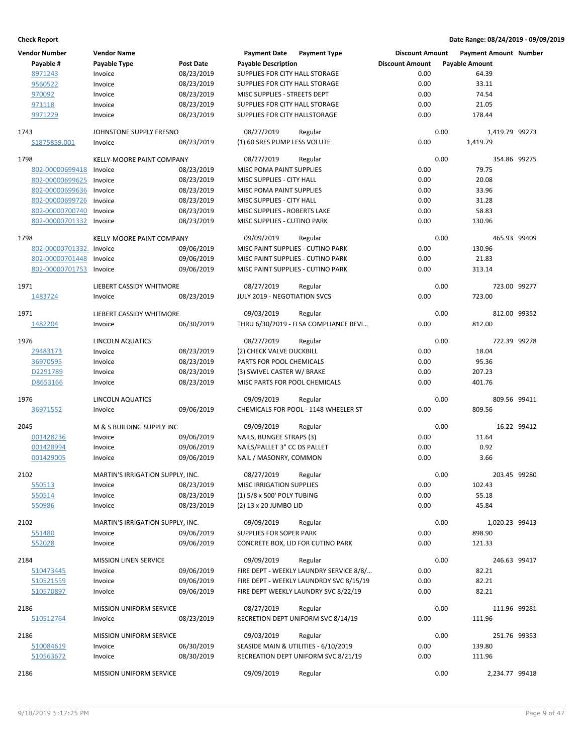| <b>Vendor Number</b>     | <b>Vendor Name</b>               |                  | <b>Payment Date</b>                        | <b>Payment Type</b>                     | <b>Discount Amount</b> |                       | <b>Payment Amount Number</b> |             |
|--------------------------|----------------------------------|------------------|--------------------------------------------|-----------------------------------------|------------------------|-----------------------|------------------------------|-------------|
| Payable #                | Payable Type                     | <b>Post Date</b> | <b>Payable Description</b>                 |                                         | <b>Discount Amount</b> | <b>Payable Amount</b> |                              |             |
| 8971243                  | Invoice                          | 08/23/2019       | SUPPLIES FOR CITY HALL STORAGE             |                                         | 0.00                   |                       | 64.39                        |             |
| 9560522                  | Invoice                          | 08/23/2019       | SUPPLIES FOR CITY HALL STORAGE             |                                         | 0.00                   |                       | 33.11                        |             |
| 970092                   | Invoice                          | 08/23/2019       | MISC SUPPLIES - STREETS DEPT               |                                         | 0.00                   |                       | 74.54                        |             |
| 971118                   | Invoice                          | 08/23/2019       | SUPPLIES FOR CITY HALL STORAGE             |                                         | 0.00                   |                       | 21.05                        |             |
| 9971229                  | Invoice                          | 08/23/2019       | SUPPLIES FOR CITY HALLSTORAGE              |                                         | 0.00                   |                       | 178.44                       |             |
| 1743                     | JOHNSTONE SUPPLY FRESNO          |                  | 08/27/2019                                 | Regular                                 |                        | 0.00                  | 1,419.79 99273               |             |
| S1875859.001             | Invoice                          | 08/23/2019       | (1) 60 SRES PUMP LESS VOLUTE               |                                         | 0.00                   | 1,419.79              |                              |             |
|                          |                                  |                  |                                            |                                         |                        |                       |                              |             |
| 1798                     | KELLY-MOORE PAINT COMPANY        |                  | 08/27/2019                                 | Regular                                 |                        | 0.00                  | 354.86 99275                 |             |
| 802-00000699418          | Invoice                          | 08/23/2019       | MISC POMA PAINT SUPPLIES                   |                                         | 0.00                   |                       | 79.75                        |             |
| 802-00000699625          | Invoice                          | 08/23/2019       | MISC SUPPLIES - CITY HALL                  |                                         | 0.00                   |                       | 20.08                        |             |
| 802-00000699636          | Invoice                          | 08/23/2019       | MISC POMA PAINT SUPPLIES                   |                                         | 0.00                   |                       | 33.96                        |             |
| 802-00000699726          | Invoice                          | 08/23/2019       | MISC SUPPLIES - CITY HALL                  |                                         | 0.00                   |                       | 31.28                        |             |
| 802-00000700740          | Invoice                          | 08/23/2019       | MISC SUPPLIES - ROBERTS LAKE               |                                         | 0.00                   |                       | 58.83                        |             |
| 802-00000701332          | Invoice                          | 08/23/2019       | MISC SUPPLIES - CUTINO PARK                |                                         | 0.00                   |                       | 130.96                       |             |
| 1798                     | KELLY-MOORE PAINT COMPANY        |                  | 09/09/2019                                 | Regular                                 |                        | 0.00                  | 465.93 99409                 |             |
| 802-00000701332. Invoice |                                  | 09/06/2019       | MISC PAINT SUPPLIES - CUTINO PARK          |                                         | 0.00                   |                       | 130.96                       |             |
| 802-00000701448          | Invoice                          | 09/06/2019       | MISC PAINT SUPPLIES - CUTINO PARK          |                                         | 0.00                   |                       | 21.83                        |             |
| 802-00000701753          | Invoice                          | 09/06/2019       | MISC PAINT SUPPLIES - CUTINO PARK          |                                         | 0.00                   |                       | 313.14                       |             |
|                          |                                  |                  |                                            |                                         |                        |                       |                              |             |
| 1971                     | LIEBERT CASSIDY WHITMORE         | 08/23/2019       | 08/27/2019<br>JULY 2019 - NEGOTIATION SVCS | Regular                                 | 0.00                   | 0.00                  | 723.00 99277<br>723.00       |             |
| 1483724                  | Invoice                          |                  |                                            |                                         |                        |                       |                              |             |
| 1971                     | LIEBERT CASSIDY WHITMORE         |                  | 09/03/2019                                 | Regular                                 |                        | 0.00                  | 812.00 99352                 |             |
| 1482204                  | Invoice                          | 06/30/2019       |                                            | THRU 6/30/2019 - FLSA COMPLIANCE REVI   | 0.00                   | 812.00                |                              |             |
|                          |                                  |                  |                                            |                                         |                        |                       |                              |             |
| 1976                     | LINCOLN AQUATICS                 |                  | 08/27/2019                                 | Regular                                 |                        | 0.00                  | 722.39 99278                 |             |
| 29483173                 | Invoice                          | 08/23/2019       | (2) CHECK VALVE DUCKBILL                   |                                         | 0.00                   |                       | 18.04                        |             |
| 36970595                 | Invoice                          | 08/23/2019       | PARTS FOR POOL CHEMICALS                   |                                         | 0.00                   |                       | 95.36                        |             |
| D2291789                 | Invoice                          | 08/23/2019       | (3) SWIVEL CASTER W/ BRAKE                 |                                         | 0.00                   |                       | 207.23                       |             |
| D8653166                 | Invoice                          | 08/23/2019       | MISC PARTS FOR POOL CHEMICALS              |                                         | 0.00                   |                       | 401.76                       |             |
| 1976                     | LINCOLN AQUATICS                 |                  | 09/09/2019                                 | Regular                                 |                        | 0.00                  | 809.56 99411                 |             |
| 36971552                 | Invoice                          | 09/06/2019       |                                            | CHEMICALS FOR POOL - 1148 WHEELER ST    | 0.00                   |                       | 809.56                       |             |
| 2045                     | M & S BUILDING SUPPLY INC        |                  | 09/09/2019                                 | Regular                                 |                        | 0.00                  |                              | 16.22 99412 |
| 001428236                | Invoice                          | 09/06/2019       | NAILS, BUNGEE STRAPS (3)                   |                                         | 0.00                   |                       | 11.64                        |             |
| 001428994                | Invoice                          | 09/06/2019       | NAILS/PALLET 3" CC DS PALLET               |                                         | 0.00                   |                       | 0.92                         |             |
| 001429005                | Invoice                          | 09/06/2019       | NAIL / MASONRY, COMMON                     |                                         | 0.00                   |                       | 3.66                         |             |
|                          |                                  |                  |                                            |                                         |                        |                       |                              |             |
| 2102                     | MARTIN'S IRRIGATION SUPPLY, INC. |                  | 08/27/2019 Regular                         |                                         |                        | 0.00                  | 203.45 99280                 |             |
| 550513                   | Invoice                          | 08/23/2019       | <b>MISC IRRIGATION SUPPLIES</b>            |                                         | 0.00                   |                       | 102.43                       |             |
| 550514                   | Invoice                          | 08/23/2019       | (1) 5/8 x 500' POLY TUBING                 |                                         | 0.00                   |                       | 55.18                        |             |
| 550986                   | Invoice                          | 08/23/2019       | (2) 13 x 20 JUMBO LID                      |                                         | 0.00                   |                       | 45.84                        |             |
| 2102                     | MARTIN'S IRRIGATION SUPPLY, INC. |                  | 09/09/2019                                 | Regular                                 |                        | 0.00                  | 1,020.23 99413               |             |
| 551480                   | Invoice                          | 09/06/2019       | SUPPLIES FOR SOPER PARK                    |                                         | 0.00                   |                       | 898.90                       |             |
| 552028                   | Invoice                          | 09/06/2019       |                                            | CONCRETE BOX, LID FOR CUTINO PARK       | 0.00                   |                       | 121.33                       |             |
| 2184                     | <b>MISSION LINEN SERVICE</b>     |                  | 09/09/2019                                 | Regular                                 |                        | 0.00                  | 246.63 99417                 |             |
| 510473445                | Invoice                          | 09/06/2019       |                                            | FIRE DEPT - WEEKLY LAUNDRY SERVICE 8/8/ | 0.00                   |                       | 82.21                        |             |
| 510521559                | Invoice                          | 09/06/2019       |                                            | FIRE DEPT - WEEKLY LAUNDRDY SVC 8/15/19 | 0.00                   |                       | 82.21                        |             |
| 510570897                | Invoice                          | 09/06/2019       |                                            | FIRE DEPT WEEKLY LAUNDRY SVC 8/22/19    | 0.00                   |                       | 82.21                        |             |
| 2186                     | <b>MISSION UNIFORM SERVICE</b>   |                  | 08/27/2019                                 | Regular                                 |                        | 0.00                  | 111.96 99281                 |             |
| 510512764                | Invoice                          | 08/23/2019       |                                            | RECRETION DEPT UNIFORM SVC 8/14/19      | 0.00                   |                       | 111.96                       |             |
|                          |                                  |                  |                                            |                                         |                        |                       |                              |             |
| 2186                     | <b>MISSION UNIFORM SERVICE</b>   |                  | 09/03/2019                                 | Regular                                 |                        | 0.00                  | 251.76 99353                 |             |
| 510084619                | Invoice                          | 06/30/2019       |                                            | SEASIDE MAIN & UTILITIES - 6/10/2019    | 0.00                   | 139.80                |                              |             |
| 510563672                | Invoice                          | 08/30/2019       |                                            | RECREATION DEPT UNIFORM SVC 8/21/19     | 0.00                   | 111.96                |                              |             |
| 2186                     | MISSION UNIFORM SERVICE          |                  | 09/09/2019                                 | Regular                                 |                        | 0.00                  | 2,234.77 99418               |             |
|                          |                                  |                  |                                            |                                         |                        |                       |                              |             |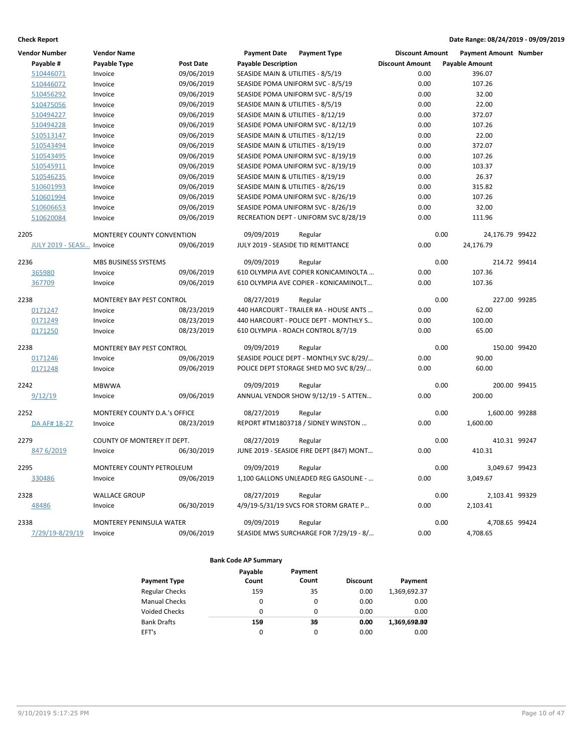| Vendor Number            | <b>Vendor Name</b>                |                  | <b>Payment Date</b>                | <b>Payment Type</b>                      | <b>Discount Amount</b> |                       | <b>Payment Amount Number</b> |  |
|--------------------------|-----------------------------------|------------------|------------------------------------|------------------------------------------|------------------------|-----------------------|------------------------------|--|
| Payable #                | Payable Type                      | <b>Post Date</b> | <b>Payable Description</b>         |                                          | <b>Discount Amount</b> | <b>Payable Amount</b> |                              |  |
| 510446071                | Invoice                           | 09/06/2019       | SEASIDE MAIN & UTILITIES - 8/5/19  |                                          | 0.00                   |                       | 396.07                       |  |
| 510446072                | Invoice                           | 09/06/2019       |                                    | SEASIDE POMA UNIFORM SVC - 8/5/19        | 0.00                   |                       | 107.26                       |  |
| 510456292                | Invoice                           | 09/06/2019       |                                    | SEASIDE POMA UNIFORM SVC - 8/5/19        | 0.00                   |                       | 32.00                        |  |
| 510475056                | Invoice                           | 09/06/2019       | SEASIDE MAIN & UTILITIES - 8/5/19  |                                          | 0.00                   |                       | 22.00                        |  |
| 510494227                | Invoice                           | 09/06/2019       | SEASIDE MAIN & UTILITIES - 8/12/19 |                                          | 0.00                   |                       | 372.07                       |  |
| 510494228                | Invoice                           | 09/06/2019       |                                    | SEASIDE POMA UNIFORM SVC - 8/12/19       | 0.00                   |                       | 107.26                       |  |
| 510513147                | Invoice                           | 09/06/2019       | SEASIDE MAIN & UTILITIES - 8/12/19 |                                          | 0.00                   |                       | 22.00                        |  |
| 510543494                | Invoice                           | 09/06/2019       | SEASIDE MAIN & UTILITIES - 8/19/19 |                                          | 0.00                   |                       | 372.07                       |  |
| 510543495                | Invoice                           | 09/06/2019       |                                    | SEASIDE POMA UNIFORM SVC - 8/19/19       | 0.00                   |                       | 107.26                       |  |
| 510545911                | Invoice                           | 09/06/2019       |                                    | SEASIDE POMA UNIFORM SVC - 8/19/19       | 0.00                   |                       | 103.37                       |  |
| 510546235                | Invoice                           | 09/06/2019       | SEASIDE MAIN & UTILITIES - 8/19/19 |                                          | 0.00                   |                       | 26.37                        |  |
| 510601993                | Invoice                           | 09/06/2019       | SEASIDE MAIN & UTILITIES - 8/26/19 |                                          | 0.00                   |                       | 315.82                       |  |
| 510601994                | Invoice                           | 09/06/2019       |                                    | SEASIDE POMA UNIFORM SVC - 8/26/19       | 0.00                   |                       | 107.26                       |  |
| 510606653                | Invoice                           | 09/06/2019       |                                    | SEASIDE POMA UNIFORM SVC - 8/26/19       | 0.00                   |                       | 32.00                        |  |
| 510620084                | Invoice                           | 09/06/2019       |                                    | RECREATION DEPT - UNIFORM SVC 8/28/19    | 0.00                   | 111.96                |                              |  |
| 2205                     | <b>MONTEREY COUNTY CONVENTION</b> |                  | 09/09/2019                         | Regular                                  |                        | 0.00                  | 24,176.79 99422              |  |
| <b>JULY 2019 - SEASI</b> | Invoice                           | 09/06/2019       |                                    | JULY 2019 - SEASIDE TID REMITTANCE       | 0.00                   | 24,176.79             |                              |  |
| 2236                     | MBS BUSINESS SYSTEMS              |                  | 09/09/2019                         | Regular                                  |                        | 0.00                  | 214.72 99414                 |  |
| 365980                   | Invoice                           | 09/06/2019       |                                    | 610 OLYMPIA AVE COPIER KONICAMINOLTA     | 0.00                   |                       | 107.36                       |  |
| 367709                   | Invoice                           | 09/06/2019       |                                    | 610 OLYMPIA AVE COPIER - KONICAMINOLT    | 0.00                   | 107.36                |                              |  |
| 2238                     | MONTEREY BAY PEST CONTROL         |                  | 08/27/2019                         | Regular                                  |                        | 0.00                  | 227.00 99285                 |  |
| 0171247                  | Invoice                           | 08/23/2019       |                                    | 440 HARCOURT - TRAILER #A - HOUSE ANTS   | 0.00                   |                       | 62.00                        |  |
| 0171249                  | Invoice                           | 08/23/2019       |                                    | 440 HARCOURT - POLICE DEPT - MONTHLY S   | 0.00                   |                       | 100.00                       |  |
| 0171250                  | Invoice                           | 08/23/2019       |                                    | 610 OLYMPIA - ROACH CONTROL 8/7/19       | 0.00                   |                       | 65.00                        |  |
| 2238                     | MONTEREY BAY PEST CONTROL         |                  | 09/09/2019                         | Regular                                  |                        | 0.00                  | 150.00 99420                 |  |
| 0171246                  | Invoice                           | 09/06/2019       |                                    | SEASIDE POLICE DEPT - MONTHLY SVC 8/29/  | 0.00                   |                       | 90.00                        |  |
| 0171248                  | Invoice                           | 09/06/2019       |                                    | POLICE DEPT STORAGE SHED MO SVC 8/29/    | 0.00                   |                       | 60.00                        |  |
| 2242                     | <b>MBWWA</b>                      |                  | 09/09/2019                         | Regular                                  |                        | 0.00                  | 200.00 99415                 |  |
| 9/12/19                  | Invoice                           | 09/06/2019       |                                    | ANNUAL VENDOR SHOW 9/12/19 - 5 ATTEN     | 0.00                   |                       | 200.00                       |  |
| 2252                     | MONTEREY COUNTY D.A.'s OFFICE     |                  | 08/27/2019                         | Regular                                  |                        | 0.00                  | 1,600.00 99288               |  |
| DA AF# 18-27             | Invoice                           | 08/23/2019       |                                    | REPORT #TM1803718 / SIDNEY WINSTON       | 0.00                   | 1,600.00              |                              |  |
| 2279                     | COUNTY OF MONTEREY IT DEPT.       |                  | 08/27/2019                         | Regular                                  |                        | 0.00                  | 410.31 99247                 |  |
| 847 6/2019               | Invoice                           | 06/30/2019       |                                    | JUNE 2019 - SEASIDE FIRE DEPT (847) MONT | 0.00                   | 410.31                |                              |  |
| 2295                     | MONTEREY COUNTY PETROLEUM         |                  | 09/09/2019                         | Regular                                  |                        | 0.00                  | 3,049.67 99423               |  |
| 330486                   | Invoice                           | 09/06/2019       |                                    | 1,100 GALLONS UNLEADED REG GASOLINE -    | 0.00                   | 3,049.67              |                              |  |
| 2328                     | <b>WALLACE GROUP</b>              |                  | 08/27/2019                         | Regular                                  |                        | 0.00                  | 2,103.41 99329               |  |
| 48486                    | Invoice                           | 06/30/2019       |                                    | 4/9/19-5/31/19 SVCS FOR STORM GRATE P    | 0.00                   | 2,103.41              |                              |  |
| 2338                     | MONTEREY PENINSULA WATER          |                  | 09/09/2019                         | Regular                                  |                        | 0.00                  | 4,708.65 99424               |  |
| 7/29/19-8/29/19          | Invoice                           | 09/06/2019       |                                    | SEASIDE MWS SURCHARGE FOR 7/29/19 - 8/   | 0.00                   | 4,708.65              |                              |  |

|                       | Payable | Payment  |                 |              |
|-----------------------|---------|----------|-----------------|--------------|
| <b>Payment Type</b>   | Count   | Count    | <b>Discount</b> | Payment      |
| <b>Regular Checks</b> | 159     | 35       | 0.00            | 1,369,692.37 |
| <b>Manual Checks</b>  | 0       | 0        | 0.00            | 0.00         |
| Voided Checks         | 0       | $\Omega$ | 0.00            | 0.00         |
| <b>Bank Drafts</b>    | 150     | 30       | 0.00            | 1,369,690.80 |
| EFT's                 | 0       | 0        | 0.00            | 0.00         |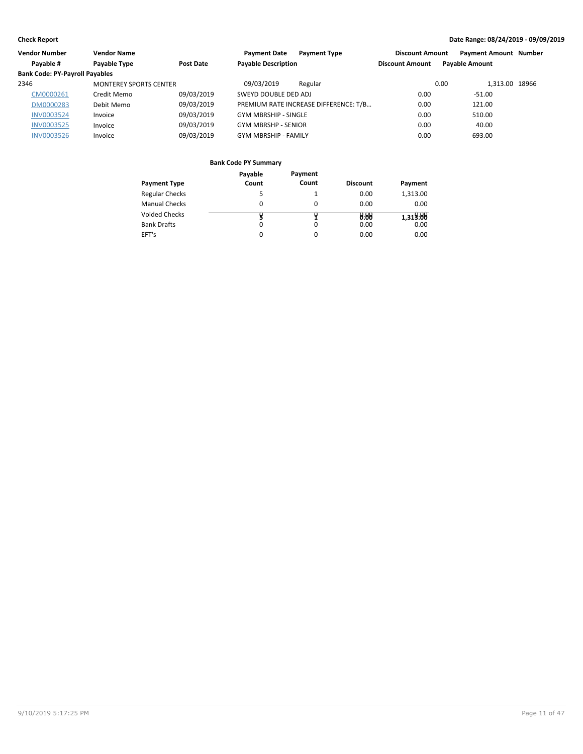| Vendor Number                         | <b>Vendor Name</b>            |            | <b>Payment Date</b>         | <b>Payment Type</b>                   | <b>Discount Amount</b> | <b>Payment Amount Number</b> |  |
|---------------------------------------|-------------------------------|------------|-----------------------------|---------------------------------------|------------------------|------------------------------|--|
| Payable #                             | Payable Type                  | Post Date  | <b>Payable Description</b>  |                                       | <b>Discount Amount</b> | <b>Payable Amount</b>        |  |
| <b>Bank Code: PY-Payroll Payables</b> |                               |            |                             |                                       |                        |                              |  |
| 2346                                  | <b>MONTEREY SPORTS CENTER</b> |            | 09/03/2019                  | Regular                               |                        | 1.313.00 18966<br>0.00       |  |
| CM0000261                             | Credit Memo                   | 09/03/2019 | SWEYD DOUBLE DED ADJ        |                                       | 0.00                   | $-51.00$                     |  |
| DM0000283                             | Debit Memo                    | 09/03/2019 |                             | PREMIUM RATE INCREASE DIFFERENCE: T/B | 0.00                   | 121.00                       |  |
| <b>INV0003524</b>                     | Invoice                       | 09/03/2019 | <b>GYM MBRSHIP - SINGLE</b> |                                       | 0.00                   | 510.00                       |  |
| INV0003525                            | Invoice                       | 09/03/2019 | <b>GYM MBRSHP - SENIOR</b>  |                                       | 0.00                   | 40.00                        |  |
| <b>INV0003526</b>                     | Invoice                       | 09/03/2019 | <b>GYM MBRSHIP - FAMILY</b> |                                       | 0.00                   | 693.00                       |  |

|                       | Payable | Payment  |                 |          |
|-----------------------|---------|----------|-----------------|----------|
| <b>Payment Type</b>   | Count   | Count    | <b>Discount</b> | Payment  |
| <b>Regular Checks</b> |         |          | 0.00            | 1,313.00 |
| <b>Manual Checks</b>  | 0       | 0        | 0.00            | 0.00     |
| <b>Voided Checks</b>  |         |          | 0.88            | 1,313.88 |
| <b>Bank Drafts</b>    | 0       | $\Omega$ | 0.00            | 0.00     |
| EFT's                 | 0       | $\Omega$ | 0.00            | 0.00     |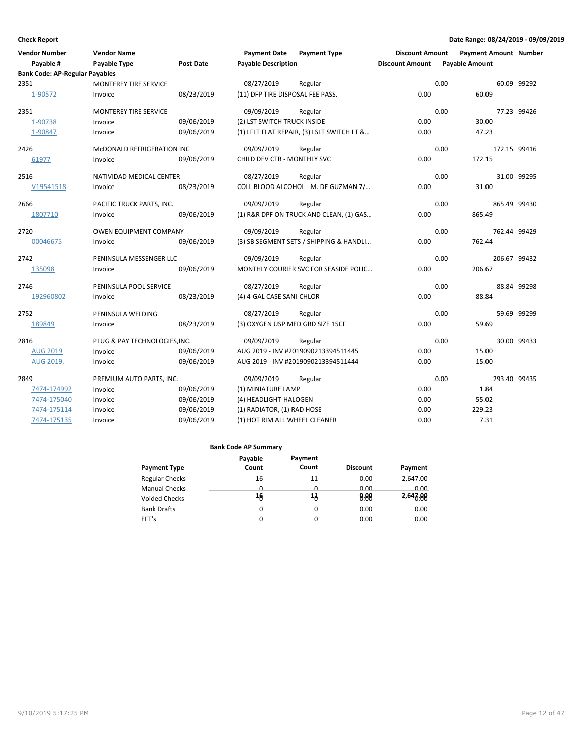| <b>Vendor Number</b>                  | <b>Vendor Name</b>            |            | <b>Payment Date</b>              | <b>Payment Type</b>                        | <b>Discount Amount</b> |      | <b>Payment Amount Number</b> |             |
|---------------------------------------|-------------------------------|------------|----------------------------------|--------------------------------------------|------------------------|------|------------------------------|-------------|
| Payable #                             | Payable Type                  | Post Date  | <b>Payable Description</b>       |                                            | <b>Discount Amount</b> |      | <b>Payable Amount</b>        |             |
| <b>Bank Code: AP-Regular Payables</b> |                               |            |                                  |                                            |                        |      |                              |             |
| 2351                                  | MONTEREY TIRE SERVICE         |            | 08/27/2019                       | Regular                                    |                        | 0.00 |                              | 60.09 99292 |
| 1-90572                               | Invoice                       | 08/23/2019 | (11) DFP TIRE DISPOSAL FEE PASS. |                                            | 0.00                   |      | 60.09                        |             |
| 2351                                  | MONTEREY TIRE SERVICE         |            | 09/09/2019                       | Regular                                    |                        | 0.00 |                              | 77.23 99426 |
| 1-90738                               | Invoice                       | 09/06/2019 | (2) LST SWITCH TRUCK INSIDE      |                                            | 0.00                   |      | 30.00                        |             |
| 1-90847                               | Invoice                       | 09/06/2019 |                                  | (1) LFLT FLAT REPAIR, (3) LSLT SWITCH LT & | 0.00                   |      | 47.23                        |             |
| 2426                                  | MCDONALD REFRIGERATION INC    |            | 09/09/2019                       | Regular                                    |                        | 0.00 | 172.15 99416                 |             |
| 61977                                 | Invoice                       | 09/06/2019 | CHILD DEV CTR - MONTHLY SVC      |                                            | 0.00                   |      | 172.15                       |             |
| 2516                                  | NATIVIDAD MEDICAL CENTER      |            | 08/27/2019                       | Regular                                    |                        | 0.00 |                              | 31.00 99295 |
| V19541518                             | Invoice                       | 08/23/2019 |                                  | COLL BLOOD ALCOHOL - M. DE GUZMAN 7/       | 0.00                   |      | 31.00                        |             |
| 2666                                  | PACIFIC TRUCK PARTS, INC.     |            | 09/09/2019                       | Regular                                    |                        | 0.00 | 865.49 99430                 |             |
| 1807710                               | Invoice                       | 09/06/2019 |                                  | (1) R&R DPF ON TRUCK AND CLEAN, (1) GAS    | 0.00                   |      | 865.49                       |             |
| 2720                                  | <b>OWEN EQUIPMENT COMPANY</b> |            | 09/09/2019                       | Regular                                    |                        | 0.00 | 762.44 99429                 |             |
| 00046675                              | Invoice                       | 09/06/2019 |                                  | (3) SB SEGMENT SETS / SHIPPING & HANDLI    | 0.00                   |      | 762.44                       |             |
| 2742                                  | PENINSULA MESSENGER LLC       |            | 09/09/2019                       | Regular                                    |                        | 0.00 | 206.67 99432                 |             |
| 135098                                | Invoice                       | 09/06/2019 |                                  | MONTHLY COURIER SVC FOR SEASIDE POLIC      | 0.00                   |      | 206.67                       |             |
| 2746                                  | PENINSULA POOL SERVICE        |            | 08/27/2019                       | Regular                                    |                        | 0.00 |                              | 88.84 99298 |
| 192960802                             | Invoice                       | 08/23/2019 | (4) 4-GAL CASE SANI-CHLOR        |                                            | 0.00                   |      | 88.84                        |             |
| 2752                                  | PENINSULA WELDING             |            | 08/27/2019                       | Regular                                    |                        | 0.00 |                              | 59.69 99299 |
| 189849                                | Invoice                       | 08/23/2019 | (3) OXYGEN USP MED GRD SIZE 15CF |                                            | 0.00                   |      | 59.69                        |             |
| 2816                                  | PLUG & PAY TECHNOLOGIES, INC. |            | 09/09/2019                       | Regular                                    |                        | 0.00 |                              | 30.00 99433 |
| <b>AUG 2019</b>                       | Invoice                       | 09/06/2019 |                                  | AUG 2019 - INV #2019090213394511445        | 0.00                   |      | 15.00                        |             |
| AUG 2019.                             | Invoice                       | 09/06/2019 |                                  | AUG 2019 - INV #2019090213394511444        | 0.00                   |      | 15.00                        |             |
| 2849                                  | PREMIUM AUTO PARTS, INC.      |            | 09/09/2019                       | Regular                                    |                        | 0.00 | 293.40 99435                 |             |
| 7474-174992                           | Invoice                       | 09/06/2019 | (1) MINIATURE LAMP               |                                            | 0.00                   |      | 1.84                         |             |
| 7474-175040                           | Invoice                       | 09/06/2019 | (4) HEADLIGHT-HALOGEN            |                                            | 0.00                   |      | 55.02                        |             |
| 7474-175114                           | Invoice                       | 09/06/2019 | (1) RADIATOR, (1) RAD HOSE       |                                            | 0.00                   |      | 229.23                       |             |
| 7474-175135                           | Invoice                       | 09/06/2019 | (1) HOT RIM ALL WHEEL CLEANER    |                                            | 0.00                   |      | 7.31                         |             |

|                       | Payable  | Payment  |                 |          |
|-----------------------|----------|----------|-----------------|----------|
| <b>Payment Type</b>   | Count    | Count    | <b>Discount</b> | Payment  |
| <b>Regular Checks</b> | 16       | 11       | 0.00            | 2,647.00 |
| <b>Manual Checks</b>  | <u>n</u> | <u>n</u> | 0.00            | 0.00     |
| <b>Voided Checks</b>  | 16       | 1ქ       | 0.88            | 2,647.88 |
| <b>Bank Drafts</b>    | 0        | 0        | 0.00            | 0.00     |
| EFT's                 | 0        | 0        | 0.00            | 0.00     |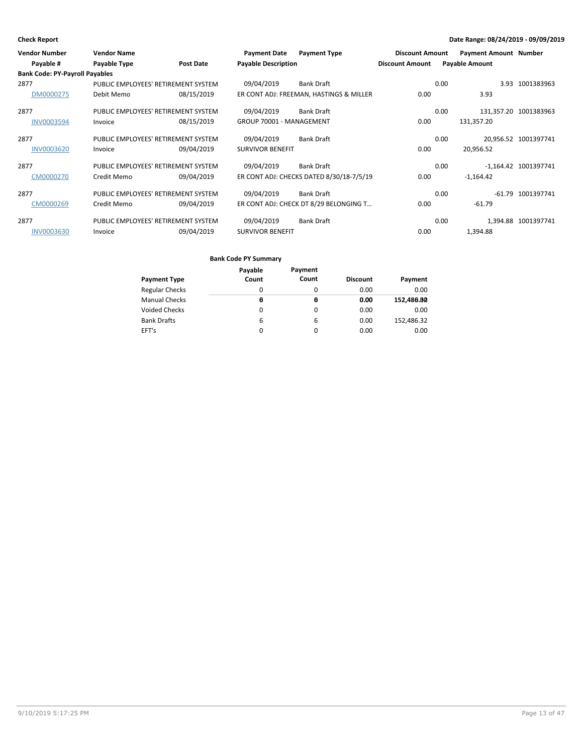| <b>Vendor Number</b><br>Payable #     | <b>Vendor Name</b><br>Payable Type  | <b>Post Date</b> | <b>Payment Date</b><br><b>Payable Description</b> | <b>Payment Type</b>                      | <b>Discount Amount</b><br><b>Discount Amount</b> | <b>Payment Amount Number</b><br><b>Payable Amount</b> |                       |
|---------------------------------------|-------------------------------------|------------------|---------------------------------------------------|------------------------------------------|--------------------------------------------------|-------------------------------------------------------|-----------------------|
| <b>Bank Code: PY-Payroll Payables</b> |                                     |                  |                                                   |                                          |                                                  |                                                       |                       |
| 2877                                  | PUBLIC EMPLOYEES' RETIREMENT SYSTEM |                  | 09/04/2019                                        | <b>Bank Draft</b>                        |                                                  | 0.00<br>3.93                                          | 1001383963            |
| DM0000275                             | Debit Memo                          | 08/15/2019       |                                                   | ER CONT ADJ: FREEMAN, HASTINGS & MILLER  | 0.00                                             | 3.93                                                  |                       |
| 2877                                  | PUBLIC EMPLOYEES' RETIREMENT SYSTEM |                  | 09/04/2019                                        | <b>Bank Draft</b>                        |                                                  | 0.00                                                  | 131,357.20 1001383963 |
| <b>INV0003594</b>                     | Invoice                             | 08/15/2019       | GROUP 70001 - MANAGEMENT                          |                                          | 0.00                                             | 131,357.20                                            |                       |
| 2877                                  | PUBLIC EMPLOYEES' RETIREMENT SYSTEM |                  | 09/04/2019                                        | <b>Bank Draft</b>                        |                                                  | 0.00<br>20.956.52                                     | 1001397741            |
| <b>INV0003620</b>                     | Invoice                             | 09/04/2019       | <b>SURVIVOR BENEFIT</b>                           |                                          | 0.00                                             | 20,956.52                                             |                       |
| 2877                                  | PUBLIC EMPLOYEES' RETIREMENT SYSTEM |                  | 09/04/2019                                        | <b>Bank Draft</b>                        |                                                  | 0.00                                                  | -1,164.42 1001397741  |
| CM0000270                             | Credit Memo                         | 09/04/2019       |                                                   | ER CONT ADJ: CHECKS DATED 8/30/18-7/5/19 | 0.00                                             | $-1,164.42$                                           |                       |
| 2877                                  | PUBLIC EMPLOYEES' RETIREMENT SYSTEM |                  | 09/04/2019                                        | Bank Draft                               |                                                  | 0.00<br>$-61.79$                                      | 1001397741            |
| CM0000269                             | Credit Memo                         | 09/04/2019       |                                                   | ER CONT ADJ: CHECK DT 8/29 BELONGING T   | 0.00                                             | $-61.79$                                              |                       |
| 2877                                  | PUBLIC EMPLOYEES' RETIREMENT SYSTEM |                  | 09/04/2019                                        | <b>Bank Draft</b>                        |                                                  | 0.00<br>1.394.88                                      | 1001397741            |
| <b>INV0003630</b>                     | Invoice                             | 09/04/2019       | <b>SURVIVOR BENEFIT</b>                           |                                          | 0.00                                             | 1,394.88                                              |                       |

|                       | Payable | Payment |                 |            |
|-----------------------|---------|---------|-----------------|------------|
| Payment Type          | Count   | Count   | <b>Discount</b> | Payment    |
| <b>Regular Checks</b> | 0       | 0       | 0.00            | 0.00       |
| <b>Manual Checks</b>  | θ       | θ       | 0.00            | 152,480.80 |
| Voided Checks         | 0       | 0       | 0.00            | 0.00       |
| <b>Bank Drafts</b>    | 6       | 6       | 0.00            | 152,486.32 |
| EFT's                 | 0       | 0       | 0.00            | 0.00       |
|                       |         |         |                 |            |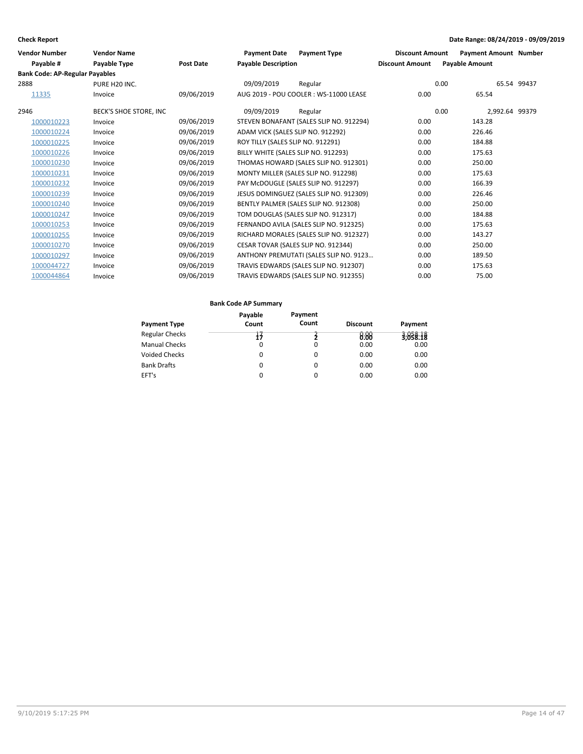| Vendor Number                         | <b>Vendor Name</b>     |                  | <b>Payment Date</b>               | <b>Payment Type</b>                     | <b>Discount Amount</b> | <b>Payment Amount Number</b> |             |
|---------------------------------------|------------------------|------------------|-----------------------------------|-----------------------------------------|------------------------|------------------------------|-------------|
| Pavable #                             | Payable Type           | <b>Post Date</b> | <b>Payable Description</b>        |                                         | <b>Discount Amount</b> | <b>Payable Amount</b>        |             |
| <b>Bank Code: AP-Regular Payables</b> |                        |                  |                                   |                                         |                        |                              |             |
| 2888                                  | PURE H20 INC.          |                  | 09/09/2019                        | Regular                                 |                        | 0.00                         | 65.54 99437 |
| 11335                                 | Invoice                | 09/06/2019       |                                   | AUG 2019 - POU COOLER: WS-11000 LEASE   | 0.00                   | 65.54                        |             |
| 2946                                  | BECK'S SHOE STORE, INC |                  | 09/09/2019                        | Regular                                 |                        | 0.00<br>2.992.64 99379       |             |
| 1000010223                            | Invoice                | 09/06/2019       |                                   | STEVEN BONAFANT (SALES SLIP NO. 912294) | 0.00                   | 143.28                       |             |
| 1000010224                            | Invoice                | 09/06/2019       | ADAM VICK (SALES SLIP NO. 912292) |                                         | 0.00                   | 226.46                       |             |
| 1000010225                            | Invoice                | 09/06/2019       | ROY TILLY (SALES SLIP NO. 912291) |                                         | 0.00                   | 184.88                       |             |
| 1000010226                            | Invoice                | 09/06/2019       |                                   | BILLY WHITE (SALES SLIP NO. 912293)     | 0.00                   | 175.63                       |             |
| 1000010230                            | Invoice                | 09/06/2019       |                                   | THOMAS HOWARD (SALES SLIP NO. 912301)   | 0.00                   | 250.00                       |             |
| 1000010231                            | Invoice                | 09/06/2019       |                                   | MONTY MILLER (SALES SLIP NO. 912298)    | 0.00                   | 175.63                       |             |
| 1000010232                            | Invoice                | 09/06/2019       |                                   | PAY McDOUGLE (SALES SLIP NO. 912297)    | 0.00                   | 166.39                       |             |
| 1000010239                            | Invoice                | 09/06/2019       |                                   | JESUS DOMINGUEZ (SALES SLIP NO. 912309) | 0.00                   | 226.46                       |             |
| 1000010240                            | Invoice                | 09/06/2019       |                                   | BENTLY PALMER (SALES SLIP NO. 912308)   | 0.00                   | 250.00                       |             |
| 1000010247                            | Invoice                | 09/06/2019       |                                   | TOM DOUGLAS (SALES SLIP NO. 912317)     | 0.00                   | 184.88                       |             |
| 1000010253                            | Invoice                | 09/06/2019       |                                   | FERNANDO AVILA (SALES SLIP NO. 912325)  | 0.00                   | 175.63                       |             |
| 1000010255                            | Invoice                | 09/06/2019       |                                   | RICHARD MORALES (SALES SLIP NO. 912327) | 0.00                   | 143.27                       |             |
| 1000010270                            | Invoice                | 09/06/2019       |                                   | CESAR TOVAR (SALES SLIP NO. 912344)     | 0.00                   | 250.00                       |             |
| 1000010297                            | Invoice                | 09/06/2019       |                                   | ANTHONY PREMUTATI (SALES SLIP NO. 9123  | 0.00                   | 189.50                       |             |
| 1000044727                            | Invoice                | 09/06/2019       |                                   | TRAVIS EDWARDS (SALES SLIP NO. 912307)  | 0.00                   | 175.63                       |             |
| 1000044864                            | Invoice                | 09/06/2019       |                                   | TRAVIS EDWARDS (SALES SLIP NO. 912355)  | 0.00                   | 75.00                        |             |

|                       | Payable  | Payment  |                 |          |
|-----------------------|----------|----------|-----------------|----------|
| <b>Payment Type</b>   | Count    | Count    | <b>Discount</b> | Payment  |
| <b>Regular Checks</b> | 74       |          | 0.88            | 3,058.18 |
| <b>Manual Checks</b>  | 0        | $\Omega$ | 0.00            | 0.00     |
| Voided Checks         | 0        | 0        | 0.00            | 0.00     |
| <b>Bank Drafts</b>    | $\Omega$ | 0        | 0.00            | 0.00     |
| EFT's                 | 0        | 0        | 0.00            | 0.00     |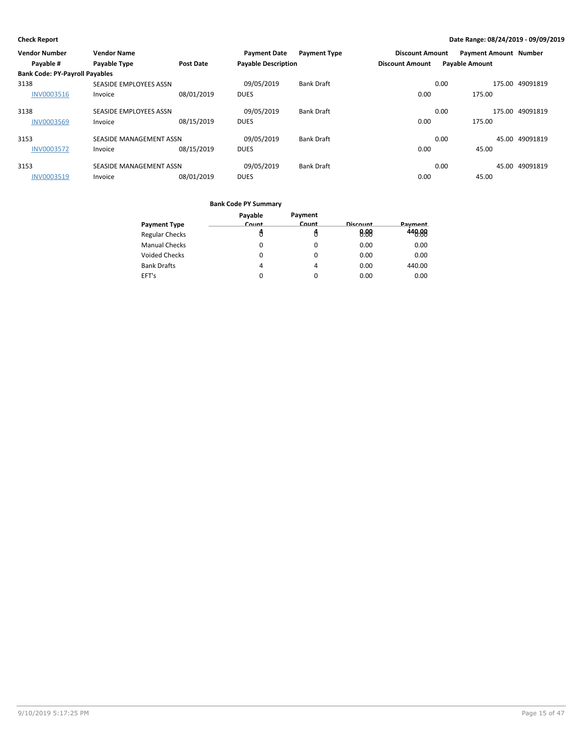| Vendor Number                         | <b>Vendor Name</b>      |                  | <b>Payment Date</b>        | <b>Payment Type</b> | <b>Discount Amount</b> |                       | <b>Payment Amount Number</b> |          |
|---------------------------------------|-------------------------|------------------|----------------------------|---------------------|------------------------|-----------------------|------------------------------|----------|
| Payable #                             | <b>Payable Type</b>     | <b>Post Date</b> | <b>Payable Description</b> |                     | <b>Discount Amount</b> | <b>Payable Amount</b> |                              |          |
| <b>Bank Code: PY-Payroll Payables</b> |                         |                  |                            |                     |                        |                       |                              |          |
| 3138                                  | SEASIDE EMPLOYEES ASSN  |                  | 09/05/2019                 | <b>Bank Draft</b>   |                        | 0.00                  | 175.00                       | 49091819 |
| INV0003516                            | Invoice                 | 08/01/2019       | <b>DUES</b>                |                     | 0.00                   |                       | 175.00                       |          |
| 3138                                  | SEASIDE EMPLOYEES ASSN  |                  | 09/05/2019                 | <b>Bank Draft</b>   |                        | 0.00                  | 175.00                       | 49091819 |
| <b>INV0003569</b>                     | Invoice                 | 08/15/2019       | <b>DUES</b>                |                     | 0.00                   |                       | 175.00                       |          |
| 3153                                  | SEASIDE MANAGEMENT ASSN |                  | 09/05/2019                 | <b>Bank Draft</b>   |                        | 0.00                  | 45.00                        | 49091819 |
| <b>INV0003572</b>                     | Invoice                 | 08/15/2019       | <b>DUES</b>                |                     | 0.00                   |                       | 45.00                        |          |
| 3153                                  | SEASIDE MANAGEMENT ASSN |                  | 09/05/2019                 | <b>Bank Draft</b>   |                        | 0.00                  | 45.00                        | 49091819 |
| <b>INV0003519</b>                     | Invoice                 | 08/01/2019       | <b>DUES</b>                |                     | 0.00                   |                       | 45.00                        |          |

|                       | Payable  | Payment      |                 |                |
|-----------------------|----------|--------------|-----------------|----------------|
| <b>Payment Type</b>   | Count    | <b>Count</b> | <b>Discount</b> | <b>Payment</b> |
| <b>Regular Checks</b> |          |              | 0.88            | 448.88         |
| <b>Manual Checks</b>  | 0        | 0            | 0.00            | 0.00           |
| Voided Checks         | 0        | 0            | 0.00            | 0.00           |
| <b>Bank Drafts</b>    | 4        | 4            | 0.00            | 440.00         |
| EFT's                 | $\Omega$ | $\Omega$     | 0.00            | 0.00           |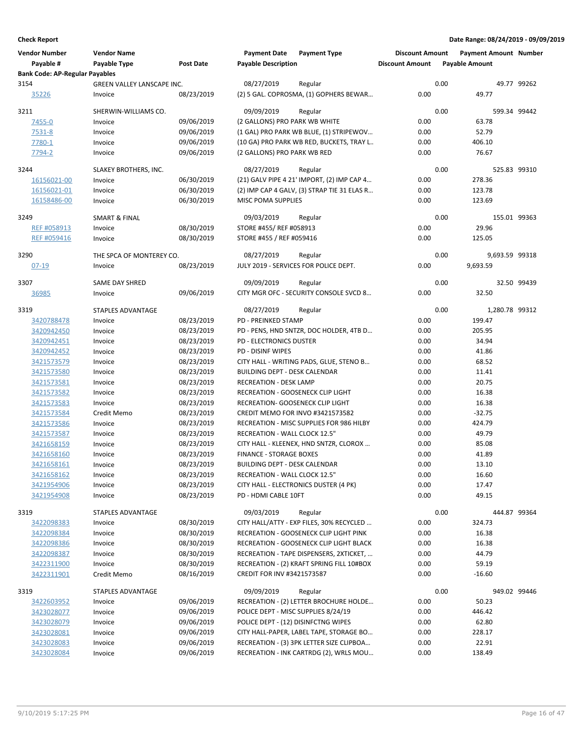| <b>Vendor Number</b><br>Payable #     | <b>Vendor Name</b><br>Payable Type | Post Date  | <b>Payment Date</b><br><b>Payable Description</b> | <b>Payment Type</b>                         | <b>Discount Amount</b><br><b>Discount Amount</b> | <b>Payment Amount Number</b><br><b>Payable Amount</b> |                |
|---------------------------------------|------------------------------------|------------|---------------------------------------------------|---------------------------------------------|--------------------------------------------------|-------------------------------------------------------|----------------|
| <b>Bank Code: AP-Regular Payables</b> |                                    |            |                                                   |                                             |                                                  |                                                       |                |
| 3154                                  | GREEN VALLEY LANSCAPE INC.         |            | 08/27/2019                                        | Regular                                     |                                                  | 0.00                                                  | 49.77 99262    |
| 35226                                 | Invoice                            | 08/23/2019 |                                                   | (2) 5 GAL. COPROSMA, (1) GOPHERS BEWAR      | 0.00                                             | 49.77                                                 |                |
| 3211                                  | SHERWIN-WILLIAMS CO.               |            | 09/09/2019                                        | Regular                                     |                                                  | 0.00                                                  | 599.34 99442   |
| 7455-0                                | Invoice                            | 09/06/2019 | (2 GALLONS) PRO PARK WB WHITE                     |                                             | 0.00                                             | 63.78                                                 |                |
| 7531-8                                | Invoice                            | 09/06/2019 |                                                   | (1 GAL) PRO PARK WB BLUE, (1) STRIPEWOV     | 0.00                                             | 52.79                                                 |                |
| 7780-1                                | Invoice                            | 09/06/2019 |                                                   | (10 GA) PRO PARK WB RED, BUCKETS, TRAY L    | 0.00                                             | 406.10                                                |                |
| 7794-2                                | Invoice                            | 09/06/2019 | (2 GALLONS) PRO PARK WB RED                       |                                             | 0.00                                             | 76.67                                                 |                |
| 3244                                  | SLAKEY BROTHERS, INC.              |            | 08/27/2019                                        | Regular                                     |                                                  | 0.00                                                  | 525.83 99310   |
| 16156021-00                           | Invoice                            | 06/30/2019 |                                                   | (21) GALV PIPE 4 21' IMPORT, (2) IMP CAP 4  | 0.00                                             | 278.36                                                |                |
| 16156021-01                           | Invoice                            | 06/30/2019 |                                                   | (2) IMP CAP 4 GALV, (3) STRAP TIE 31 ELAS R | 0.00                                             | 123.78                                                |                |
| 16158486-00                           | Invoice                            | 06/30/2019 | MISC POMA SUPPLIES                                |                                             | 0.00                                             | 123.69                                                |                |
|                                       |                                    |            |                                                   |                                             |                                                  |                                                       |                |
| 3249                                  | <b>SMART &amp; FINAL</b>           |            | 09/03/2019                                        | Regular                                     |                                                  | 0.00                                                  | 155.01 99363   |
| REF #058913                           | Invoice                            | 08/30/2019 | STORE #455/ REF #058913                           |                                             | 0.00                                             | 29.96                                                 |                |
| REF #059416                           | Invoice                            | 08/30/2019 | STORE #455 / REF #059416                          |                                             | 0.00                                             | 125.05                                                |                |
| 3290                                  | THE SPCA OF MONTEREY CO.           |            | 08/27/2019                                        | Regular                                     |                                                  | 0.00                                                  | 9,693.59 99318 |
| $07 - 19$                             | Invoice                            | 08/23/2019 |                                                   | JULY 2019 - SERVICES FOR POLICE DEPT.       | 0.00                                             | 9,693.59                                              |                |
| 3307                                  | <b>SAME DAY SHRED</b>              |            | 09/09/2019                                        | Regular                                     |                                                  | 0.00                                                  | 32.50 99439    |
| 36985                                 | Invoice                            | 09/06/2019 |                                                   | CITY MGR OFC - SECURITY CONSOLE SVCD 8      | 0.00                                             | 32.50                                                 |                |
|                                       |                                    |            |                                                   |                                             |                                                  |                                                       |                |
| 3319                                  | STAPLES ADVANTAGE                  |            | 08/27/2019                                        | Regular                                     |                                                  | 0.00                                                  | 1,280.78 99312 |
| 3420788478                            | Invoice                            | 08/23/2019 | <b>PD - PREINKED STAMP</b>                        |                                             | 0.00                                             | 199.47                                                |                |
| 3420942450                            | Invoice                            | 08/23/2019 |                                                   | PD - PENS, HND SNTZR, DOC HOLDER, 4TB D     | 0.00                                             | 205.95                                                |                |
| 3420942451                            | Invoice                            | 08/23/2019 | PD - ELECTRONICS DUSTER                           |                                             | 0.00                                             | 34.94                                                 |                |
| 3420942452                            | Invoice                            | 08/23/2019 | <b>PD - DISINF WIPES</b>                          |                                             | 0.00                                             | 41.86                                                 |                |
| 3421573579                            | Invoice                            | 08/23/2019 |                                                   | CITY HALL - WRITING PADS, GLUE, STENO B     | 0.00                                             | 68.52                                                 |                |
| 3421573580                            | Invoice                            | 08/23/2019 | BUILDING DEPT - DESK CALENDAR                     |                                             | 0.00                                             | 11.41                                                 |                |
| 3421573581                            | Invoice                            | 08/23/2019 | <b>RECREATION - DESK LAMP</b>                     |                                             | 0.00                                             | 20.75                                                 |                |
| 3421573582                            | Invoice                            | 08/23/2019 |                                                   | RECREATION - GOOSENECK CLIP LIGHT           | 0.00                                             | 16.38                                                 |                |
| 3421573583                            | Invoice                            | 08/23/2019 |                                                   | RECREATION- GOOSENECK CLIP LIGHT            | 0.00                                             | 16.38                                                 |                |
| 3421573584                            | Credit Memo                        | 08/23/2019 |                                                   | <b>CREDIT MEMO FOR INVO #3421573582</b>     | 0.00                                             | $-32.75$                                              |                |
| 3421573586                            | Invoice                            | 08/23/2019 |                                                   | RECREATION - MISC SUPPLIES FOR 986 HILBY    | 0.00                                             | 424.79                                                |                |
| 3421573587                            | Invoice                            | 08/23/2019 | RECREATION - WALL CLOCK 12.5"                     |                                             | 0.00                                             | 49.79                                                 |                |
| 3421658159                            | Invoice                            | 08/23/2019 |                                                   | CITY HALL - KLEENEX, HND SNTZR, CLOROX      | 0.00                                             | 85.08                                                 |                |
| 3421658160                            | Invoice                            | 08/23/2019 | <b>FINANCE - STORAGE BOXES</b>                    |                                             | 0.00                                             | 41.89                                                 |                |
| 3421658161                            | Invoice                            | 08/23/2019 | <b>BUILDING DEPT - DESK CALENDAR</b>              |                                             | 0.00                                             | 13.10                                                 |                |
| 3421658162                            | Invoice                            | 08/23/2019 | RECREATION - WALL CLOCK 12.5"                     |                                             | 0.00                                             | 16.60                                                 |                |
| 3421954906                            | Invoice                            | 08/23/2019 |                                                   | CITY HALL - ELECTRONICS DUSTER (4 PK)       | 0.00                                             | 17.47                                                 |                |
| 3421954908                            | Invoice                            | 08/23/2019 | PD - HDMI CABLE 10FT                              |                                             | 0.00                                             | 49.15                                                 |                |
| 3319                                  | STAPLES ADVANTAGE                  |            | 09/03/2019                                        | Regular                                     |                                                  | 0.00                                                  | 444.87 99364   |
| 3422098383                            | Invoice                            | 08/30/2019 |                                                   | CITY HALL/ATTY - EXP FILES, 30% RECYCLED    | 0.00                                             | 324.73                                                |                |
| 3422098384                            | Invoice                            | 08/30/2019 |                                                   | RECREATION - GOOSENECK CLIP LIGHT PINK      | 0.00                                             | 16.38                                                 |                |
| 3422098386                            | Invoice                            | 08/30/2019 |                                                   | RECREATION - GOOSENECK CLIP LIGHT BLACK     | 0.00                                             | 16.38                                                 |                |
| 3422098387                            | Invoice                            | 08/30/2019 |                                                   | RECREATION - TAPE DISPENSERS, 2XTICKET,     | 0.00                                             | 44.79                                                 |                |
| 3422311900                            | Invoice                            | 08/30/2019 |                                                   | RECREATION - (2) KRAFT SPRING FILL 10#BOX   | 0.00                                             | 59.19                                                 |                |
| 3422311901                            | Credit Memo                        | 08/16/2019 | CREDIT FOR INV #3421573587                        |                                             | 0.00                                             | $-16.60$                                              |                |
| 3319                                  | STAPLES ADVANTAGE                  |            | 09/09/2019                                        | Regular                                     |                                                  | 0.00                                                  | 949.02 99446   |
| 3422603952                            | Invoice                            | 09/06/2019 |                                                   | RECREATION - (2) LETTER BROCHURE HOLDE      | 0.00                                             | 50.23                                                 |                |
| 3423028077                            | Invoice                            | 09/06/2019 |                                                   | POLICE DEPT - MISC SUPPLIES 8/24/19         | 0.00                                             | 446.42                                                |                |
| 3423028079                            | Invoice                            | 09/06/2019 |                                                   | POLICE DEPT - (12) DISINFCTNG WIPES         | 0.00                                             | 62.80                                                 |                |
| 3423028081                            | Invoice                            | 09/06/2019 |                                                   | CITY HALL-PAPER, LABEL TAPE, STORAGE BO     | 0.00                                             | 228.17                                                |                |
| 3423028083                            | Invoice                            | 09/06/2019 |                                                   | RECREATION - (3) 3PK LETTER SIZE CLIPBOA    | 0.00                                             | 22.91                                                 |                |
| 3423028084                            | Invoice                            | 09/06/2019 |                                                   | RECREATION - INK CARTRDG (2), WRLS MOU      | 0.00                                             | 138.49                                                |                |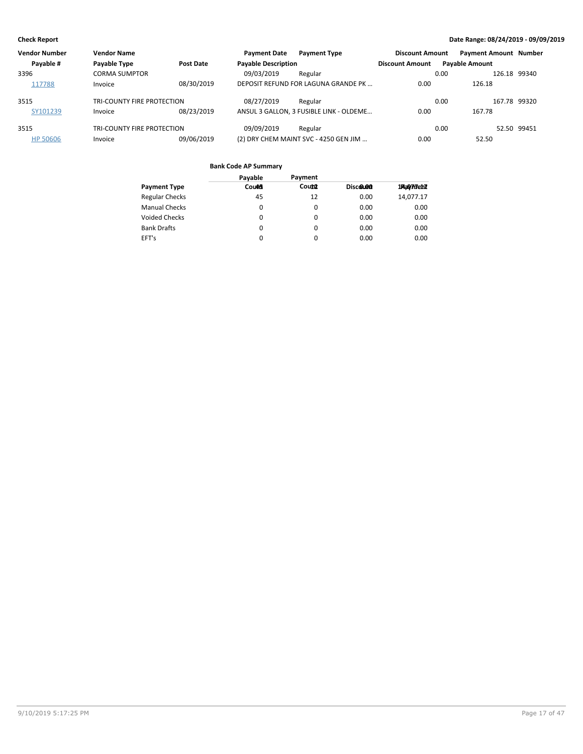| Vendor Number | <b>Vendor Name</b>         |            | <b>Payment Date</b>        | <b>Payment Type</b>                     | <b>Discount Amount</b> | <b>Payment Amount Number</b> |              |
|---------------|----------------------------|------------|----------------------------|-----------------------------------------|------------------------|------------------------------|--------------|
| Payable #     | Payable Type               | Post Date  | <b>Payable Description</b> |                                         | <b>Discount Amount</b> | <b>Payable Amount</b>        |              |
| 3396          | <b>CORMA SUMPTOR</b>       |            | 09/03/2019                 | Regular                                 |                        | 0.00                         | 126.18 99340 |
| 117788        | Invoice                    | 08/30/2019 |                            | DEPOSIT REFUND FOR LAGUNA GRANDE PK     | 0.00                   | 126.18                       |              |
| 3515          | TRI-COUNTY FIRE PROTECTION |            | 08/27/2019                 | Regular                                 |                        | 0.00                         | 167.78 99320 |
| SY101239      | Invoice                    | 08/23/2019 |                            | ANSUL 3 GALLON, 3 FUSIBLE LINK - OLDEME | 0.00                   | 167.78                       |              |
| 3515          | TRI-COUNTY FIRE PROTECTION |            | 09/09/2019                 | Regular                                 |                        | 0.00                         | 52.50 99451  |
| HP 50606      | Invoice                    | 09/06/2019 |                            | (2) DRY CHEM MAINT SVC - 4250 GEN JIM   | 0.00                   | 52.50                        |              |

|                       | Payable      | Payment  |          |            |
|-----------------------|--------------|----------|----------|------------|
| <b>Payment Type</b>   | <b>Count</b> | Count    | Discolon | 1Aa0777eh7 |
| <b>Regular Checks</b> | 45           | 12       | 0.00     | 14,077.17  |
| <b>Manual Checks</b>  | 0            | 0        | 0.00     | 0.00       |
| <b>Voided Checks</b>  | 0            | 0        | 0.00     | 0.00       |
| <b>Bank Drafts</b>    | $\Omega$     | $\Omega$ | 0.00     | 0.00       |
| EFT's                 | $\Omega$     | 0        | 0.00     | 0.00       |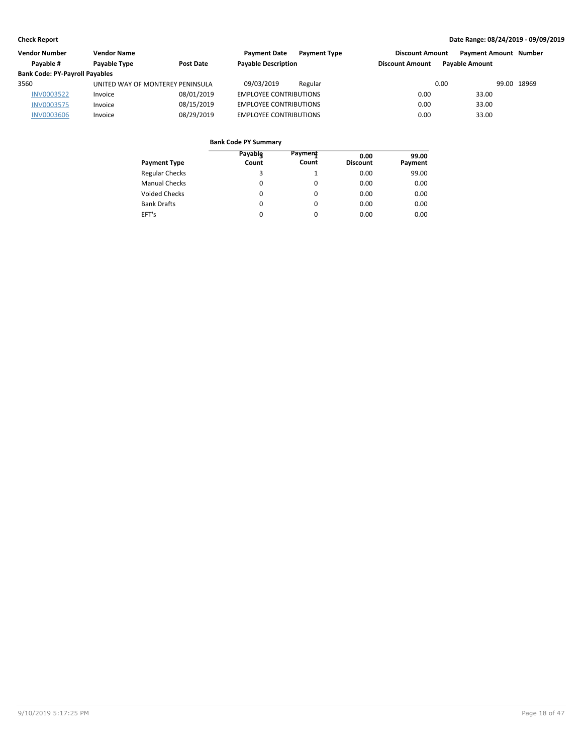| Vendor Number                         | <b>Vendor Name</b>               |            | <b>Payment Date</b><br><b>Payment Type</b> | <b>Discount Amount</b> | <b>Payment Amount Number</b> |             |
|---------------------------------------|----------------------------------|------------|--------------------------------------------|------------------------|------------------------------|-------------|
| Pavable #                             | Payable Type                     | Post Date  | <b>Payable Description</b>                 | <b>Discount Amount</b> | <b>Pavable Amount</b>        |             |
| <b>Bank Code: PY-Payroll Payables</b> |                                  |            |                                            |                        |                              |             |
| 3560                                  | UNITED WAY OF MONTEREY PENINSULA |            | 09/03/2019<br>Regular                      | 0.00                   |                              | 99.00 18969 |
| <b>INV0003522</b>                     | Invoice                          | 08/01/2019 | <b>EMPLOYEE CONTRIBUTIONS</b>              | 0.00                   | 33.00                        |             |
| <b>INV0003575</b>                     | Invoice                          | 08/15/2019 | <b>EMPLOYEE CONTRIBUTIONS</b>              | 0.00                   | 33.00                        |             |
| <b>INV0003606</b>                     | Invoice                          | 08/29/2019 | <b>EMPLOYEE CONTRIBUTIONS</b>              | 0.00                   | 33.00                        |             |

| <b>Payment Type</b>   | Payable<br>Count | Payment<br>Count | 0.00<br><b>Discount</b> | 99.00<br>Payment |
|-----------------------|------------------|------------------|-------------------------|------------------|
| <b>Regular Checks</b> | 3                | 1                | 0.00                    | 99.00            |
| <b>Manual Checks</b>  | 0                | 0                | 0.00                    | 0.00             |
| Voided Checks         | 0                | 0                | 0.00                    | 0.00             |
| <b>Bank Drafts</b>    | 0                | $\Omega$         | 0.00                    | 0.00             |
| EFT's                 | 0                | $\Omega$         | 0.00                    | 0.00             |
|                       |                  |                  |                         |                  |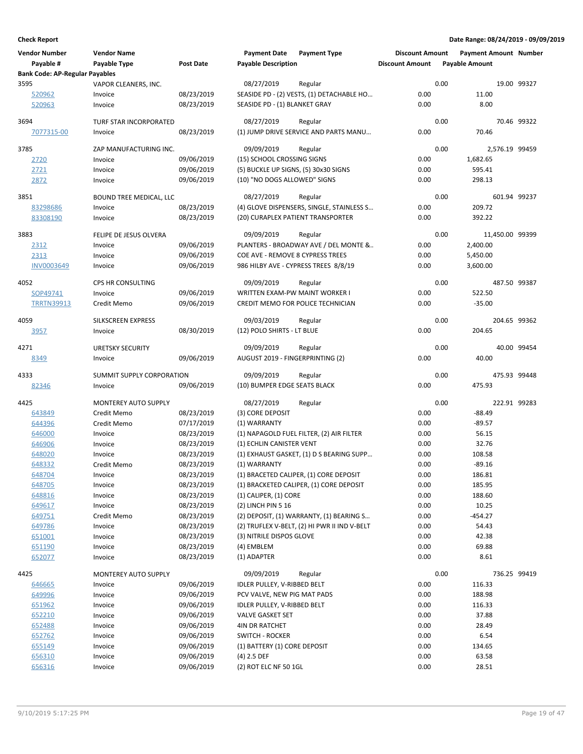| <b>Vendor Number</b><br>Payable #     | <b>Vendor Name</b><br>Payable Type | <b>Post Date</b> | <b>Payment Date</b><br><b>Payable Description</b> | <b>Payment Type</b>                                                               | <b>Discount Amount</b><br><b>Discount Amount</b> | <b>Payment Amount Number</b><br><b>Payable Amount</b> |                |
|---------------------------------------|------------------------------------|------------------|---------------------------------------------------|-----------------------------------------------------------------------------------|--------------------------------------------------|-------------------------------------------------------|----------------|
| <b>Bank Code: AP-Regular Payables</b> |                                    |                  |                                                   |                                                                                   |                                                  |                                                       |                |
| 3595                                  | VAPOR CLEANERS, INC.               |                  | 08/27/2019                                        | Regular                                                                           |                                                  | 0.00                                                  | 19.00 99327    |
| 520962                                | Invoice                            | 08/23/2019       |                                                   | SEASIDE PD - (2) VESTS, (1) DETACHABLE HO                                         | 0.00                                             | 11.00                                                 |                |
| 520963                                | Invoice                            | 08/23/2019       | SEASIDE PD - (1) BLANKET GRAY                     |                                                                                   | 0.00                                             | 8.00                                                  |                |
| 3694                                  | TURF STAR INCORPORATED             |                  | 08/27/2019                                        | Regular                                                                           |                                                  | 0.00                                                  | 70.46 99322    |
| 7077315-00                            | Invoice                            | 08/23/2019       |                                                   | (1) JUMP DRIVE SERVICE AND PARTS MANU                                             | 0.00                                             | 70.46                                                 |                |
|                                       |                                    |                  |                                                   |                                                                                   |                                                  |                                                       |                |
| 3785                                  | ZAP MANUFACTURING INC.             |                  | 09/09/2019                                        | Regular                                                                           |                                                  | 0.00                                                  | 2,576.19 99459 |
| 2720                                  | Invoice                            | 09/06/2019       | (15) SCHOOL CROSSING SIGNS                        |                                                                                   | 0.00                                             | 1,682.65                                              |                |
| 2721                                  | Invoice                            | 09/06/2019       | (5) BUCKLE UP SIGNS, (5) 30x30 SIGNS              |                                                                                   | 0.00                                             | 595.41                                                |                |
| 2872                                  | Invoice                            | 09/06/2019       | (10) "NO DOGS ALLOWED" SIGNS                      |                                                                                   | 0.00                                             | 298.13                                                |                |
| 3851                                  | <b>BOUND TREE MEDICAL, LLC</b>     |                  | 08/27/2019                                        | Regular                                                                           |                                                  | 0.00                                                  | 601.94 99237   |
| 83298686                              | Invoice                            | 08/23/2019       |                                                   | (4) GLOVE DISPENSERS, SINGLE, STAINLESS S                                         | 0.00                                             | 209.72                                                |                |
| 83308190                              | Invoice                            | 08/23/2019       |                                                   | (20) CURAPLEX PATIENT TRANSPORTER                                                 | 0.00                                             | 392.22                                                |                |
|                                       |                                    |                  |                                                   |                                                                                   |                                                  |                                                       |                |
| 3883                                  | FELIPE DE JESUS OLVERA             |                  | 09/09/2019                                        | Regular                                                                           |                                                  | 0.00<br>11,450.00 99399                               |                |
| 2312                                  | Invoice                            | 09/06/2019       |                                                   | PLANTERS - BROADWAY AVE / DEL MONTE &                                             | 0.00                                             | 2,400.00                                              |                |
| 2313                                  | Invoice                            | 09/06/2019       | COE AVE - REMOVE 8 CYPRESS TREES                  |                                                                                   | 0.00                                             | 5,450.00                                              |                |
| INV0003649                            | Invoice                            | 09/06/2019       |                                                   | 986 HILBY AVE - CYPRESS TREES 8/8/19                                              | 0.00                                             | 3,600.00                                              |                |
| 4052                                  | CPS HR CONSULTING                  |                  | 09/09/2019                                        | Regular                                                                           |                                                  | 0.00                                                  | 487.50 99387   |
| SOP49741                              | Invoice                            | 09/06/2019       | WRITTEN EXAM-PW MAINT WORKER I                    |                                                                                   | 0.00                                             | 522.50                                                |                |
| <b>TRRTN39913</b>                     | Credit Memo                        | 09/06/2019       |                                                   | CREDIT MEMO FOR POLICE TECHNICIAN                                                 | 0.00                                             | $-35.00$                                              |                |
|                                       |                                    |                  |                                                   |                                                                                   |                                                  |                                                       |                |
| 4059                                  | SILKSCREEN EXPRESS                 |                  | 09/03/2019                                        | Regular                                                                           |                                                  | 0.00                                                  | 204.65 99362   |
| 3957                                  | Invoice                            | 08/30/2019       | (12) POLO SHIRTS - LT BLUE                        |                                                                                   | 0.00                                             | 204.65                                                |                |
| 4271                                  | <b>URETSKY SECURITY</b>            |                  | 09/09/2019                                        | Regular                                                                           |                                                  | 0.00                                                  | 40.00 99454    |
| 8349                                  | Invoice                            | 09/06/2019       | AUGUST 2019 - FINGERPRINTING (2)                  |                                                                                   | 0.00                                             | 40.00                                                 |                |
|                                       |                                    |                  |                                                   |                                                                                   |                                                  |                                                       |                |
| 4333                                  | SUMMIT SUPPLY CORPORATION          |                  | 09/09/2019                                        | Regular                                                                           |                                                  | 0.00                                                  | 475.93 99448   |
| 82346                                 | Invoice                            | 09/06/2019       | (10) BUMPER EDGE SEATS BLACK                      |                                                                                   | 0.00                                             | 475.93                                                |                |
| 4425                                  | <b>MONTEREY AUTO SUPPLY</b>        |                  | 08/27/2019                                        | Regular                                                                           |                                                  | 0.00                                                  | 222.91 99283   |
| 643849                                | Credit Memo                        | 08/23/2019       | (3) CORE DEPOSIT                                  |                                                                                   | 0.00                                             | $-88.49$                                              |                |
| 644396                                | Credit Memo                        | 07/17/2019       | (1) WARRANTY                                      |                                                                                   | 0.00                                             | $-89.57$                                              |                |
| 646000                                | Invoice                            | 08/23/2019       |                                                   | (1) NAPAGOLD FUEL FILTER, (2) AIR FILTER                                          | 0.00                                             | 56.15                                                 |                |
| 646906                                | Invoice                            | 08/23/2019       | (1) ECHLIN CANISTER VENT                          |                                                                                   | 0.00                                             | 32.76                                                 |                |
| 648020                                | Invoice                            | 08/23/2019       |                                                   | (1) EXHAUST GASKET, (1) D S BEARING SUPP                                          | 0.00                                             | 108.58                                                |                |
| 648332                                | Credit Memo                        | 08/23/2019       | (1) WARRANTY                                      |                                                                                   | 0.00                                             | $-89.16$                                              |                |
| 648704                                |                                    | 08/23/2019       |                                                   |                                                                                   |                                                  |                                                       |                |
| 648705                                | Invoice<br>Invoice                 | 08/23/2019       |                                                   | (1) BRACETED CALIPER, (1) CORE DEPOSIT<br>(1) BRACKETED CALIPER, (1) CORE DEPOSIT | 0.00<br>0.00                                     | 186.81<br>185.95                                      |                |
| 648816                                | Invoice                            | 08/23/2019       |                                                   |                                                                                   | 0.00                                             | 188.60                                                |                |
|                                       |                                    | 08/23/2019       | $(1)$ CALIPER, $(1)$ CORE<br>(2) LINCH PIN 5 16   |                                                                                   | 0.00                                             | 10.25                                                 |                |
| 649617                                | Invoice<br>Credit Memo             |                  |                                                   |                                                                                   |                                                  |                                                       |                |
| 649751                                |                                    | 08/23/2019       |                                                   | (2) DEPOSIT, (1) WARRANTY, (1) BEARING S                                          | 0.00                                             | $-454.27$                                             |                |
| 649786                                | Invoice                            | 08/23/2019       |                                                   | (2) TRUFLEX V-BELT, (2) HI PWR II IND V-BELT                                      | 0.00                                             | 54.43                                                 |                |
| 651001                                | Invoice                            | 08/23/2019       | (3) NITRILE DISPOS GLOVE                          |                                                                                   | 0.00                                             | 42.38                                                 |                |
| 651190                                | Invoice                            | 08/23/2019       | (4) EMBLEM                                        |                                                                                   | 0.00                                             | 69.88                                                 |                |
| 652077                                | Invoice                            | 08/23/2019       | (1) ADAPTER                                       |                                                                                   | 0.00                                             | 8.61                                                  |                |
| 4425                                  | <b>MONTEREY AUTO SUPPLY</b>        |                  | 09/09/2019                                        | Regular                                                                           |                                                  | 0.00                                                  | 736.25 99419   |
| 646665                                | Invoice                            | 09/06/2019       | IDLER PULLEY, V-RIBBED BELT                       |                                                                                   | 0.00                                             | 116.33                                                |                |
| 649996                                | Invoice                            | 09/06/2019       | PCV VALVE, NEW PIG MAT PADS                       |                                                                                   | 0.00                                             | 188.98                                                |                |
| 651962                                | Invoice                            | 09/06/2019       | IDLER PULLEY, V-RIBBED BELT                       |                                                                                   | 0.00                                             | 116.33                                                |                |
| 652210                                | Invoice                            | 09/06/2019       | VALVE GASKET SET                                  |                                                                                   | 0.00                                             | 37.88                                                 |                |
| 652488                                | Invoice                            | 09/06/2019       | <b>4IN DR RATCHET</b>                             |                                                                                   | 0.00                                             | 28.49                                                 |                |
| 652762                                | Invoice                            | 09/06/2019       | <b>SWITCH - ROCKER</b>                            |                                                                                   | 0.00                                             | 6.54                                                  |                |
| 655149                                | Invoice                            | 09/06/2019       | (1) BATTERY (1) CORE DEPOSIT                      |                                                                                   | 0.00                                             | 134.65                                                |                |
| 656310                                | Invoice                            | 09/06/2019       | $(4)$ 2.5 DEF                                     |                                                                                   | 0.00                                             | 63.58                                                 |                |
| 656316                                | Invoice                            | 09/06/2019       | (2) ROT ELC NF 50 1GL                             |                                                                                   | 0.00                                             | 28.51                                                 |                |
|                                       |                                    |                  |                                                   |                                                                                   |                                                  |                                                       |                |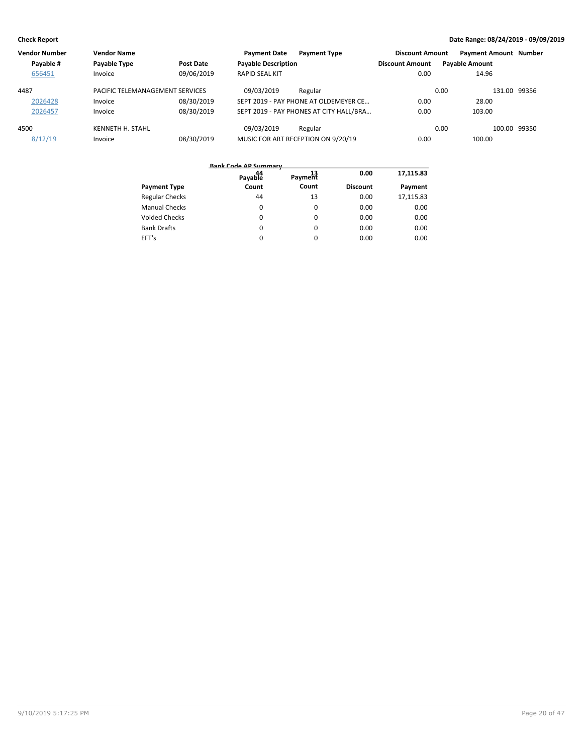| <b>Vendor Number</b> | <b>Vendor Name</b>              |            | <b>Payment Date</b>        | <b>Payment Type</b>                     | <b>Discount Amount</b> | <b>Payment Amount Number</b> |              |
|----------------------|---------------------------------|------------|----------------------------|-----------------------------------------|------------------------|------------------------------|--------------|
| Payable #            | Payable Type                    | Post Date  | <b>Payable Description</b> |                                         | <b>Discount Amount</b> | <b>Payable Amount</b>        |              |
| 656451               | Invoice                         | 09/06/2019 | <b>RAPID SEAL KIT</b>      |                                         | 0.00                   | 14.96                        |              |
| 4487                 | PACIFIC TELEMANAGEMENT SERVICES |            | 09/03/2019                 | Regular                                 |                        | 0.00                         | 131.00 99356 |
| 2026428              | Invoice                         | 08/30/2019 |                            | SEPT 2019 - PAY PHONE AT OLDEMEYER CE   | 0.00                   | 28.00                        |              |
| 2026457              | Invoice                         | 08/30/2019 |                            | SEPT 2019 - PAY PHONES AT CITY HALL/BRA | 0.00                   | 103.00                       |              |
| 4500                 | KENNETH H. STAHL                |            | 09/03/2019                 | Regular                                 |                        | 0.00                         | 100.00 99350 |
| 8/12/19              | Invoice                         | 08/30/2019 |                            | MUSIC FOR ART RECEPTION ON 9/20/19      | 0.00                   | 100.00                       |              |

|                       | ------ ---- - - - - ----------<br>44<br>Payable | Payment | 0.00            | 17,115.83 |
|-----------------------|-------------------------------------------------|---------|-----------------|-----------|
| <b>Payment Type</b>   | Count                                           | Count   | <b>Discount</b> | Payment   |
| <b>Regular Checks</b> | 44                                              | 13      | 0.00            | 17,115.83 |
| <b>Manual Checks</b>  | 0                                               | 0       | 0.00            | 0.00      |
| <b>Voided Checks</b>  | 0                                               | 0       | 0.00            | 0.00      |
| <b>Bank Drafts</b>    | 0                                               | 0       | 0.00            | 0.00      |
| EFT's                 | 0                                               | 0       | 0.00            | 0.00      |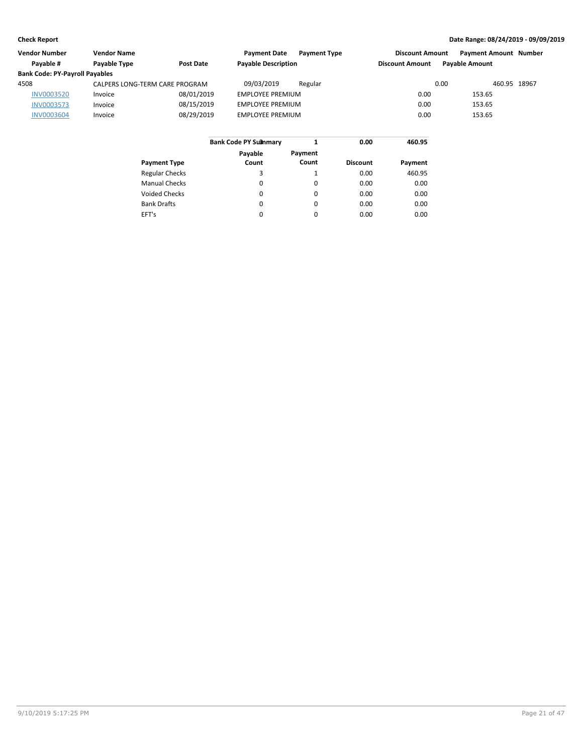| Vendor Number                         | <b>Vendor Name</b>             |                  | <b>Payment Date</b><br><b>Payment Type</b> | <b>Discount Amount</b> | <b>Payment Amount Number</b> |  |
|---------------------------------------|--------------------------------|------------------|--------------------------------------------|------------------------|------------------------------|--|
| Pavable #                             | Payable Type                   | <b>Post Date</b> | <b>Payable Description</b>                 | <b>Discount Amount</b> | <b>Pavable Amount</b>        |  |
| <b>Bank Code: PY-Payroll Payables</b> |                                |                  |                                            |                        |                              |  |
| 4508                                  | CALPERS LONG-TERM CARE PROGRAM |                  | 09/03/2019<br>Regular                      | 0.00                   | 460.95 18967                 |  |
| <b>INV0003520</b>                     | Invoice                        | 08/01/2019       | <b>EMPLOYEE PREMIUM</b>                    | 0.00                   | 153.65                       |  |
| <b>INV0003573</b>                     | Invoice                        | 08/15/2019       | <b>EMPLOYEE PREMIUM</b>                    | 0.00                   | 153.65                       |  |
| <b>INV0003604</b>                     | Invoice                        | 08/29/2019       | <b>EMPLOYEE PREMIUM</b>                    | 0.00                   | 153.65                       |  |
|                                       |                                |                  |                                            |                        |                              |  |

|                       | <b>Bank Code PY Summary</b> |          | 0.00            | 460.95  |  |  |
|-----------------------|-----------------------------|----------|-----------------|---------|--|--|
|                       | Payable                     | Payment  |                 |         |  |  |
| <b>Payment Type</b>   | Count                       | Count    | <b>Discount</b> | Payment |  |  |
| <b>Regular Checks</b> | 3                           | 1        | 0.00            | 460.95  |  |  |
| <b>Manual Checks</b>  | 0                           | 0        | 0.00            | 0.00    |  |  |
| Voided Checks         | 0                           | 0        | 0.00            | 0.00    |  |  |
| <b>Bank Drafts</b>    | $\Omega$                    | $\Omega$ | 0.00            | 0.00    |  |  |
| EFT's                 | $\Omega$                    | 0        | 0.00            | 0.00    |  |  |
|                       |                             |          |                 |         |  |  |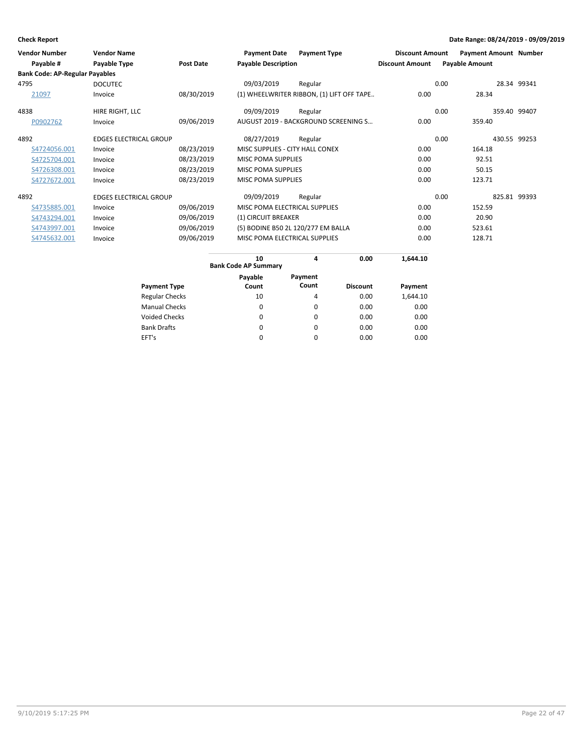| <b>Vendor Number</b>                  | <b>Vendor Name</b>            |                  | <b>Payment Date</b>                | <b>Payment Type</b>                       | <b>Discount Amount</b> | <b>Payment Amount Number</b> |              |
|---------------------------------------|-------------------------------|------------------|------------------------------------|-------------------------------------------|------------------------|------------------------------|--------------|
| Payable #                             | Payable Type                  | <b>Post Date</b> | <b>Payable Description</b>         |                                           | <b>Discount Amount</b> | <b>Payable Amount</b>        |              |
| <b>Bank Code: AP-Regular Payables</b> |                               |                  |                                    |                                           |                        |                              |              |
| 4795                                  | <b>DOCUTEC</b>                |                  | 09/03/2019                         | Regular                                   |                        | 0.00                         | 28.34 99341  |
| 21097                                 | Invoice                       | 08/30/2019       |                                    | (1) WHEELWRITER RIBBON, (1) LIFT OFF TAPE | 0.00                   | 28.34                        |              |
| 4838                                  | HIRE RIGHT, LLC               |                  | 09/09/2019                         | Regular                                   |                        | 0.00                         | 359.40 99407 |
| P0902762                              | Invoice                       | 09/06/2019       |                                    | AUGUST 2019 - BACKGROUND SCREENING S      | 0.00                   | 359.40                       |              |
| 4892                                  | <b>EDGES ELECTRICAL GROUP</b> |                  | 08/27/2019                         | Regular                                   |                        | 0.00                         | 430.55 99253 |
| S4724056.001                          | Invoice                       | 08/23/2019       | MISC SUPPLIES - CITY HALL CONEX    |                                           | 0.00                   | 164.18                       |              |
| S4725704.001                          | Invoice                       | 08/23/2019       | MISC POMA SUPPLIES                 |                                           | 0.00                   | 92.51                        |              |
| S4726308.001                          | Invoice                       | 08/23/2019       | <b>MISC POMA SUPPLIES</b>          |                                           | 0.00                   | 50.15                        |              |
| S4727672.001                          | Invoice                       | 08/23/2019       | <b>MISC POMA SUPPLIES</b>          |                                           | 0.00                   | 123.71                       |              |
| 4892                                  | <b>EDGES ELECTRICAL GROUP</b> |                  | 09/09/2019                         | Regular                                   |                        | 0.00                         | 825.81 99393 |
| S4735885.001                          | Invoice                       | 09/06/2019       | MISC POMA ELECTRICAL SUPPLIES      |                                           | 0.00                   | 152.59                       |              |
| S4743294.001                          | Invoice                       | 09/06/2019       | (1) CIRCUIT BREAKER                |                                           | 0.00                   | 20.90                        |              |
| S4743997.001                          | Invoice                       | 09/06/2019       | (5) BODINE B50 2L 120/277 EM BALLA |                                           | 0.00                   | 523.61                       |              |
| S4745632.001                          | Invoice                       | 09/06/2019       | MISC POMA ELECTRICAL SUPPLIES      |                                           | 0.00                   | 128.71                       |              |

|                       | 10<br>4<br><b>Bank Code AP Summary</b> |                  | 0.00            | 1,644.10 |
|-----------------------|----------------------------------------|------------------|-----------------|----------|
| <b>Payment Type</b>   | Payable<br>Count                       | Payment<br>Count | <b>Discount</b> | Payment  |
| <b>Regular Checks</b> | 10                                     | 4                | 0.00            | 1,644.10 |
| <b>Manual Checks</b>  | 0                                      | 0                | 0.00            | 0.00     |
| <b>Voided Checks</b>  | $\Omega$                               | $\Omega$         | 0.00            | 0.00     |
| <b>Bank Drafts</b>    | 0                                      | 0                | 0.00            | 0.00     |
| EFT's                 | $\Omega$                               | $\Omega$         | 0.00            | 0.00     |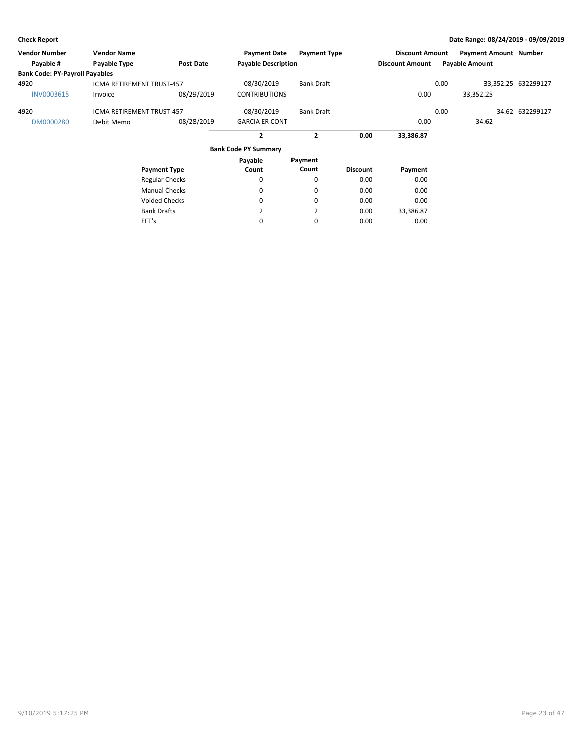| <b>Vendor Number</b>                  | <b>Vendor Name</b>               |                       | <b>Payment Date</b>         | <b>Payment Type</b> |                 | <b>Discount Amount</b> |      | <b>Payment Amount Number</b> |                     |
|---------------------------------------|----------------------------------|-----------------------|-----------------------------|---------------------|-----------------|------------------------|------|------------------------------|---------------------|
| Payable #                             | Payable Type                     | <b>Post Date</b>      | <b>Payable Description</b>  |                     |                 | <b>Discount Amount</b> |      | <b>Payable Amount</b>        |                     |
| <b>Bank Code: PY-Payroll Payables</b> |                                  |                       |                             |                     |                 |                        |      |                              |                     |
| 4920                                  | <b>ICMA RETIREMENT TRUST-457</b> |                       | 08/30/2019                  | <b>Bank Draft</b>   |                 |                        | 0.00 |                              | 33,352.25 632299127 |
| INV0003615                            | Invoice                          | 08/29/2019            | <b>CONTRIBUTIONS</b>        |                     |                 | 0.00                   |      | 33,352.25                    |                     |
| 4920                                  | <b>ICMA RETIREMENT TRUST-457</b> |                       | 08/30/2019                  | <b>Bank Draft</b>   |                 |                        | 0.00 |                              | 34.62 632299127     |
| DM0000280                             | Debit Memo                       | 08/28/2019            | <b>GARCIA ER CONT</b>       |                     |                 | 0.00                   |      | 34.62                        |                     |
|                                       |                                  |                       | $\mathbf{2}$                | $\mathbf{2}$        | 0.00            | 33,386.87              |      |                              |                     |
|                                       |                                  |                       | <b>Bank Code PY Summary</b> |                     |                 |                        |      |                              |                     |
|                                       |                                  |                       | Payable                     | Payment             |                 |                        |      |                              |                     |
|                                       |                                  | <b>Payment Type</b>   | Count                       | Count               | <b>Discount</b> | Payment                |      |                              |                     |
|                                       |                                  | <b>Regular Checks</b> | 0                           | 0                   | 0.00            | 0.00                   |      |                              |                     |
|                                       |                                  | <b>Manual Checks</b>  | $\Omega$                    | 0                   | 0.00            | 0.00                   |      |                              |                     |
|                                       |                                  | <b>Voided Checks</b>  | $\Omega$                    | $\Omega$            | 0.00            | 0.00                   |      |                              |                     |
|                                       |                                  | <b>Bank Drafts</b>    | 2                           | $\overline{2}$      | 0.00            | 33,386.87              |      |                              |                     |
|                                       | EFT's                            |                       | 0                           | 0                   | 0.00            | 0.00                   |      |                              |                     |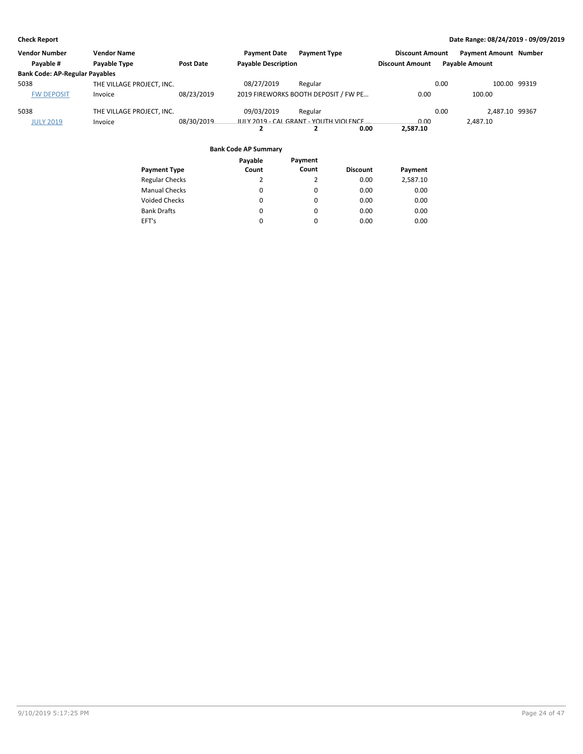| <b>Vendor Number</b>                  | <b>Vendor Name</b>        |                  | <b>Payment Date</b>        | <b>Payment Type</b>                    | <b>Discount Amount</b> | <b>Payment Amount Number</b> |  |
|---------------------------------------|---------------------------|------------------|----------------------------|----------------------------------------|------------------------|------------------------------|--|
| Payable #                             | Payable Type              | <b>Post Date</b> | <b>Payable Description</b> |                                        | <b>Discount Amount</b> | <b>Payable Amount</b>        |  |
| <b>Bank Code: AP-Regular Payables</b> |                           |                  |                            |                                        |                        |                              |  |
| 5038                                  | THE VILLAGE PROJECT. INC. |                  | 08/27/2019                 | Regular                                |                        | 100.00 99319<br>0.00         |  |
| <b>FW DEPOSIT</b>                     | Invoice                   | 08/23/2019       |                            | 2019 FIREWORKS BOOTH DEPOSIT / FW PE   | 0.00                   | 100.00                       |  |
| 5038                                  | THE VILLAGE PROJECT. INC. |                  | 09/03/2019                 | Regular                                |                        | 2.487.10 99367<br>0.00       |  |
| <b>JULY 2019</b>                      | Invoice                   | 08/30/2019       |                            | JULY 2019 - CAL GRANT - YOUTH VIOLENCE | 0.00                   | 2.487.10                     |  |
|                                       |                           |                  |                            | 0.00                                   | 2,587.10               |                              |  |

|                       | Payable | Payment  |                 |          |
|-----------------------|---------|----------|-----------------|----------|
| <b>Payment Type</b>   | Count   | Count    | <b>Discount</b> | Payment  |
| <b>Regular Checks</b> | 2       | 2        | 0.00            | 2,587.10 |
| <b>Manual Checks</b>  | 0       | 0        | 0.00            | 0.00     |
| Voided Checks         | 0       | 0        | 0.00            | 0.00     |
| <b>Bank Drafts</b>    | 0       | 0        | 0.00            | 0.00     |
| EFT's                 | 0       | $\Omega$ | 0.00            | 0.00     |
|                       |         |          |                 |          |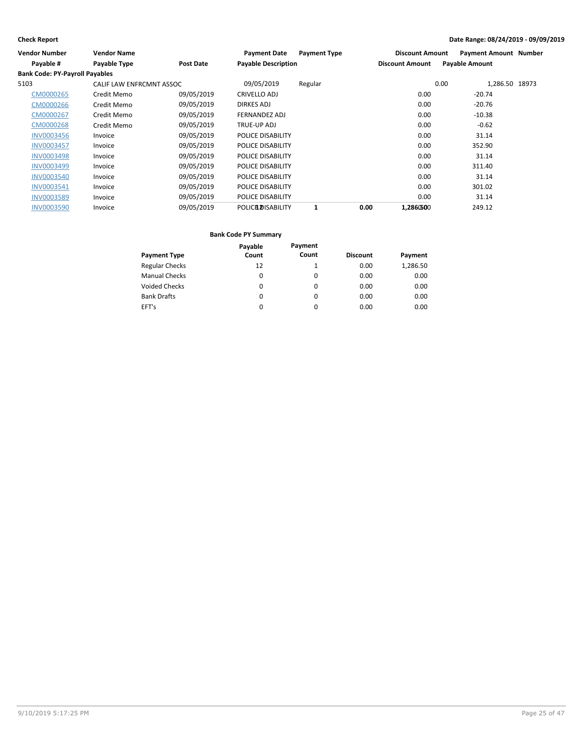| Vendor Number                         | <b>Vendor Name</b>       |            | <b>Payment Date</b>        | <b>Payment Type</b> | <b>Discount Amount</b> | <b>Payment Amount Number</b> |  |
|---------------------------------------|--------------------------|------------|----------------------------|---------------------|------------------------|------------------------------|--|
| Payable #                             | Payable Type             | Post Date  | <b>Payable Description</b> |                     | <b>Discount Amount</b> | <b>Payable Amount</b>        |  |
| <b>Bank Code: PY-Payroll Payables</b> |                          |            |                            |                     |                        |                              |  |
| 5103                                  | CALIF LAW ENFRCMNT ASSOC |            | 09/05/2019                 | Regular             |                        | 1,286.50 18973<br>0.00       |  |
| CM0000265                             | Credit Memo              | 09/05/2019 | CRIVELLO ADJ               |                     | 0.00                   | $-20.74$                     |  |
| CM0000266                             | Credit Memo              | 09/05/2019 | DIRKES ADJ                 |                     | 0.00                   | $-20.76$                     |  |
| CM0000267                             | Credit Memo              | 09/05/2019 | FERNANDEZ ADJ              |                     | 0.00                   | $-10.38$                     |  |
| CM0000268                             | Credit Memo              | 09/05/2019 | TRUE-UP ADJ                |                     | 0.00                   | $-0.62$                      |  |
| <b>INV0003456</b>                     | Invoice                  | 09/05/2019 | POLICE DISABILITY          |                     | 0.00                   | 31.14                        |  |
| <b>INV0003457</b>                     | Invoice                  | 09/05/2019 | POLICE DISABILITY          |                     | 0.00                   | 352.90                       |  |
| <b>INV0003498</b>                     | Invoice                  | 09/05/2019 | POLICE DISABILITY          |                     | 0.00                   | 31.14                        |  |
| <b>INV0003499</b>                     | Invoice                  | 09/05/2019 | POLICE DISABILITY          |                     | 0.00                   | 311.40                       |  |
| <b>INV0003540</b>                     | Invoice                  | 09/05/2019 | POLICE DISABILITY          |                     | 0.00                   | 31.14                        |  |
| INV0003541                            | Invoice                  | 09/05/2019 | POLICE DISABILITY          |                     | 0.00                   | 301.02                       |  |
| <b>INV0003589</b>                     | Invoice                  | 09/05/2019 | POLICE DISABILITY          |                     | 0.00                   | 31.14                        |  |
| <b>INV0003590</b>                     | Invoice                  | 09/05/2019 | <b>POLICE DISABILITY</b>   |                     | 0.00<br>1,2860500      | 249.12                       |  |

|                       | Payable | Payment  |                 |          |
|-----------------------|---------|----------|-----------------|----------|
| <b>Payment Type</b>   | Count   | Count    | <b>Discount</b> | Payment  |
| <b>Regular Checks</b> | 12      |          | 0.00            | 1,286.50 |
| <b>Manual Checks</b>  | 0       | $\Omega$ | 0.00            | 0.00     |
| <b>Voided Checks</b>  | 0       | $\Omega$ | 0.00            | 0.00     |
| <b>Bank Drafts</b>    | 0       | $\Omega$ | 0.00            | 0.00     |
| EFT's                 | 0       | 0        | 0.00            | 0.00     |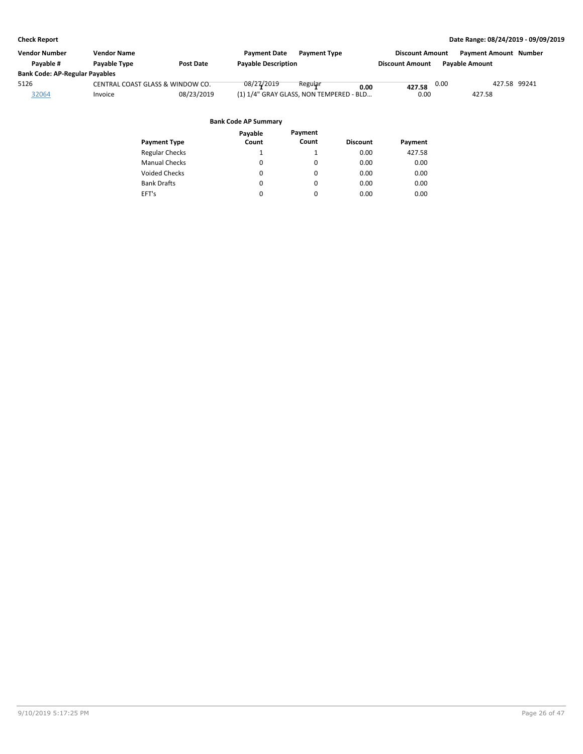| <b>Vendor Name</b>                    |                  | <b>Payment Date</b><br><b>Payment Type</b> |                                                 |      | <b>Payment Amount Number</b>                               |                       |
|---------------------------------------|------------------|--------------------------------------------|-------------------------------------------------|------|------------------------------------------------------------|-----------------------|
| <b>Pavable Type</b>                   | <b>Post Date</b> | <b>Payable Description</b>                 |                                                 |      |                                                            |                       |
| <b>Bank Code: AP-Regular Payables</b> |                  |                                            |                                                 |      |                                                            |                       |
|                                       |                  | 08/27/2019<br>Regular                      |                                                 | 0.00 | 427.58 99241                                               |                       |
| Invoice                               | 08/23/2019       |                                            | 0.00                                            |      | 427.58                                                     |                       |
|                                       |                  |                                            |                                                 |      |                                                            |                       |
|                                       |                  | CENTRAL COAST GLASS & WINDOW CO.           | 0.00<br>(1) 1/4" GRAY GLASS, NON TEMPERED - BLD |      | <b>Discount Amount</b><br><b>Discount Amount</b><br>427.58 | <b>Pavable Amount</b> |

|                       | Payable  | Payment  |                 |         |
|-----------------------|----------|----------|-----------------|---------|
| <b>Payment Type</b>   | Count    | Count    | <b>Discount</b> | Payment |
| <b>Regular Checks</b> | 1        |          | 0.00            | 427.58  |
| <b>Manual Checks</b>  | $\Omega$ | $\Omega$ | 0.00            | 0.00    |
| <b>Voided Checks</b>  | 0        | 0        | 0.00            | 0.00    |
| <b>Bank Drafts</b>    | $\Omega$ | $\Omega$ | 0.00            | 0.00    |
| EFT's                 | 0        | 0        | 0.00            | 0.00    |
|                       |          |          |                 |         |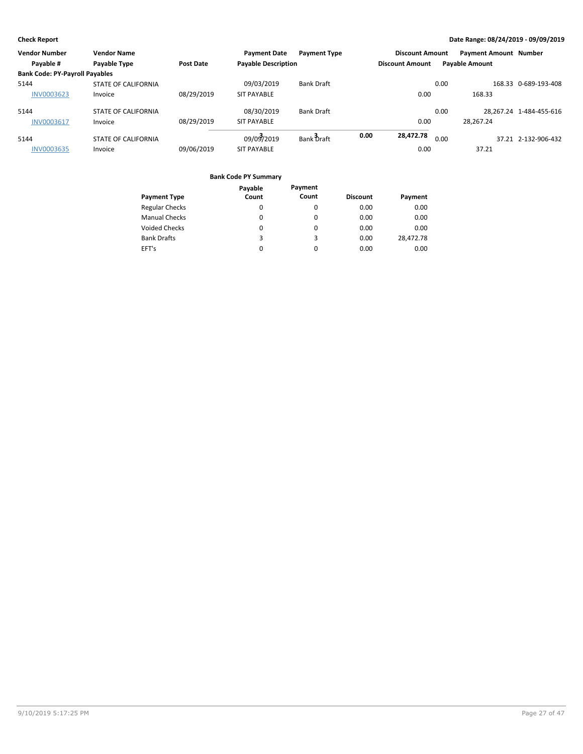| <b>Vendor Number</b>                  | <b>Vendor Name</b>         |                  | <b>Payment Date</b>        | <b>Payment Type</b> |                        | <b>Discount Amount</b> |      | <b>Payment Amount Number</b> |                         |
|---------------------------------------|----------------------------|------------------|----------------------------|---------------------|------------------------|------------------------|------|------------------------------|-------------------------|
| Payable #                             | Payable Type               | <b>Post Date</b> | <b>Payable Description</b> |                     | <b>Discount Amount</b> |                        |      | <b>Payable Amount</b>        |                         |
| <b>Bank Code: PY-Payroll Payables</b> |                            |                  |                            |                     |                        |                        |      |                              |                         |
| 5144                                  | <b>STATE OF CALIFORNIA</b> |                  | 09/03/2019                 | <b>Bank Draft</b>   |                        |                        | 0.00 |                              | 168.33 0-689-193-408    |
| <b>INV0003623</b>                     | Invoice                    | 08/29/2019       | <b>SIT PAYABLE</b>         |                     |                        | 0.00                   |      | 168.33                       |                         |
| 5144                                  | <b>STATE OF CALIFORNIA</b> |                  | 08/30/2019                 | <b>Bank Draft</b>   |                        |                        | 0.00 |                              | 28.267.24 1-484-455-616 |
| <b>INV0003617</b>                     | Invoice                    | 08/29/2019       | <b>SIT PAYABLE</b>         |                     |                        | 0.00                   |      | 28.267.24                    |                         |
| 5144                                  | <b>STATE OF CALIFORNIA</b> |                  | 09/03/2019                 | Bank Draft          | 0.00<br>28,472.78      |                        | 0.00 |                              | 37.21 2-132-906-432     |
| <b>INV0003635</b>                     | Invoice                    | 09/06/2019       | <b>SIT PAYABLE</b>         |                     |                        | 0.00                   |      | 37.21                        |                         |

|                       | Payable | Payment  |                 |           |
|-----------------------|---------|----------|-----------------|-----------|
| <b>Payment Type</b>   | Count   | Count    | <b>Discount</b> | Payment   |
| <b>Regular Checks</b> | 0       | 0        | 0.00            | 0.00      |
| <b>Manual Checks</b>  | 0       | $\Omega$ | 0.00            | 0.00      |
| <b>Voided Checks</b>  | 0       | 0        | 0.00            | 0.00      |
| <b>Bank Drafts</b>    | 3       | 3        | 0.00            | 28,472.78 |
| EFT's                 | 0       | 0        | 0.00            | 0.00      |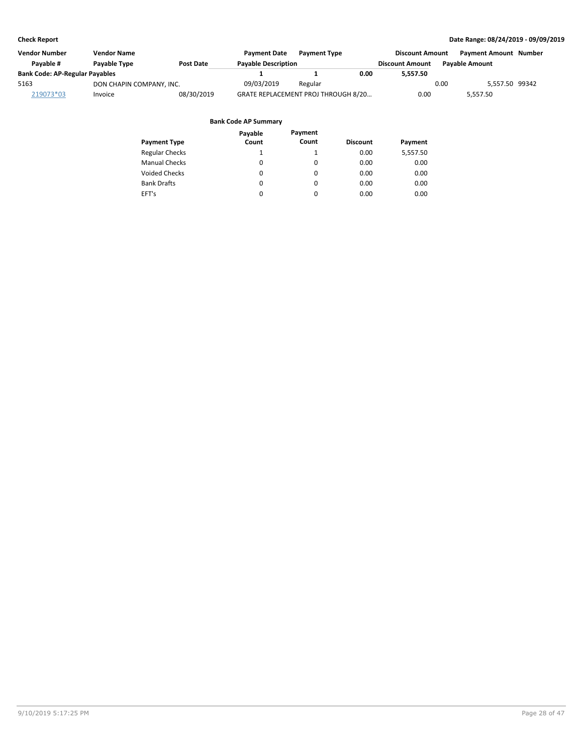| <b>Vendor Number</b>                  | <b>Vendor Name</b>               |            | <b>Payment Date</b>        | <b>Payment Type</b>                 |      | <b>Discount Amount</b> |                       | <b>Payment Amount Number</b> |  |
|---------------------------------------|----------------------------------|------------|----------------------------|-------------------------------------|------|------------------------|-----------------------|------------------------------|--|
| Pavable #                             | <b>Pavable Type</b><br>Post Date |            | <b>Payable Description</b> |                                     |      | <b>Discount Amount</b> | <b>Pavable Amount</b> |                              |  |
| <b>Bank Code: AP-Regular Payables</b> |                                  |            |                            |                                     | 0.00 | 5.557.50               |                       |                              |  |
| 5163                                  | DON CHAPIN COMPANY, INC.         |            | 09/03/2019                 | Regular                             |      |                        | 0.00                  | 5.557.50 99342               |  |
| 219073*03                             | Invoice                          | 08/30/2019 |                            | GRATE REPLACEMENT PROJ THROUGH 8/20 |      | 0.00                   |                       | 5.557.50                     |  |

|                       | Payable  | Payment  |                 |          |
|-----------------------|----------|----------|-----------------|----------|
| <b>Payment Type</b>   | Count    | Count    | <b>Discount</b> | Payment  |
| <b>Regular Checks</b> | 1        |          | 0.00            | 5,557.50 |
| <b>Manual Checks</b>  | 0        | $\Omega$ | 0.00            | 0.00     |
| <b>Voided Checks</b>  | 0        | 0        | 0.00            | 0.00     |
| <b>Bank Drafts</b>    | $\Omega$ | $\Omega$ | 0.00            | 0.00     |
| EFT's                 | 0        | 0        | 0.00            | 0.00     |
|                       |          |          |                 |          |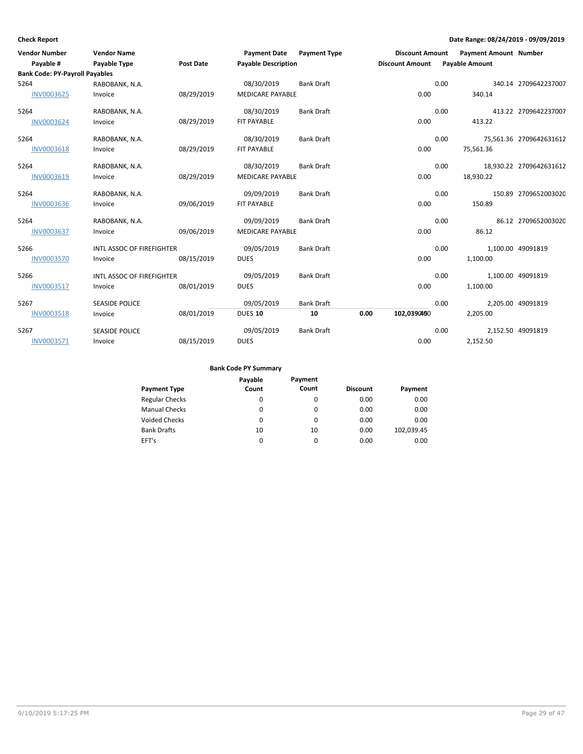| <b>Vendor Number</b>                  | <b>Vendor Name</b>               |                  | <b>Payment Date</b>        | <b>Payment Type</b> |      | <b>Discount Amount</b> |      | Payment Amount Number |                         |
|---------------------------------------|----------------------------------|------------------|----------------------------|---------------------|------|------------------------|------|-----------------------|-------------------------|
| Payable #                             | Payable Type                     | <b>Post Date</b> | <b>Payable Description</b> |                     |      | <b>Discount Amount</b> |      | <b>Payable Amount</b> |                         |
| <b>Bank Code: PY-Payroll Payables</b> |                                  |                  |                            |                     |      |                        |      |                       |                         |
| 5264                                  | RABOBANK, N.A.                   |                  | 08/30/2019                 | <b>Bank Draft</b>   |      |                        | 0.00 |                       | 340.14 2709642237007    |
| <b>INV0003625</b>                     | Invoice                          | 08/29/2019       | <b>MEDICARE PAYABLE</b>    |                     |      | 0.00                   |      | 340.14                |                         |
| 5264                                  | RABOBANK, N.A.                   |                  | 08/30/2019                 | <b>Bank Draft</b>   |      |                        | 0.00 |                       | 413.22 2709642237007    |
| <b>INV0003624</b>                     | Invoice                          | 08/29/2019       | FIT PAYABLE                |                     |      | 0.00                   |      | 413.22                |                         |
| 5264                                  | RABOBANK, N.A.                   |                  | 08/30/2019                 | <b>Bank Draft</b>   |      |                        | 0.00 |                       | 75,561.36 2709642631612 |
| <b>INV0003618</b>                     | Invoice                          | 08/29/2019       | FIT PAYABLE                |                     |      | 0.00                   |      | 75,561.36             |                         |
| 5264                                  | RABOBANK, N.A.                   |                  | 08/30/2019                 | <b>Bank Draft</b>   |      |                        | 0.00 |                       | 18,930.22 2709642631612 |
| INV0003619                            | Invoice                          | 08/29/2019       | <b>MEDICARE PAYABLE</b>    |                     |      | 0.00                   |      | 18,930.22             |                         |
| 5264                                  | RABOBANK, N.A.                   |                  | 09/09/2019                 | <b>Bank Draft</b>   |      |                        | 0.00 |                       | 150.89 2709652003020    |
| <b>INV0003636</b>                     | Invoice                          | 09/06/2019       | FIT PAYABLE                |                     |      | 0.00                   |      | 150.89                |                         |
| 5264                                  | RABOBANK, N.A.                   |                  | 09/09/2019                 | <b>Bank Draft</b>   |      |                        | 0.00 |                       | 86.12 2709652003020     |
| INV0003637                            | Invoice                          | 09/06/2019       | <b>MEDICARE PAYABLE</b>    |                     |      | 0.00                   |      | 86.12                 |                         |
| 5266                                  | <b>INTL ASSOC OF FIREFIGHTER</b> |                  | 09/05/2019                 | <b>Bank Draft</b>   |      |                        | 0.00 |                       | 1,100.00 49091819       |
| <b>INV0003570</b>                     | Invoice                          | 08/15/2019       | <b>DUES</b>                |                     |      | 0.00                   |      | 1,100.00              |                         |
| 5266                                  | INTL ASSOC OF FIREFIGHTER        |                  | 09/05/2019                 | <b>Bank Draft</b>   |      |                        | 0.00 |                       | 1,100.00 49091819       |
| <b>INV0003517</b>                     | Invoice                          | 08/01/2019       | <b>DUES</b>                |                     |      | 0.00                   |      | 1,100.00              |                         |
| 5267                                  | <b>SEASIDE POLICE</b>            |                  | 09/05/2019                 | <b>Bank Draft</b>   |      |                        | 0.00 |                       | 2,205.00 49091819       |
| <b>INV0003518</b>                     | Invoice                          | 08/01/2019       | DUES 10                    | 10                  | 0.00 | 102,0390450            |      | 2,205.00              |                         |
| 5267                                  | <b>SEASIDE POLICE</b>            |                  | 09/05/2019                 | <b>Bank Draft</b>   |      |                        | 0.00 |                       | 2,152.50 49091819       |
| <b>INV0003571</b>                     | Invoice                          | 08/15/2019       | <b>DUES</b>                |                     |      | 0.00                   |      | 2,152.50              |                         |

|  | <b>Bank Code PY Summary</b> |
|--|-----------------------------|
|  |                             |

|                       | Payable | Payment  |                 |            |
|-----------------------|---------|----------|-----------------|------------|
| <b>Payment Type</b>   | Count   | Count    | <b>Discount</b> | Payment    |
| <b>Regular Checks</b> | 0       | 0        | 0.00            | 0.00       |
| <b>Manual Checks</b>  | 0       | 0        | 0.00            | 0.00       |
| <b>Voided Checks</b>  | 0       | $\Omega$ | 0.00            | 0.00       |
| <b>Bank Drafts</b>    | 10      | 10       | 0.00            | 102,039.45 |
| EFT's                 | 0       | $\Omega$ | 0.00            | 0.00       |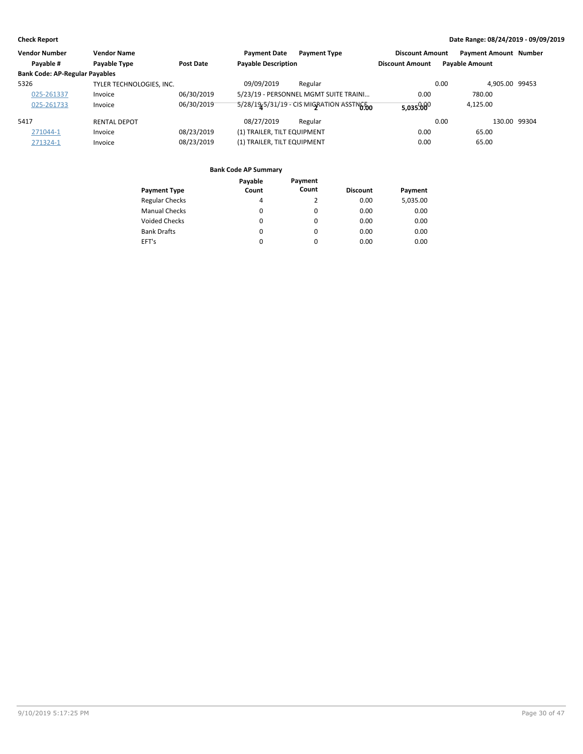| <b>Vendor Number</b>                  | <b>Vendor Name</b>       |            | <b>Payment Date</b>         | <b>Payment Type</b>                       | <b>Discount Amount</b> | <b>Payment Amount Number</b> |              |
|---------------------------------------|--------------------------|------------|-----------------------------|-------------------------------------------|------------------------|------------------------------|--------------|
| Payable #                             | Payable Type             | Post Date  | <b>Payable Description</b>  |                                           | <b>Discount Amount</b> | <b>Payable Amount</b>        |              |
| <b>Bank Code: AP-Regular Payables</b> |                          |            |                             |                                           |                        |                              |              |
| 5326                                  | TYLER TECHNOLOGIES, INC. |            | 09/09/2019                  | Regular                                   |                        | 0.00<br>4,905.00 99453       |              |
| 025-261337                            | Invoice                  | 06/30/2019 |                             | 5/23/19 - PERSONNEL MGMT SUITE TRAINI     | 0.00                   | 780.00                       |              |
| 025-261733                            | Invoice                  | 06/30/2019 |                             | 5/28/19-5/31/19 - CIS MIGRATION ASSING TO | 5,035.000              | 4.125.00                     |              |
| 5417                                  | <b>RENTAL DEPOT</b>      |            | 08/27/2019                  | Regular                                   |                        | 0.00                         | 130.00 99304 |
| 271044-1                              | Invoice                  | 08/23/2019 | (1) TRAILER, TILT EQUIPMENT |                                           | 0.00                   | 65.00                        |              |
| 271324-1                              | Invoice                  | 08/23/2019 | (1) TRAILER, TILT EQUIPMENT |                                           | 0.00                   | 65.00                        |              |

| <b>Payment Type</b>   | Payable<br>Count | Payment<br>Count | <b>Discount</b> | Payment  |
|-----------------------|------------------|------------------|-----------------|----------|
| <b>Regular Checks</b> | 4                | 2                | 0.00            | 5,035.00 |
| <b>Manual Checks</b>  | 0                | 0                | 0.00            | 0.00     |
| <b>Voided Checks</b>  | 0                | 0                | 0.00            | 0.00     |
| <b>Bank Drafts</b>    | 0                | 0                | 0.00            | 0.00     |
| EFT's                 | 0                | 0                | 0.00            | 0.00     |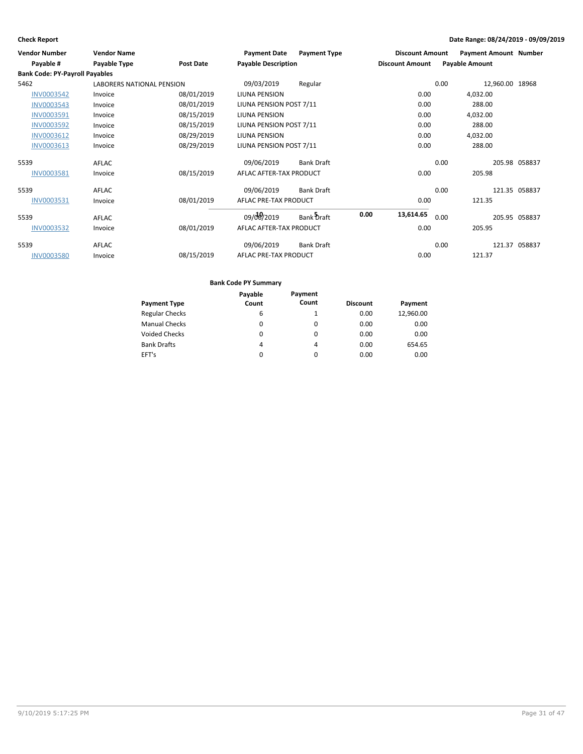| <b>Vendor Number</b>                  | <b>Vendor Name</b>        |                  | <b>Payment Date</b>        | <b>Payment Type</b> |      | <b>Discount Amount</b> |      | <b>Payment Amount Number</b> |               |
|---------------------------------------|---------------------------|------------------|----------------------------|---------------------|------|------------------------|------|------------------------------|---------------|
| Payable #                             | Payable Type              | <b>Post Date</b> | <b>Payable Description</b> |                     |      | <b>Discount Amount</b> |      | <b>Payable Amount</b>        |               |
| <b>Bank Code: PY-Payroll Payables</b> |                           |                  |                            |                     |      |                        |      |                              |               |
| 5462                                  | LABORERS NATIONAL PENSION |                  | 09/03/2019                 | Regular             |      |                        | 0.00 | 12,960.00 18968              |               |
| <b>INV0003542</b>                     | Invoice                   | 08/01/2019       | LIUNA PENSION              |                     |      | 0.00                   |      | 4,032.00                     |               |
| <b>INV0003543</b>                     | Invoice                   | 08/01/2019       | LIUNA PENSION POST 7/11    |                     |      | 0.00                   |      | 288.00                       |               |
| INV0003591                            | Invoice                   | 08/15/2019       | LIUNA PENSION              |                     |      | 0.00                   |      | 4,032.00                     |               |
| <b>INV0003592</b>                     | Invoice                   | 08/15/2019       | LIUNA PENSION POST 7/11    |                     |      | 0.00                   |      | 288.00                       |               |
| INV0003612                            | Invoice                   | 08/29/2019       | <b>LIUNA PENSION</b>       |                     |      | 0.00                   |      | 4,032.00                     |               |
| <b>INV0003613</b>                     | Invoice                   | 08/29/2019       | LIUNA PENSION POST 7/11    |                     |      | 0.00                   |      | 288.00                       |               |
| 5539                                  | AFLAC                     |                  | 09/06/2019                 | <b>Bank Draft</b>   |      |                        | 0.00 |                              | 205.98 058837 |
| INV0003581                            | Invoice                   | 08/15/2019       | AFLAC AFTER-TAX PRODUCT    |                     |      | 0.00                   |      | 205.98                       |               |
| 5539                                  | AFLAC                     |                  | 09/06/2019                 | <b>Bank Draft</b>   |      |                        | 0.00 |                              | 121.35 058837 |
| INV0003531                            | Invoice                   | 08/01/2019       | AFLAC PRE-TAX PRODUCT      |                     |      | 0.00                   |      | 121.35                       |               |
| 5539                                  | AFLAC                     |                  | 09/08/2019                 | Bank Draft          | 0.00 | 13,614.65              | 0.00 |                              | 205.95 058837 |
| INV0003532                            | Invoice                   | 08/01/2019       | AFLAC AFTER-TAX PRODUCT    |                     |      | 0.00                   |      | 205.95                       |               |
| 5539                                  | AFLAC                     |                  | 09/06/2019                 | <b>Bank Draft</b>   |      |                        | 0.00 |                              | 121.37 058837 |
| <b>INV0003580</b>                     | Invoice                   | 08/15/2019       | AFLAC PRE-TAX PRODUCT      |                     |      | 0.00                   |      | 121.37                       |               |

|                       | Payable  | Payment |                 |           |
|-----------------------|----------|---------|-----------------|-----------|
| <b>Payment Type</b>   | Count    | Count   | <b>Discount</b> | Payment   |
| <b>Regular Checks</b> | 6        |         | 0.00            | 12,960.00 |
| <b>Manual Checks</b>  | 0        | 0       | 0.00            | 0.00      |
| <b>Voided Checks</b>  | 0        | 0       | 0.00            | 0.00      |
| <b>Bank Drafts</b>    | 4        | 4       | 0.00            | 654.65    |
| EFT's                 | $\Omega$ | 0       | 0.00            | 0.00      |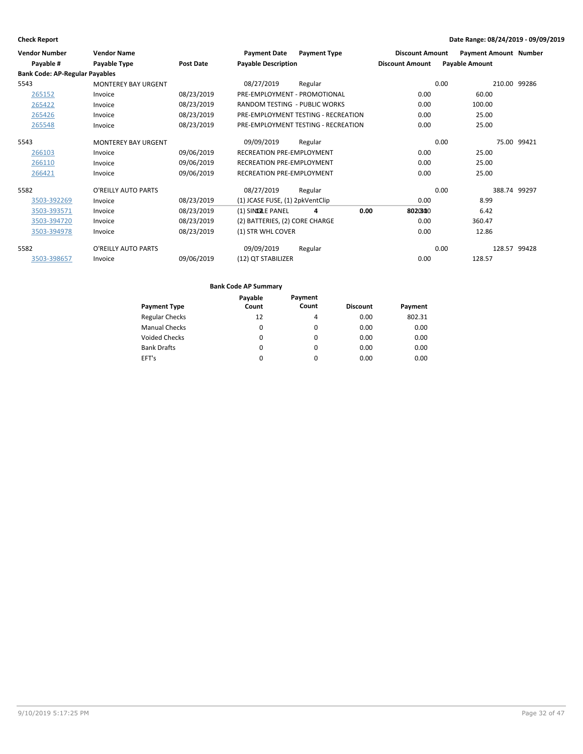| <b>Vendor Number</b>                  | <b>Vendor Name</b>         |            | <b>Payment Date</b>                  | <b>Payment Type</b>                 | <b>Discount Amount</b> | <b>Payment Amount Number</b> |              |              |
|---------------------------------------|----------------------------|------------|--------------------------------------|-------------------------------------|------------------------|------------------------------|--------------|--------------|
| Payable #                             | Payable Type               | Post Date  | <b>Payable Description</b>           |                                     | <b>Discount Amount</b> | <b>Payable Amount</b>        |              |              |
| <b>Bank Code: AP-Regular Payables</b> |                            |            |                                      |                                     |                        |                              |              |              |
| 5543                                  | <b>MONTEREY BAY URGENT</b> |            | 08/27/2019                           | Regular                             |                        | 0.00                         |              | 210.00 99286 |
| 265152                                | Invoice                    | 08/23/2019 | PRE-EMPLOYMENT - PROMOTIONAL         |                                     | 0.00                   | 60.00                        |              |              |
| 265422                                | Invoice                    | 08/23/2019 | <b>RANDOM TESTING - PUBLIC WORKS</b> |                                     | 0.00                   | 100.00                       |              |              |
| 265426                                | Invoice                    | 08/23/2019 |                                      | PRE-EMPLOYMENT TESTING - RECREATION | 0.00                   | 25.00                        |              |              |
| 265548                                | Invoice                    | 08/23/2019 |                                      | PRE-EMPLOYMENT TESTING - RECREATION | 0.00                   | 25.00                        |              |              |
| 5543                                  | <b>MONTEREY BAY URGENT</b> |            | 09/09/2019                           | Regular                             |                        | 0.00                         |              | 75.00 99421  |
| 266103                                | Invoice                    | 09/06/2019 | <b>RECREATION PRE-EMPLOYMENT</b>     |                                     | 0.00                   | 25.00                        |              |              |
| 266110                                | Invoice                    | 09/06/2019 | <b>RECREATION PRE-EMPLOYMENT</b>     |                                     | 0.00                   | 25.00                        |              |              |
| 266421                                | Invoice                    | 09/06/2019 | <b>RECREATION PRE-EMPLOYMENT</b>     |                                     | 0.00                   | 25.00                        |              |              |
| 5582                                  | O'REILLY AUTO PARTS        |            | 08/27/2019                           | Regular                             |                        | 0.00                         | 388.74 99297 |              |
| 3503-392269                           | Invoice                    | 08/23/2019 | (1) JCASE FUSE, (1) 2pkVentClip      |                                     | 0.00                   | 8.99                         |              |              |
| 3503-393571                           | Invoice                    | 08/23/2019 | (1) SINIGLE PANEL                    | 0.00<br>4                           | 8020800                | 6.42                         |              |              |
| 3503-394720                           | Invoice                    | 08/23/2019 | (2) BATTERIES, (2) CORE CHARGE       |                                     | 0.00                   | 360.47                       |              |              |
| 3503-394978                           | Invoice                    | 08/23/2019 | (1) STR WHL COVER                    |                                     | 0.00                   | 12.86                        |              |              |
| 5582                                  | O'REILLY AUTO PARTS        |            | 09/09/2019                           | Regular                             |                        | 0.00                         | 128.57 99428 |              |
| 3503-398657                           | Invoice                    | 09/06/2019 | (12) QT STABILIZER                   |                                     | 0.00                   | 128.57                       |              |              |

|                       | Payable  | Payment  |                 |         |
|-----------------------|----------|----------|-----------------|---------|
| <b>Payment Type</b>   | Count    | Count    | <b>Discount</b> | Payment |
| <b>Regular Checks</b> | 12       | 4        | 0.00            | 802.31  |
| <b>Manual Checks</b>  | 0        | 0        | 0.00            | 0.00    |
| <b>Voided Checks</b>  | 0        | $\Omega$ | 0.00            | 0.00    |
| <b>Bank Drafts</b>    | $\Omega$ | $\Omega$ | 0.00            | 0.00    |
| EFT's                 | $\Omega$ | $\Omega$ | 0.00            | 0.00    |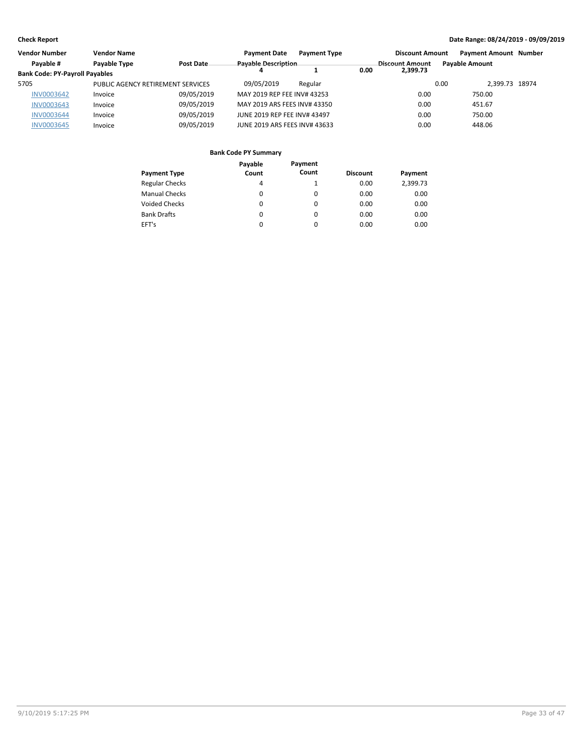| <b>Vendor Number</b>                  | <b>Vendor Name</b>                |            | <b>Payment Date</b>           | <b>Payment Type</b> |      | <b>Discount Amount</b> |      | <b>Payment Amount Number</b> |  |
|---------------------------------------|-----------------------------------|------------|-------------------------------|---------------------|------|------------------------|------|------------------------------|--|
| Payable #                             | Payable Type                      | Post Date  | <b>Payable Description</b>    |                     |      | <b>Discount Amount</b> |      | <b>Pavable Amount</b>        |  |
| <b>Bank Code: PY-Payroll Payables</b> |                                   |            |                               |                     | 0.00 | 2,399.73               |      |                              |  |
| 5705                                  | PUBLIC AGENCY RETIREMENT SERVICES |            | 09/05/2019                    | Regular             |      |                        | 0.00 | 2.399.73 18974               |  |
| <b>INV0003642</b>                     | Invoice                           | 09/05/2019 | MAY 2019 REP FEE INV# 43253   |                     |      | 0.00                   |      | 750.00                       |  |
| INV0003643                            | Invoice                           | 09/05/2019 | MAY 2019 ARS FEES INV# 43350  |                     |      | 0.00                   |      | 451.67                       |  |
| <b>INV0003644</b>                     | Invoice                           | 09/05/2019 | JUNE 2019 REP FEE INV# 43497  |                     |      | 0.00                   |      | 750.00                       |  |
| <b>INV0003645</b>                     | Invoice                           | 09/05/2019 | JUNE 2019 ARS FEES INV# 43633 |                     |      | 0.00                   |      | 448.06                       |  |

|                       | Payable  | Payment  |                 |          |
|-----------------------|----------|----------|-----------------|----------|
| <b>Payment Type</b>   | Count    | Count    | <b>Discount</b> | Payment  |
| <b>Regular Checks</b> | 4        |          | 0.00            | 2,399.73 |
| <b>Manual Checks</b>  | 0        | 0        | 0.00            | 0.00     |
| <b>Voided Checks</b>  | 0        | $\Omega$ | 0.00            | 0.00     |
| <b>Bank Drafts</b>    | $\Omega$ | 0        | 0.00            | 0.00     |
| EFT's                 | 0        | $\Omega$ | 0.00            | 0.00     |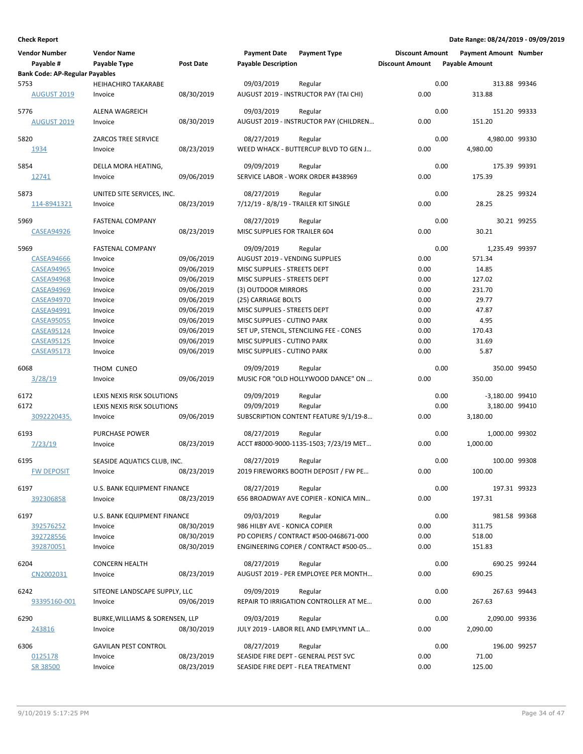| <b>Vendor Number</b><br>Payable #     | <b>Vendor Name</b><br>Payable Type    | <b>Post Date</b> | <b>Payment Date</b><br><b>Payable Description</b> | <b>Payment Type</b>                               | <b>Discount Amount</b><br><b>Discount Amount</b> | <b>Payment Amount Number</b><br><b>Payable Amount</b> |              |
|---------------------------------------|---------------------------------------|------------------|---------------------------------------------------|---------------------------------------------------|--------------------------------------------------|-------------------------------------------------------|--------------|
| <b>Bank Code: AP-Regular Payables</b> |                                       |                  |                                                   |                                                   |                                                  |                                                       |              |
| 5753<br><b>AUGUST 2019</b>            | <b>HEIHACHIRO TAKARABE</b><br>Invoice | 08/30/2019       | 09/03/2019                                        | Regular<br>AUGUST 2019 - INSTRUCTOR PAY (TAI CHI) | 0.00                                             | 0.00<br>313.88                                        | 313.88 99346 |
| 5776                                  | ALENA WAGREICH                        |                  | 09/03/2019                                        | Regular                                           |                                                  | 0.00                                                  | 151.20 99333 |
| <b>AUGUST 2019</b>                    | Invoice                               | 08/30/2019       |                                                   | AUGUST 2019 - INSTRUCTOR PAY (CHILDREN            | 0.00                                             | 151.20                                                |              |
| 5820                                  | <b>ZARCOS TREE SERVICE</b>            |                  | 08/27/2019                                        | Regular                                           |                                                  | 0.00<br>4,980.00 99330                                |              |
| 1934                                  | Invoice                               | 08/23/2019       |                                                   | WEED WHACK - BUTTERCUP BLVD TO GEN J              | 0.00                                             | 4,980.00                                              |              |
| 5854                                  | DELLA MORA HEATING,                   |                  | 09/09/2019                                        | Regular                                           |                                                  | 0.00                                                  | 175.39 99391 |
| 12741                                 | Invoice                               | 09/06/2019       |                                                   | SERVICE LABOR - WORK ORDER #438969                | 0.00                                             | 175.39                                                |              |
| 5873                                  | UNITED SITE SERVICES, INC.            |                  | 08/27/2019                                        | Regular                                           |                                                  | 0.00                                                  | 28.25 99324  |
| 114-8941321                           | Invoice                               | 08/23/2019       |                                                   | 7/12/19 - 8/8/19 - TRAILER KIT SINGLE             | 0.00                                             | 28.25                                                 |              |
| 5969                                  | <b>FASTENAL COMPANY</b>               |                  | 08/27/2019                                        | Regular                                           |                                                  | 0.00                                                  | 30.21 99255  |
| <b>CASEA94926</b>                     | Invoice                               | 08/23/2019       | MISC SUPPLIES FOR TRAILER 604                     |                                                   | 0.00                                             | 30.21                                                 |              |
|                                       |                                       |                  |                                                   |                                                   |                                                  |                                                       |              |
| 5969                                  | <b>FASTENAL COMPANY</b>               |                  | 09/09/2019                                        | Regular                                           |                                                  | 0.00<br>1,235.49 99397                                |              |
| <b>CASEA94666</b>                     | Invoice                               | 09/06/2019       | <b>AUGUST 2019 - VENDING SUPPLIES</b>             |                                                   | 0.00                                             | 571.34                                                |              |
| <b>CASEA94965</b>                     | Invoice                               | 09/06/2019       | MISC SUPPLIES - STREETS DEPT                      |                                                   | 0.00                                             | 14.85                                                 |              |
| <b>CASEA94968</b>                     | Invoice                               | 09/06/2019       | MISC SUPPLIES - STREETS DEPT                      |                                                   | 0.00                                             | 127.02                                                |              |
| <b>CASEA94969</b>                     | Invoice                               | 09/06/2019       | (3) OUTDOOR MIRRORS                               |                                                   | 0.00                                             | 231.70                                                |              |
| <b>CASEA94970</b>                     | Invoice                               | 09/06/2019       | (25) CARRIAGE BOLTS                               |                                                   | 0.00                                             | 29.77                                                 |              |
| <b>CASEA94991</b>                     | Invoice                               | 09/06/2019       | MISC SUPPLIES - STREETS DEPT                      |                                                   | 0.00                                             | 47.87                                                 |              |
| <b>CASEA95055</b>                     | Invoice                               | 09/06/2019       | MISC SUPPLIES - CUTINO PARK                       |                                                   | 0.00                                             | 4.95                                                  |              |
| <b>CASEA95124</b>                     | Invoice                               | 09/06/2019       |                                                   | SET UP, STENCIL, STENCILING FEE - CONES           | 0.00                                             | 170.43                                                |              |
| <b>CASEA95125</b>                     | Invoice                               | 09/06/2019       | MISC SUPPLIES - CUTINO PARK                       |                                                   | 0.00                                             | 31.69                                                 |              |
| <b>CASEA95173</b>                     | Invoice                               | 09/06/2019       | MISC SUPPLIES - CUTINO PARK                       |                                                   | 0.00                                             | 5.87                                                  |              |
| 6068                                  | THOM CUNEO                            |                  | 09/09/2019                                        | Regular                                           |                                                  | 0.00                                                  | 350.00 99450 |
| <u>3/28/19</u>                        | Invoice                               | 09/06/2019       |                                                   | MUSIC FOR "OLD HOLLYWOOD DANCE" ON                | 0.00                                             | 350.00                                                |              |
| 6172                                  | LEXIS NEXIS RISK SOLUTIONS            |                  | 09/09/2019                                        | Regular                                           |                                                  | 0.00<br>-3,180.00 99410                               |              |
| 6172                                  | LEXIS NEXIS RISK SOLUTIONS            |                  | 09/09/2019                                        | Regular                                           |                                                  | 0.00<br>3,180.00 99410                                |              |
| 3092220435.                           | Invoice                               | 09/06/2019       |                                                   | SUBSCRIPTION CONTENT FEATURE 9/1/19-8             | 0.00                                             | 3,180.00                                              |              |
| 6193                                  | PURCHASE POWER                        |                  | 08/27/2019                                        | Regular                                           |                                                  | 0.00<br>1,000.00 99302                                |              |
| 7/23/19                               | Invoice                               | 08/23/2019       |                                                   | ACCT #8000-9000-1135-1503; 7/23/19 MET            | 0.00                                             | 1,000.00                                              |              |
| 6195                                  | SEASIDE AQUATICS CLUB, INC.           |                  | 08/27/2019                                        | Regular                                           |                                                  | 0.00                                                  | 100.00 99308 |
| <b>FW DEPOSIT</b>                     | Invoice                               | 08/23/2019       |                                                   | 2019 FIREWORKS BOOTH DEPOSIT / FW PE.             | 0.00                                             | 100.00                                                |              |
| 6197                                  | U.S. BANK EQUIPMENT FINANCE           |                  | 08/27/2019                                        | Regular                                           |                                                  | 0.00                                                  | 197.31 99323 |
| 392306858                             | Invoice                               | 08/23/2019       |                                                   | 656 BROADWAY AVE COPIER - KONICA MIN              | 0.00                                             | 197.31                                                |              |
|                                       |                                       |                  |                                                   |                                                   |                                                  |                                                       |              |
| 6197                                  | U.S. BANK EQUIPMENT FINANCE           |                  | 09/03/2019                                        | Regular                                           |                                                  | 0.00                                                  | 981.58 99368 |
| 392576252                             | Invoice                               | 08/30/2019       | 986 HILBY AVE - KONICA COPIER                     |                                                   | 0.00                                             | 311.75                                                |              |
| 392728556                             | Invoice                               | 08/30/2019       |                                                   | PD COPIERS / CONTRACT #500-0468671-000            | 0.00                                             | 518.00                                                |              |
| 392870051                             | Invoice                               | 08/30/2019       |                                                   | ENGINEERING COPIER / CONTRACT #500-05             | 0.00                                             | 151.83                                                |              |
| 6204                                  | <b>CONCERN HEALTH</b>                 |                  | 08/27/2019                                        | Regular                                           |                                                  | 0.00                                                  | 690.25 99244 |
| CN2002031                             | Invoice                               | 08/23/2019       |                                                   | AUGUST 2019 - PER EMPLOYEE PER MONTH              | 0.00                                             | 690.25                                                |              |
| 6242                                  | SITEONE LANDSCAPE SUPPLY, LLC         |                  | 09/09/2019                                        | Regular                                           |                                                  | 0.00                                                  | 267.63 99443 |
| 93395160-001                          | Invoice                               | 09/06/2019       |                                                   | REPAIR TO IRRIGATION CONTROLLER AT ME             | 0.00                                             | 267.63                                                |              |
| 6290                                  | BURKE, WILLIAMS & SORENSEN, LLP       |                  | 09/03/2019                                        | Regular                                           |                                                  | 0.00<br>2,090.00 99336                                |              |
| 243816                                | Invoice                               | 08/30/2019       |                                                   | JULY 2019 - LABOR REL AND EMPLYMNT LA             | 0.00                                             | 2,090.00                                              |              |
|                                       |                                       |                  |                                                   |                                                   |                                                  |                                                       |              |
| 6306                                  | <b>GAVILAN PEST CONTROL</b>           |                  | 08/27/2019                                        | Regular                                           |                                                  | 0.00                                                  | 196.00 99257 |
| 0125178                               | Invoice                               | 08/23/2019       |                                                   | SEASIDE FIRE DEPT - GENERAL PEST SVC              | 0.00                                             | 71.00                                                 |              |
| SR 38500                              | Invoice                               | 08/23/2019       |                                                   | SEASIDE FIRE DEPT - FLEA TREATMENT                | 0.00                                             | 125.00                                                |              |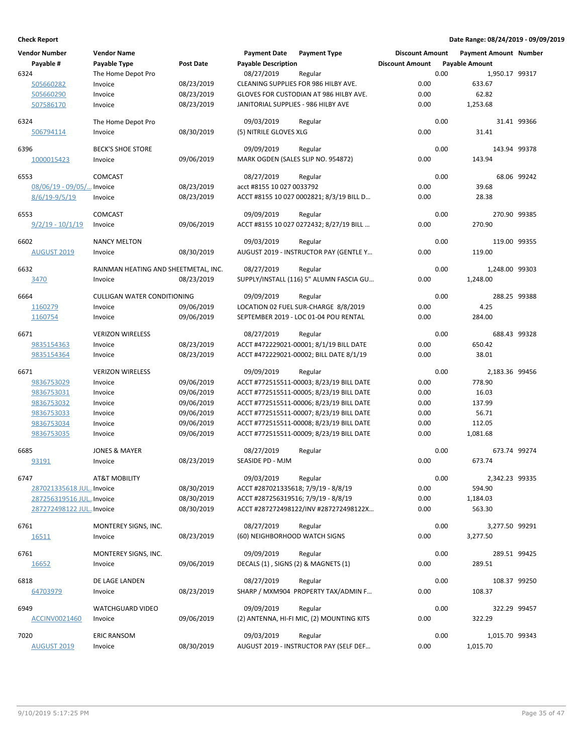|      | <b>Vendor Number</b>      | <b>Vendor Name</b>                   |                  | <b>Payment Date</b>                               | <b>Payment Type</b>                               | <b>Discount Amount</b> |      | <b>Payment Amount Number</b> |             |
|------|---------------------------|--------------------------------------|------------------|---------------------------------------------------|---------------------------------------------------|------------------------|------|------------------------------|-------------|
|      | Payable #                 | Payable Type                         | <b>Post Date</b> | <b>Payable Description</b>                        |                                                   | <b>Discount Amount</b> |      | <b>Payable Amount</b>        |             |
| 6324 |                           | The Home Depot Pro                   |                  | 08/27/2019                                        | Regular                                           |                        | 0.00 | 1,950.17 99317               |             |
|      | 505660282                 | Invoice                              | 08/23/2019       |                                                   | CLEANING SUPPLIES FOR 986 HILBY AVE.              | 0.00                   |      | 633.67                       |             |
|      | 505660290                 | Invoice                              | 08/23/2019       |                                                   | GLOVES FOR CUSTODIAN AT 986 HILBY AVE.            | 0.00                   |      | 62.82                        |             |
|      | 507586170                 | Invoice                              | 08/23/2019       | JANITORIAL SUPPLIES - 986 HILBY AVE               |                                                   | 0.00                   |      | 1,253.68                     |             |
| 6324 |                           | The Home Depot Pro                   |                  | 09/03/2019                                        | Regular                                           |                        | 0.00 |                              | 31.41 99366 |
|      | 506794114                 | Invoice                              | 08/30/2019       | (5) NITRILE GLOVES XLG                            |                                                   | 0.00                   |      | 31.41                        |             |
| 6396 |                           | <b>BECK'S SHOE STORE</b>             |                  | 09/09/2019                                        | Regular                                           |                        | 0.00 | 143.94 99378                 |             |
|      | 1000015423                | Invoice                              | 09/06/2019       | MARK OGDEN (SALES SLIP NO. 954872)                |                                                   | 0.00                   |      | 143.94                       |             |
|      |                           |                                      |                  |                                                   |                                                   |                        |      |                              |             |
| 6553 |                           | COMCAST                              |                  | 08/27/2019                                        | Regular                                           |                        | 0.00 |                              | 68.06 99242 |
|      | 08/06/19 - 09/05/ Invoice |                                      | 08/23/2019       | acct #8155 10 027 0033792                         |                                                   | 0.00                   |      | 39.68                        |             |
|      | $8/6/19-9/5/19$           | Invoice                              | 08/23/2019       |                                                   | ACCT #8155 10 027 0002821; 8/3/19 BILL D          | 0.00                   |      | 28.38                        |             |
| 6553 |                           | <b>COMCAST</b>                       |                  | 09/09/2019                                        | Regular                                           |                        | 0.00 | 270.90 99385                 |             |
|      | $9/2/19 - 10/1/19$        | Invoice                              | 09/06/2019       |                                                   | ACCT #8155 10 027 0272432; 8/27/19 BILL           | 0.00                   |      | 270.90                       |             |
| 6602 |                           | <b>NANCY MELTON</b>                  |                  | 09/03/2019                                        |                                                   |                        | 0.00 | 119.00 99355                 |             |
|      | <b>AUGUST 2019</b>        | Invoice                              | 08/30/2019       |                                                   | Regular<br>AUGUST 2019 - INSTRUCTOR PAY (GENTLE Y | 0.00                   |      | 119.00                       |             |
|      |                           |                                      |                  |                                                   |                                                   |                        |      |                              |             |
| 6632 |                           | RAINMAN HEATING AND SHEETMETAL, INC. |                  | 08/27/2019                                        | Regular                                           |                        | 0.00 | 1,248.00 99303               |             |
|      | 3470                      | Invoice                              | 08/23/2019       |                                                   | SUPPLY/INSTALL (116) 5" ALUMN FASCIA GU           | 0.00                   |      | 1.248.00                     |             |
| 6664 |                           | <b>CULLIGAN WATER CONDITIONING</b>   |                  | 09/09/2019                                        | Regular                                           |                        | 0.00 | 288.25 99388                 |             |
|      | 1160279                   | Invoice                              | 09/06/2019       |                                                   | LOCATION 02 FUEL SUR-CHARGE 8/8/2019              | 0.00                   |      | 4.25                         |             |
|      | 1160754                   | Invoice                              | 09/06/2019       |                                                   | SEPTEMBER 2019 - LOC 01-04 POU RENTAL             | 0.00                   |      | 284.00                       |             |
|      |                           |                                      |                  |                                                   |                                                   |                        |      |                              |             |
| 6671 |                           | <b>VERIZON WIRELESS</b>              |                  | 08/27/2019                                        | Regular                                           |                        | 0.00 | 688.43 99328                 |             |
|      | 9835154363                | Invoice                              | 08/23/2019       |                                                   | ACCT #472229021-00001; 8/1/19 BILL DATE           | 0.00                   |      | 650.42                       |             |
|      | 9835154364                | Invoice                              | 08/23/2019       |                                                   | ACCT #472229021-00002; BILL DATE 8/1/19           | 0.00                   |      | 38.01                        |             |
| 6671 |                           | <b>VERIZON WIRELESS</b>              |                  | 09/09/2019                                        | Regular                                           |                        | 0.00 | 2,183.36 99456               |             |
|      | 9836753029                | Invoice                              | 09/06/2019       |                                                   | ACCT #772515511-00003; 8/23/19 BILL DATE          | 0.00                   |      | 778.90                       |             |
|      | 9836753031                | Invoice                              | 09/06/2019       |                                                   | ACCT #772515511-00005; 8/23/19 BILL DATE          | 0.00                   |      | 16.03                        |             |
|      | 9836753032                | Invoice                              | 09/06/2019       |                                                   | ACCT #772515511-00006; 8/23/19 BILL DATE          | 0.00                   |      | 137.99                       |             |
|      | 9836753033                | Invoice                              | 09/06/2019       |                                                   | ACCT #772515511-00007; 8/23/19 BILL DATE          | 0.00                   |      | 56.71                        |             |
|      | 9836753034                | Invoice                              | 09/06/2019       |                                                   | ACCT #772515511-00008; 8/23/19 BILL DATE          | 0.00                   |      | 112.05                       |             |
|      | 9836753035                | Invoice                              | 09/06/2019       |                                                   | ACCT #772515511-00009; 8/23/19 BILL DATE          | 0.00                   |      | 1,081.68                     |             |
| 6685 |                           | <b>JONES &amp; MAYER</b>             |                  | 08/27/2019                                        | Regular                                           |                        | 0.00 | 673.74 99274                 |             |
|      | 93191                     | Invoice                              | 08/23/2019       | SEASIDE PD - MJM                                  |                                                   | 0.00                   |      | 673.74                       |             |
|      |                           |                                      |                  |                                                   |                                                   |                        | 0.00 |                              |             |
| 6747 | 287021335618 JUL Invoice  | AT&T MOBILITY                        | 08/30/2019       | 09/03/2019<br>ACCT #287021335618; 7/9/19 - 8/8/19 | Regular                                           | 0.00                   |      | 2,342.23 99335<br>594.90     |             |
|      | 287256319516 JUL Invoice  |                                      | 08/30/2019       | ACCT #287256319516; 7/9/19 - 8/8/19               |                                                   | 0.00                   |      | 1,184.03                     |             |
|      | 287272498122 JUL Invoice  |                                      | 08/30/2019       |                                                   | ACCT #287272498122/INV #287272498122X             | 0.00                   |      | 563.30                       |             |
|      |                           |                                      |                  |                                                   |                                                   |                        |      |                              |             |
| 6761 |                           | MONTEREY SIGNS, INC.                 |                  | 08/27/2019                                        | Regular                                           |                        | 0.00 | 3,277.50 99291               |             |
|      | <u>16511</u>              | Invoice                              | 08/23/2019       | (60) NEIGHBORHOOD WATCH SIGNS                     |                                                   | 0.00                   |      | 3,277.50                     |             |
| 6761 |                           | MONTEREY SIGNS, INC.                 |                  | 09/09/2019                                        | Regular                                           |                        | 0.00 | 289.51 99425                 |             |
|      | 16652                     | Invoice                              | 09/06/2019       | DECALS (1), SIGNS (2) & MAGNETS (1)               |                                                   | 0.00                   |      | 289.51                       |             |
|      |                           |                                      |                  |                                                   |                                                   |                        |      |                              |             |
| 6818 |                           | DE LAGE LANDEN                       |                  | 08/27/2019                                        | Regular                                           |                        | 0.00 | 108.37 99250                 |             |
|      | 64703979                  | Invoice                              | 08/23/2019       |                                                   | SHARP / MXM904 PROPERTY TAX/ADMIN F               | 0.00                   |      | 108.37                       |             |
| 6949 |                           | <b>WATCHGUARD VIDEO</b>              |                  | 09/09/2019                                        | Regular                                           |                        | 0.00 | 322.29 99457                 |             |
|      | ACCINV0021460             | Invoice                              | 09/06/2019       |                                                   | (2) ANTENNA, HI-FI MIC, (2) MOUNTING KITS         | 0.00                   |      | 322.29                       |             |
|      |                           |                                      |                  |                                                   |                                                   |                        |      |                              |             |
| 7020 | <b>AUGUST 2019</b>        | <b>ERIC RANSOM</b><br>Invoice        | 08/30/2019       | 09/03/2019                                        | Regular<br>AUGUST 2019 - INSTRUCTOR PAY (SELF DEF | 0.00                   | 0.00 | 1,015.70 99343<br>1,015.70   |             |
|      |                           |                                      |                  |                                                   |                                                   |                        |      |                              |             |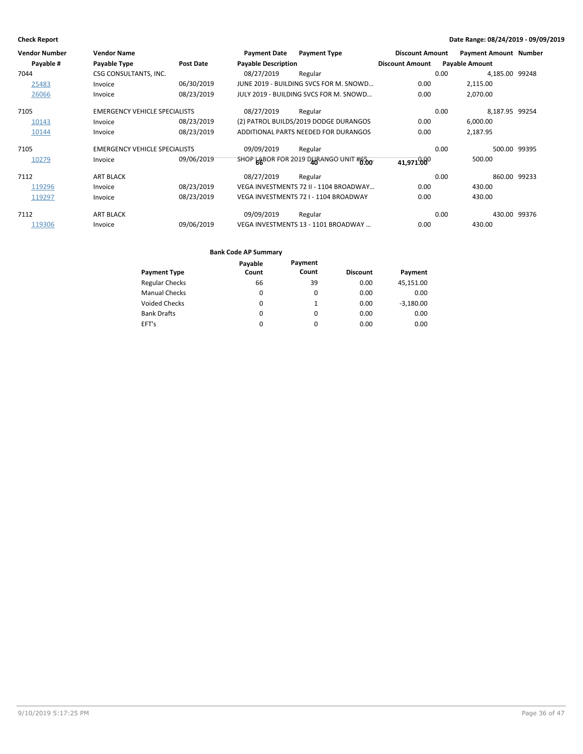| <b>Vendor Number</b> | <b>Vendor Name</b>                   |                  | <b>Payment Date</b>        | <b>Payment Type</b>                    | <b>Discount Amount</b> | <b>Payment Amount Number</b> |              |
|----------------------|--------------------------------------|------------------|----------------------------|----------------------------------------|------------------------|------------------------------|--------------|
| Payable #            | Payable Type                         | <b>Post Date</b> | <b>Payable Description</b> |                                        | <b>Discount Amount</b> | <b>Payable Amount</b>        |              |
| 7044                 | CSG CONSULTANTS, INC.                |                  | 08/27/2019                 | Regular                                |                        | 4,185.00 99248<br>0.00       |              |
| 25483                | Invoice                              | 06/30/2019       |                            | JUNE 2019 - BUILDING SVCS FOR M. SNOWD | 0.00                   | 2,115.00                     |              |
| 26066                | Invoice                              | 08/23/2019       |                            | JULY 2019 - BUILDING SVCS FOR M. SNOWD | 0.00                   | 2,070.00                     |              |
| 7105                 | <b>EMERGENCY VEHICLE SPECIALISTS</b> |                  | 08/27/2019                 | Regular                                |                        | 8,187.95 99254<br>0.00       |              |
| 10143                | Invoice                              | 08/23/2019       |                            | (2) PATROL BUILDS/2019 DODGE DURANGOS  | 0.00                   | 6,000.00                     |              |
| 10144                | Invoice                              | 08/23/2019       |                            | ADDITIONAL PARTS NEEDED FOR DURANGOS   | 0.00                   | 2,187.95                     |              |
| 7105                 | <b>EMERGENCY VEHICLE SPECIALISTS</b> |                  | 09/09/2019                 | Regular                                |                        | 0.00                         | 500.00 99395 |
| 10279                | Invoice                              | 09/06/2019       |                            | SHOP LABOR FOR 2019 DURANGO UNIT #6.00 | 41,971,000             | 500.00                       |              |
| 7112                 | <b>ART BLACK</b>                     |                  | 08/27/2019                 | Regular                                |                        | 0.00                         | 860.00 99233 |
| 119296               | Invoice                              | 08/23/2019       |                            | VEGA INVESTMENTS 72 II - 1104 BROADWAY | 0.00                   | 430.00                       |              |
| 119297               | Invoice                              | 08/23/2019       |                            | VEGA INVESTMENTS 72   - 1104 BROADWAY  | 0.00                   | 430.00                       |              |
| 7112                 | <b>ART BLACK</b>                     |                  | 09/09/2019                 | Regular                                |                        | 0.00                         | 430.00 99376 |
| 119306               | Invoice                              | 09/06/2019       |                            | VEGA INVESTMENTS 13 - 1101 BROADWAY    | 0.00                   | 430.00                       |              |

|                       | Payable | Payment |                 |             |
|-----------------------|---------|---------|-----------------|-------------|
| <b>Payment Type</b>   | Count   | Count   | <b>Discount</b> | Payment     |
| <b>Regular Checks</b> | 66      | 39      | 0.00            | 45,151.00   |
| <b>Manual Checks</b>  | 0       | 0       | 0.00            | 0.00        |
| <b>Voided Checks</b>  | 0       | 1       | 0.00            | $-3,180.00$ |
| <b>Bank Drafts</b>    | 0       | 0       | 0.00            | 0.00        |
| EFT's                 | 0       | 0       | 0.00            | 0.00        |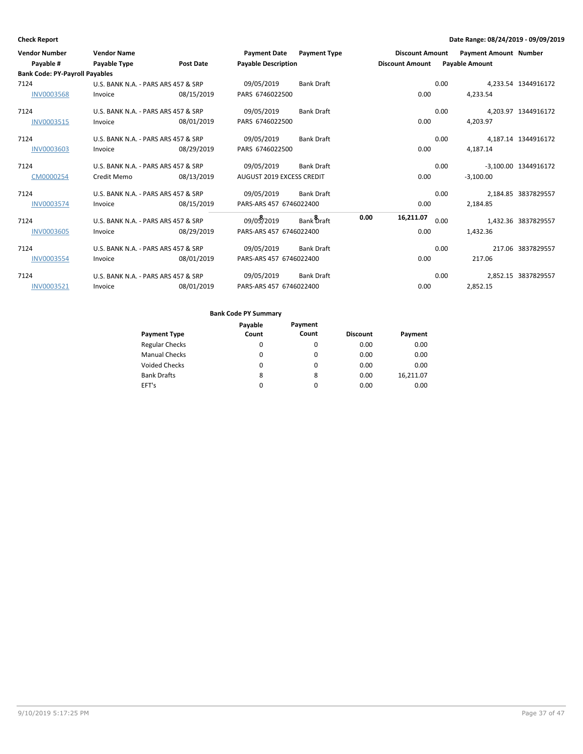| <b>Vendor Number</b><br>Payable #     | <b>Vendor Name</b><br>Payable Type  | Post Date  | Payment Date Payment Type<br><b>Payable Description</b> |                   | <b>Discount Amount</b> | Discount Amount |      | <b>Payment Amount Number</b><br><b>Payable Amount</b> |                      |
|---------------------------------------|-------------------------------------|------------|---------------------------------------------------------|-------------------|------------------------|-----------------|------|-------------------------------------------------------|----------------------|
| <b>Bank Code: PY-Payroll Payables</b> |                                     |            |                                                         |                   |                        |                 |      |                                                       |                      |
| 7124                                  | U.S. BANK N.A. - PARS ARS 457 & SRP |            | 09/05/2019                                              | <b>Bank Draft</b> |                        |                 | 0.00 |                                                       | 4.233.54 1344916172  |
| <b>INV0003568</b>                     | Invoice                             | 08/15/2019 | PARS 6746022500                                         |                   |                        | 0.00            |      | 4,233.54                                              |                      |
| 7124                                  | U.S. BANK N.A. - PARS ARS 457 & SRP |            | 09/05/2019                                              | <b>Bank Draft</b> |                        |                 | 0.00 |                                                       | 4.203.97 1344916172  |
| INV0003515                            | Invoice                             | 08/01/2019 | PARS 6746022500                                         |                   |                        | 0.00            |      | 4.203.97                                              |                      |
| 7124                                  | U.S. BANK N.A. - PARS ARS 457 & SRP |            | 09/05/2019                                              | <b>Bank Draft</b> |                        |                 | 0.00 |                                                       | 4,187.14 1344916172  |
| <b>INV0003603</b>                     | Invoice                             | 08/29/2019 | PARS 6746022500                                         |                   |                        | 0.00            |      | 4,187.14                                              |                      |
| 7124                                  | U.S. BANK N.A. - PARS ARS 457 & SRP |            | 09/05/2019                                              | <b>Bank Draft</b> |                        |                 | 0.00 |                                                       | -3,100.00 1344916172 |
| CM0000254                             | Credit Memo                         | 08/13/2019 | AUGUST 2019 EXCESS CREDIT                               |                   |                        | 0.00            |      | $-3,100.00$                                           |                      |
| 7124                                  | U.S. BANK N.A. - PARS ARS 457 & SRP |            | 09/05/2019                                              | <b>Bank Draft</b> |                        |                 | 0.00 |                                                       | 2,184.85 3837829557  |
| <b>INV0003574</b>                     | Invoice                             | 08/15/2019 | PARS-ARS 457 6746022400                                 |                   |                        | 0.00            |      | 2.184.85                                              |                      |
| 7124                                  | U.S. BANK N.A. - PARS ARS 457 & SRP |            | 09/05/2019                                              | Bank Draft        | 0.00                   | 16,211.07       | 0.00 |                                                       | 1,432.36 3837829557  |
| <b>INV0003605</b>                     | Invoice                             | 08/29/2019 | PARS-ARS 457 6746022400                                 |                   |                        | 0.00            |      | 1,432.36                                              |                      |
| 7124                                  | U.S. BANK N.A. - PARS ARS 457 & SRP |            | 09/05/2019                                              | <b>Bank Draft</b> |                        |                 | 0.00 |                                                       | 217.06 3837829557    |
| <b>INV0003554</b>                     | Invoice                             | 08/01/2019 | PARS-ARS 457 6746022400                                 |                   |                        | 0.00            |      | 217.06                                                |                      |
| 7124                                  | U.S. BANK N.A. - PARS ARS 457 & SRP |            | 09/05/2019                                              | <b>Bank Draft</b> |                        |                 | 0.00 |                                                       | 2,852.15 3837829557  |
| INV0003521                            | Invoice                             | 08/01/2019 | PARS-ARS 457 6746022400                                 |                   |                        | 0.00            |      | 2,852.15                                              |                      |

|                       | Payable | Payment  |                 |           |
|-----------------------|---------|----------|-----------------|-----------|
| <b>Payment Type</b>   | Count   | Count    | <b>Discount</b> | Payment   |
| <b>Regular Checks</b> | 0       | 0        | 0.00            | 0.00      |
| <b>Manual Checks</b>  | 0       | $\Omega$ | 0.00            | 0.00      |
| <b>Voided Checks</b>  | 0       | $\Omega$ | 0.00            | 0.00      |
| <b>Bank Drafts</b>    | 8       | 8        | 0.00            | 16,211.07 |
| EFT's                 | 0       | 0        | 0.00            | 0.00      |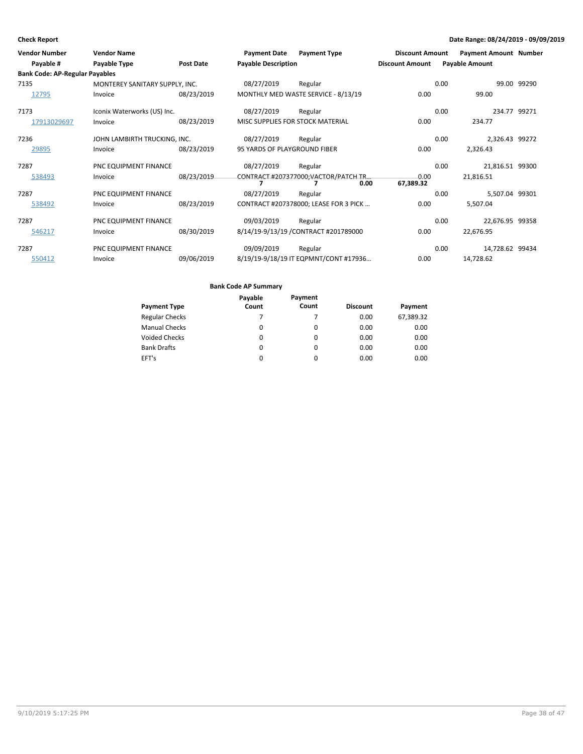| <b>Vendor Number</b><br>Payable #     | <b>Vendor Name</b><br>Payable Type | <b>Post Date</b> | <b>Payment Date</b><br><b>Payable Description</b> | <b>Payment Type</b>                   | <b>Discount Amount</b><br><b>Discount Amount</b> |      | <b>Payment Amount Number</b><br><b>Payable Amount</b> |             |
|---------------------------------------|------------------------------------|------------------|---------------------------------------------------|---------------------------------------|--------------------------------------------------|------|-------------------------------------------------------|-------------|
| <b>Bank Code: AP-Regular Payables</b> |                                    |                  |                                                   |                                       |                                                  |      |                                                       |             |
| 7135                                  | MONTEREY SANITARY SUPPLY, INC.     |                  | 08/27/2019                                        | Regular                               |                                                  | 0.00 |                                                       | 99.00 99290 |
| 12795                                 | Invoice                            | 08/23/2019       |                                                   | MONTHLY MED WASTE SERVICE - 8/13/19   | 0.00                                             |      | 99.00                                                 |             |
| 7173                                  | Iconix Waterworks (US) Inc.        |                  | 08/27/2019                                        | Regular                               |                                                  | 0.00 | 234.77 99271                                          |             |
| 17913029697                           | Invoice                            | 08/23/2019       |                                                   | MISC SUPPLIES FOR STOCK MATERIAL      | 0.00                                             |      | 234.77                                                |             |
| 7236                                  | JOHN LAMBIRTH TRUCKING, INC.       |                  | 08/27/2019                                        | Regular                               |                                                  | 0.00 | 2,326.43 99272                                        |             |
| 29895                                 | Invoice                            | 08/23/2019       | 95 YARDS OF PLAYGROUND FIBER                      |                                       | 0.00                                             |      | 2,326.43                                              |             |
| 7287                                  | PNC EQUIPMENT FINANCE              |                  | 08/27/2019                                        | Regular                               |                                                  | 0.00 | 21,816.51 99300                                       |             |
| 538493                                | Invoice                            | 08/23/2019       |                                                   | CONTRACT #207377000:VACTOR/PATCH TR   | 0.00                                             |      | 21,816.51                                             |             |
|                                       |                                    |                  |                                                   | 0.00                                  | 67,389.32                                        |      |                                                       |             |
| 7287                                  | PNC EQUIPMENT FINANCE              |                  | 08/27/2019                                        | Regular                               |                                                  | 0.00 | 5,507.04 99301                                        |             |
| 538492                                | Invoice                            | 08/23/2019       |                                                   | CONTRACT #207378000; LEASE FOR 3 PICK | 0.00                                             |      | 5,507.04                                              |             |
| 7287                                  | PNC EQUIPMENT FINANCE              |                  | 09/03/2019                                        | Regular                               |                                                  | 0.00 | 22,676.95 99358                                       |             |
| 546217                                | Invoice                            | 08/30/2019       |                                                   | 8/14/19-9/13/19 / CONTRACT #201789000 | 0.00                                             |      | 22,676.95                                             |             |
| 7287                                  | PNC EQUIPMENT FINANCE              |                  | 09/09/2019                                        | Regular                               |                                                  | 0.00 | 14,728.62 99434                                       |             |
| 550412                                | Invoice                            | 09/06/2019       |                                                   | 8/19/19-9/18/19 IT EQPMNT/CONT #17936 | 0.00                                             |      | 14,728.62                                             |             |

|                       | Payable  | Payment  |                 |           |
|-----------------------|----------|----------|-----------------|-----------|
| <b>Payment Type</b>   | Count    | Count    | <b>Discount</b> | Payment   |
| <b>Regular Checks</b> | 7        | 7        | 0.00            | 67,389.32 |
| <b>Manual Checks</b>  | 0        | $\Omega$ | 0.00            | 0.00      |
| <b>Voided Checks</b>  | 0        | 0        | 0.00            | 0.00      |
| <b>Bank Drafts</b>    | $\Omega$ | $\Omega$ | 0.00            | 0.00      |
| EFT's                 | 0        | 0        | 0.00            | 0.00      |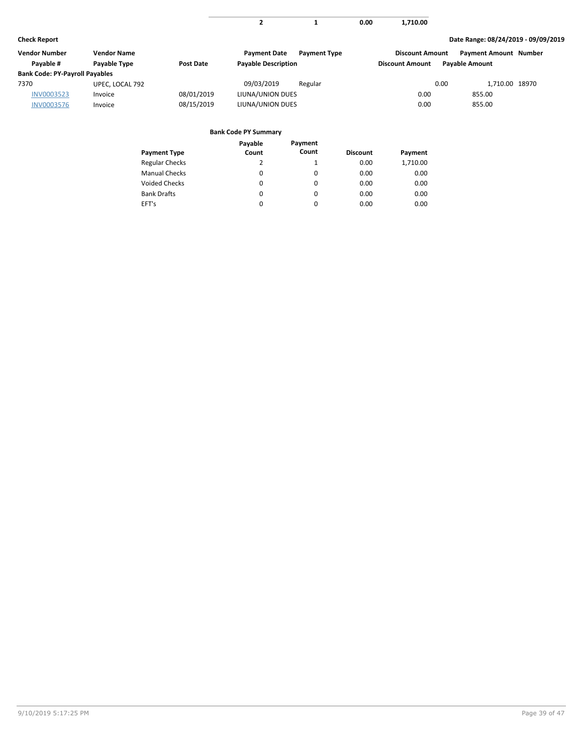|  |      | 1.710.00 |
|--|------|----------|
|  | 0.00 | -------- |
|  |      |          |

| Vendor Number                         | Vendor Name     |                  | <b>Payment Date</b>        | <b>Payment Type</b> | <b>Discount Amount</b> |                       | <b>Payment Amount Number</b> |  |
|---------------------------------------|-----------------|------------------|----------------------------|---------------------|------------------------|-----------------------|------------------------------|--|
| Pavable #                             | Payable Type    | <b>Post Date</b> | <b>Payable Description</b> |                     | <b>Discount Amount</b> | <b>Pavable Amount</b> |                              |  |
| <b>Bank Code: PY-Payroll Payables</b> |                 |                  |                            |                     |                        |                       |                              |  |
| 7370                                  | UPEC, LOCAL 792 |                  | 09/03/2019                 | Regular             |                        | 0.00                  | 1.710.00 18970               |  |
| INV0003523                            | Invoice         | 08/01/2019       | LIUNA/UNION DUES           |                     | 0.00                   | 855.00                |                              |  |
| <b>INV0003576</b>                     | Invoice         | 08/15/2019       | LIUNA/UNION DUES           |                     | 0.00                   | 855.00                |                              |  |

|                       | Payable  | Payment  |                 |          |
|-----------------------|----------|----------|-----------------|----------|
| <b>Payment Type</b>   | Count    | Count    | <b>Discount</b> | Payment  |
| <b>Regular Checks</b> | 2        |          | 0.00            | 1,710.00 |
| <b>Manual Checks</b>  | 0        | 0        | 0.00            | 0.00     |
| <b>Voided Checks</b>  | $\Omega$ | 0        | 0.00            | 0.00     |
| <b>Bank Drafts</b>    | $\Omega$ | $\Omega$ | 0.00            | 0.00     |
| EFT's                 | $\Omega$ | 0        | 0.00            | 0.00     |
|                       |          |          |                 |          |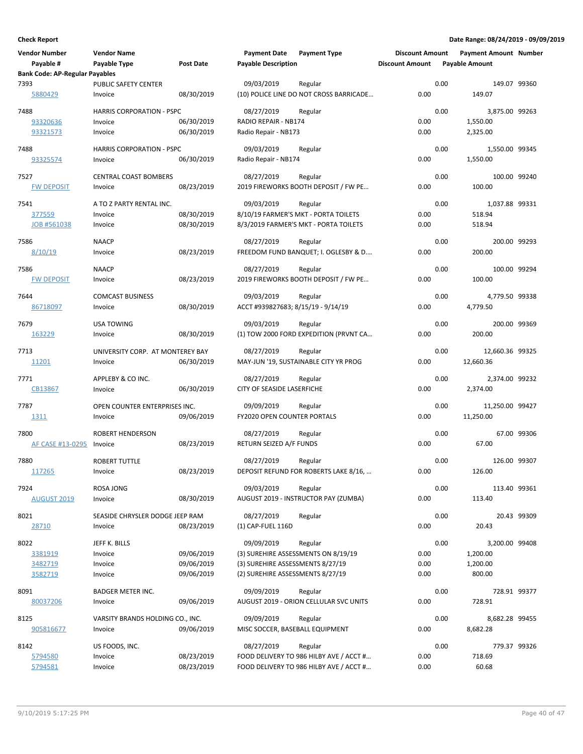| <b>Vendor Number</b>                  | <b>Vendor Name</b>               |                  | <b>Payment Date</b>                | <b>Payment Type</b>                     | <b>Discount Amount</b> |      | <b>Payment Amount Number</b> |             |
|---------------------------------------|----------------------------------|------------------|------------------------------------|-----------------------------------------|------------------------|------|------------------------------|-------------|
| Payable #                             | Payable Type                     | <b>Post Date</b> | <b>Payable Description</b>         |                                         | <b>Discount Amount</b> |      | <b>Payable Amount</b>        |             |
| <b>Bank Code: AP-Regular Payables</b> |                                  |                  |                                    |                                         |                        |      |                              |             |
| 7393                                  | PUBLIC SAFETY CENTER             |                  | 09/03/2019                         | Regular                                 |                        | 0.00 | 149.07 99360                 |             |
| 5880429                               | Invoice                          | 08/30/2019       |                                    | (10) POLICE LINE DO NOT CROSS BARRICADE | 0.00                   |      | 149.07                       |             |
|                                       |                                  |                  |                                    |                                         |                        |      |                              |             |
| 7488                                  | <b>HARRIS CORPORATION - PSPC</b> |                  | 08/27/2019                         | Regular                                 |                        | 0.00 | 3,875.00 99263               |             |
| 93320636                              | Invoice                          | 06/30/2019       | RADIO REPAIR - NB174               |                                         | 0.00                   |      | 1,550.00                     |             |
| 93321573                              | Invoice                          | 06/30/2019       | Radio Repair - NB173               |                                         | 0.00                   |      | 2,325.00                     |             |
|                                       |                                  |                  |                                    |                                         |                        |      |                              |             |
| 7488                                  | <b>HARRIS CORPORATION - PSPC</b> |                  | 09/03/2019                         | Regular                                 |                        | 0.00 | 1,550.00 99345               |             |
| 93325574                              | Invoice                          | 06/30/2019       | Radio Repair - NB174               |                                         | 0.00                   |      | 1,550.00                     |             |
|                                       |                                  |                  |                                    |                                         |                        |      |                              |             |
| 7527                                  | <b>CENTRAL COAST BOMBERS</b>     |                  | 08/27/2019                         | Regular                                 |                        | 0.00 | 100.00 99240                 |             |
| <b>FW DEPOSIT</b>                     | Invoice                          | 08/23/2019       |                                    | 2019 FIREWORKS BOOTH DEPOSIT / FW PE    | 0.00                   |      | 100.00                       |             |
|                                       |                                  |                  |                                    |                                         |                        |      |                              |             |
| 7541                                  | A TO Z PARTY RENTAL INC.         |                  | 09/03/2019                         | Regular                                 |                        | 0.00 | 1,037.88 99331               |             |
| 377559                                | Invoice                          | 08/30/2019       |                                    | 8/10/19 FARMER'S MKT - PORTA TOILETS    | 0.00                   |      | 518.94                       |             |
| JOB #561038                           | Invoice                          | 08/30/2019       |                                    | 8/3/2019 FARMER'S MKT - PORTA TOILETS   | 0.00                   |      | 518.94                       |             |
| 7586                                  | <b>NAACP</b>                     |                  | 08/27/2019                         | Regular                                 |                        | 0.00 | 200.00 99293                 |             |
|                                       |                                  |                  |                                    |                                         |                        |      |                              |             |
| 8/10/19                               | Invoice                          | 08/23/2019       |                                    | FREEDOM FUND BANQUET; I. OGLESBY & D    | 0.00                   |      | 200.00                       |             |
| 7586                                  | <b>NAACP</b>                     |                  | 08/27/2019                         | Regular                                 |                        | 0.00 | 100.00 99294                 |             |
| <b>FW DEPOSIT</b>                     | Invoice                          | 08/23/2019       |                                    | 2019 FIREWORKS BOOTH DEPOSIT / FW PE    | 0.00                   |      | 100.00                       |             |
|                                       |                                  |                  |                                    |                                         |                        |      |                              |             |
| 7644                                  | <b>COMCAST BUSINESS</b>          |                  | 09/03/2019                         | Regular                                 |                        | 0.00 | 4,779.50 99338               |             |
| 86718097                              | Invoice                          | 08/30/2019       | ACCT #939827683; 8/15/19 - 9/14/19 |                                         | 0.00                   |      | 4,779.50                     |             |
|                                       |                                  |                  |                                    |                                         |                        |      |                              |             |
| 7679                                  | <b>USA TOWING</b>                |                  | 09/03/2019                         | Regular                                 |                        | 0.00 | 200.00 99369                 |             |
| 163229                                | Invoice                          | 08/30/2019       |                                    | (1) TOW 2000 FORD EXPEDITION (PRVNT CA  | 0.00                   |      | 200.00                       |             |
|                                       |                                  |                  |                                    |                                         |                        |      |                              |             |
| 7713                                  | UNIVERSITY CORP. AT MONTEREY BAY |                  | 08/27/2019                         | Regular                                 |                        | 0.00 | 12,660.36 99325              |             |
| 11201                                 | Invoice                          | 06/30/2019       |                                    | MAY-JUN '19, SUSTAINABLE CITY YR PROG   | 0.00                   |      | 12,660.36                    |             |
|                                       |                                  |                  |                                    |                                         |                        |      |                              |             |
| 7771                                  | APPLEBY & CO INC.                |                  | 08/27/2019                         | Regular                                 |                        | 0.00 | 2,374.00 99232               |             |
| CB13867                               | Invoice                          | 06/30/2019       | CITY OF SEASIDE LASERFICHE         |                                         | 0.00                   |      | 2,374.00                     |             |
| 7787                                  | OPEN COUNTER ENTERPRISES INC.    |                  | 09/09/2019                         | Regular                                 |                        | 0.00 | 11,250.00 99427              |             |
| 1311                                  | Invoice                          | 09/06/2019       | FY2020 OPEN COUNTER PORTALS        |                                         | 0.00                   |      | 11,250.00                    |             |
|                                       |                                  |                  |                                    |                                         |                        |      |                              |             |
| 7800                                  | ROBERT HENDERSON                 |                  | 08/27/2019                         | Regular                                 |                        | 0.00 |                              | 67.00 99306 |
| AF CASE #13-0295                      | Invoice                          | 08/23/2019       | RETURN SEIZED A/F FUNDS            |                                         | 0.00                   |      | 67.00                        |             |
|                                       |                                  |                  |                                    |                                         |                        |      |                              |             |
| 7880                                  | <b>ROBERT TUTTLE</b>             |                  | 08/27/2019                         | Regular                                 |                        | 0.00 | 126.00 99307                 |             |
| 117265                                | Invoice                          | 08/23/2019       |                                    | DEPOSIT REFUND FOR ROBERTS LAKE 8/16,   | 0.00                   |      | 126.00                       |             |
|                                       |                                  |                  |                                    |                                         |                        |      |                              |             |
| 7924                                  | ROSA JONG                        |                  | 09/03/2019                         | Regular                                 |                        | 0.00 | 113.40 99361                 |             |
| <b>AUGUST 2019</b>                    | Invoice                          | 08/30/2019       |                                    | AUGUST 2019 - INSTRUCTOR PAY (ZUMBA)    | 0.00                   |      | 113.40                       |             |
|                                       |                                  |                  |                                    |                                         |                        |      |                              |             |
| 8021                                  | SEASIDE CHRYSLER DODGE JEEP RAM  |                  | 08/27/2019                         | Regular                                 |                        | 0.00 |                              | 20.43 99309 |
| 28710                                 | Invoice                          | 08/23/2019       | (1) CAP-FUEL 116D                  |                                         | 0.00                   |      | 20.43                        |             |
| 8022                                  | JEFF K. BILLS                    |                  | 09/09/2019                         | Regular                                 |                        | 0.00 | 3,200.00 99408               |             |
|                                       |                                  | 09/06/2019       |                                    | (3) SUREHIRE ASSESSMENTS ON 8/19/19     | 0.00                   |      | 1,200.00                     |             |
| 3381919                               | Invoice                          |                  |                                    |                                         |                        |      |                              |             |
| 3482719                               | Invoice                          | 09/06/2019       | (3) SUREHIRE ASSESSMENTS 8/27/19   |                                         | 0.00                   |      | 1,200.00                     |             |
| 3582719                               | Invoice                          | 09/06/2019       | (2) SUREHIRE ASSESSMENTS 8/27/19   |                                         | 0.00                   |      | 800.00                       |             |
| 8091                                  | <b>BADGER METER INC.</b>         |                  | 09/09/2019                         | Regular                                 |                        | 0.00 | 728.91 99377                 |             |
| 80037206                              | Invoice                          | 09/06/2019       |                                    | AUGUST 2019 - ORION CELLULAR SVC UNITS  | 0.00                   |      | 728.91                       |             |
|                                       |                                  |                  |                                    |                                         |                        |      |                              |             |
| 8125                                  | VARSITY BRANDS HOLDING CO., INC. |                  | 09/09/2019                         | Regular                                 |                        | 0.00 | 8,682.28 99455               |             |
| 905816677                             | Invoice                          | 09/06/2019       | MISC SOCCER, BASEBALL EQUIPMENT    |                                         | 0.00                   |      | 8,682.28                     |             |
|                                       |                                  |                  |                                    |                                         |                        |      |                              |             |
| 8142                                  | US FOODS, INC.                   |                  | 08/27/2019                         | Regular                                 |                        | 0.00 | 779.37 99326                 |             |
| 5794580                               | Invoice                          | 08/23/2019       |                                    | FOOD DELIVERY TO 986 HILBY AVE / ACCT # | 0.00                   |      | 718.69                       |             |
| 5794581                               | Invoice                          | 08/23/2019       |                                    | FOOD DELIVERY TO 986 HILBY AVE / ACCT # | 0.00                   |      | 60.68                        |             |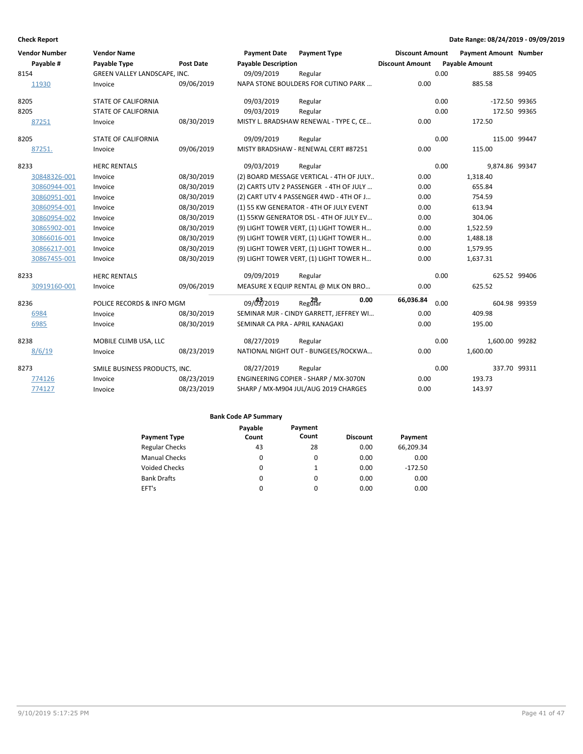| <b>Vendor Number</b> | <b>Vendor Name</b>            |            | <b>Payment Date</b>             | <b>Payment Type</b>                      | <b>Discount Amount</b> |      | <b>Payment Amount Number</b> |              |
|----------------------|-------------------------------|------------|---------------------------------|------------------------------------------|------------------------|------|------------------------------|--------------|
| Payable #            | Payable Type                  | Post Date  | <b>Payable Description</b>      |                                          | <b>Discount Amount</b> |      | <b>Payable Amount</b>        |              |
| 8154                 | GREEN VALLEY LANDSCAPE, INC.  |            | 09/09/2019                      | Regular                                  |                        | 0.00 |                              | 885.58 99405 |
| 11930                | Invoice                       | 09/06/2019 |                                 | NAPA STONE BOULDERS FOR CUTINO PARK      | 0.00                   |      | 885.58                       |              |
| 8205                 | <b>STATE OF CALIFORNIA</b>    |            | 09/03/2019                      | Regular                                  |                        | 0.00 | -172.50 99365                |              |
| 8205                 | <b>STATE OF CALIFORNIA</b>    |            | 09/03/2019                      | Regular                                  |                        | 0.00 |                              | 172.50 99365 |
| 87251                | Invoice                       | 08/30/2019 |                                 | MISTY L. BRADSHAW RENEWAL - TYPE C, CE   | 0.00                   |      | 172.50                       |              |
| 8205                 | <b>STATE OF CALIFORNIA</b>    |            | 09/09/2019                      | Regular                                  |                        | 0.00 |                              | 115.00 99447 |
| 87251.               | Invoice                       | 09/06/2019 |                                 | MISTY BRADSHAW - RENEWAL CERT #87251     | 0.00                   |      | 115.00                       |              |
| 8233                 | <b>HERC RENTALS</b>           |            | 09/03/2019                      | Regular                                  |                        | 0.00 | 9,874.86 99347               |              |
| 30848326-001         | Invoice                       | 08/30/2019 |                                 | (2) BOARD MESSAGE VERTICAL - 4TH OF JULY | 0.00                   |      | 1,318.40                     |              |
| 30860944-001         | Invoice                       | 08/30/2019 |                                 | (2) CARTS UTV 2 PASSENGER - 4TH OF JULY  | 0.00                   |      | 655.84                       |              |
| 30860951-001         | Invoice                       | 08/30/2019 |                                 | (2) CART UTV 4 PASSENGER 4WD - 4TH OF J  | 0.00                   |      | 754.59                       |              |
| 30860954-001         | Invoice                       | 08/30/2019 |                                 | (1) 55 KW GENERATOR - 4TH OF JULY EVENT  | 0.00                   |      | 613.94                       |              |
| 30860954-002         | Invoice                       | 08/30/2019 |                                 | (1) 55KW GENERATOR DSL - 4TH OF JULY EV  | 0.00                   |      | 304.06                       |              |
| 30865902-001         | Invoice                       | 08/30/2019 |                                 | (9) LIGHT TOWER VERT, (1) LIGHT TOWER H  | 0.00                   |      | 1,522.59                     |              |
| 30866016-001         | Invoice                       | 08/30/2019 |                                 | (9) LIGHT TOWER VERT, (1) LIGHT TOWER H  | 0.00                   |      | 1,488.18                     |              |
| 30866217-001         | Invoice                       | 08/30/2019 |                                 | (9) LIGHT TOWER VERT, (1) LIGHT TOWER H  | 0.00                   |      | 1,579.95                     |              |
| 30867455-001         | Invoice                       | 08/30/2019 |                                 | (9) LIGHT TOWER VERT, (1) LIGHT TOWER H  | 0.00                   |      | 1,637.31                     |              |
| 8233                 | <b>HERC RENTALS</b>           |            | 09/09/2019                      | Regular                                  |                        | 0.00 |                              | 625.52 99406 |
| 30919160-001         | Invoice                       | 09/06/2019 |                                 | MEASURE X EQUIP RENTAL @ MLK ON BRO      | 0.00                   |      | 625.52                       |              |
| 8236                 | POLICE RECORDS & INFO MGM     |            | 09/03/2019                      | 0.00<br>Regular                          | 66,036.84              | 0.00 |                              | 604.98 99359 |
| 6984                 | Invoice                       | 08/30/2019 |                                 | SEMINAR MJR - CINDY GARRETT, JEFFREY WI  | 0.00                   |      | 409.98                       |              |
| 6985                 | Invoice                       | 08/30/2019 | SEMINAR CA PRA - APRIL KANAGAKI |                                          | 0.00                   |      | 195.00                       |              |
| 8238                 | MOBILE CLIMB USA, LLC         |            | 08/27/2019                      | Regular                                  |                        | 0.00 | 1,600.00 99282               |              |
| 8/6/19               | Invoice                       | 08/23/2019 |                                 | NATIONAL NIGHT OUT - BUNGEES/ROCKWA      | 0.00                   |      | 1,600.00                     |              |
| 8273                 | SMILE BUSINESS PRODUCTS, INC. |            | 08/27/2019                      | Regular                                  |                        | 0.00 |                              | 337.70 99311 |
| 774126               | Invoice                       | 08/23/2019 |                                 | ENGINEERING COPIER - SHARP / MX-3070N    | 0.00                   |      | 193.73                       |              |
| 774127               | Invoice                       | 08/23/2019 |                                 | SHARP / MX-M904 JUL/AUG 2019 CHARGES     | 0.00                   |      | 143.97                       |              |

|                       | Payable | Payment |                 |           |
|-----------------------|---------|---------|-----------------|-----------|
| <b>Payment Type</b>   | Count   | Count   | <b>Discount</b> | Payment   |
| <b>Regular Checks</b> | 43      | 28      | 0.00            | 66,209.34 |
| <b>Manual Checks</b>  | 0       | 0       | 0.00            | 0.00      |
| <b>Voided Checks</b>  | 0       |         | 0.00            | $-172.50$ |
| <b>Bank Drafts</b>    | 0       | 0       | 0.00            | 0.00      |
| EFT's                 | 0       | 0       | 0.00            | 0.00      |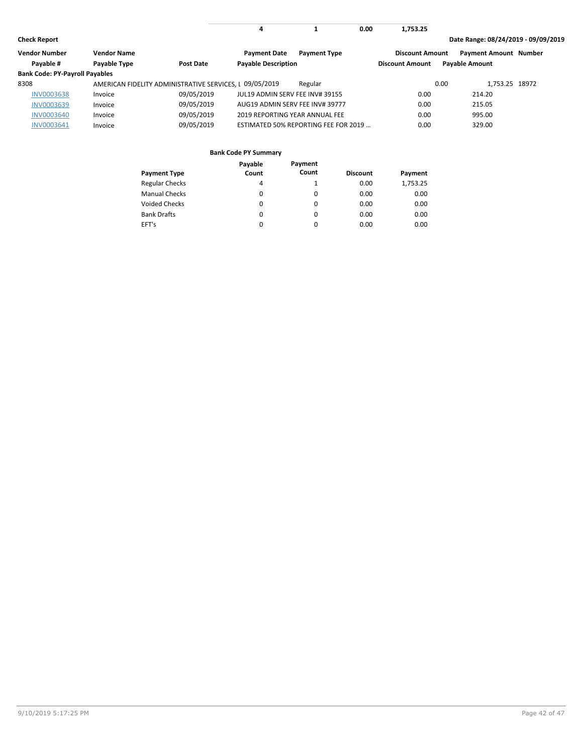| <b>Check Report</b> |  |
|---------------------|--|
|---------------------|--|

**1 0.00 4**

**Check Report Date Range: 08/24/2019 - 09/09/2019**

**1,753.25**

| <b>Vendor Number</b>                  | <b>Vendor Name</b> |                                                         | <b>Payment Date</b>             | <b>Payment Type</b>                  | <b>Discount Amount</b> | <b>Payment Amount Number</b> |  |
|---------------------------------------|--------------------|---------------------------------------------------------|---------------------------------|--------------------------------------|------------------------|------------------------------|--|
| Payable #                             | Payable Type       | Post Date                                               | <b>Payable Description</b>      |                                      | <b>Discount Amount</b> | <b>Payable Amount</b>        |  |
| <b>Bank Code: PY-Payroll Payables</b> |                    |                                                         |                                 |                                      |                        |                              |  |
| 8308                                  |                    | AMERICAN FIDELITY ADMINISTRATIVE SERVICES. 1 09/05/2019 |                                 | Regular                              |                        | 1.753.25 18972<br>0.00       |  |
| <b>INV0003638</b>                     | Invoice            | 09/05/2019                                              | JUL19 ADMIN SERV FEE INV# 39155 |                                      | 0.00                   | 214.20                       |  |
| <b>INV0003639</b>                     | Invoice            | 09/05/2019                                              | AUG19 ADMIN SERV FEE INV# 39777 |                                      | 0.00                   | 215.05                       |  |
| <b>INV0003640</b>                     | Invoice            | 09/05/2019                                              | 2019 REPORTING YEAR ANNUAL FEE  |                                      | 0.00                   | 995.00                       |  |
| <b>INV0003641</b>                     | Invoice            | 09/05/2019                                              |                                 | ESTIMATED 50% REPORTING FEE FOR 2019 | 0.00                   | 329.00                       |  |

|                       | Payable  | Payment  |                 |          |
|-----------------------|----------|----------|-----------------|----------|
| <b>Payment Type</b>   | Count    | Count    | <b>Discount</b> | Payment  |
| <b>Regular Checks</b> | 4        |          | 0.00            | 1,753.25 |
| <b>Manual Checks</b>  | 0        | $\Omega$ | 0.00            | 0.00     |
| <b>Voided Checks</b>  | 0        | $\Omega$ | 0.00            | 0.00     |
| <b>Bank Drafts</b>    | $\Omega$ | 0        | 0.00            | 0.00     |
| EFT's                 | $\Omega$ | $\Omega$ | 0.00            | 0.00     |
|                       |          |          |                 |          |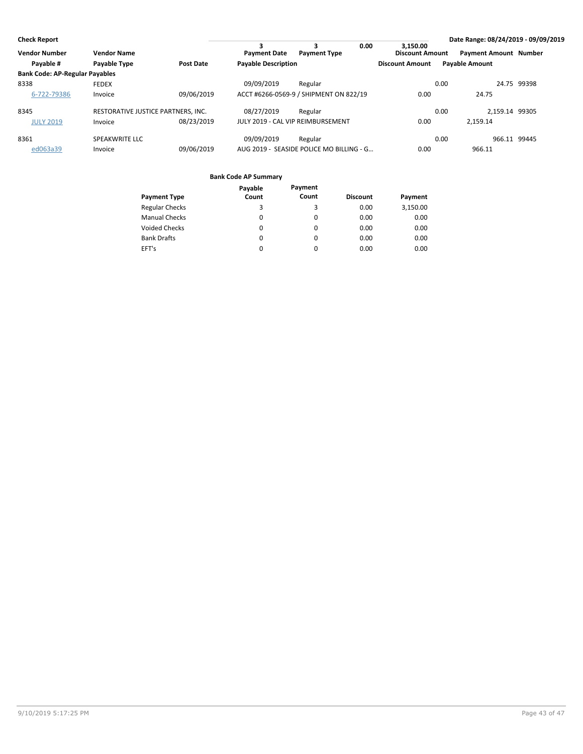| <b>Check Report</b>                   |                                    |                  |                                   |                                          |                                    |                       |                              | Date Range: 08/24/2019 - 09/09/2019 |
|---------------------------------------|------------------------------------|------------------|-----------------------------------|------------------------------------------|------------------------------------|-----------------------|------------------------------|-------------------------------------|
| <b>Vendor Number</b>                  | <b>Vendor Name</b>                 |                  | <b>Payment Date</b>               | 0.00<br>3<br><b>Payment Type</b>         | 3.150.00<br><b>Discount Amount</b> |                       | <b>Payment Amount Number</b> |                                     |
| Payable #                             | Payable Type                       | <b>Post Date</b> | <b>Payable Description</b>        |                                          | <b>Discount Amount</b>             | <b>Pavable Amount</b> |                              |                                     |
| <b>Bank Code: AP-Regular Payables</b> |                                    |                  |                                   |                                          |                                    |                       |                              |                                     |
| 8338                                  | <b>FEDEX</b>                       |                  | 09/09/2019                        | Regular                                  |                                    | 0.00                  |                              | 24.75 99398                         |
| 6-722-79386                           | Invoice                            | 09/06/2019       |                                   | ACCT #6266-0569-9 / SHIPMENT ON 822/19   | 0.00                               |                       | 24.75                        |                                     |
| 8345                                  | RESTORATIVE JUSTICE PARTNERS, INC. |                  | 08/27/2019                        | Regular                                  |                                    | 0.00                  | 2.159.14 99305               |                                     |
| <b>JULY 2019</b>                      | Invoice                            | 08/23/2019       | JULY 2019 - CAL VIP REIMBURSEMENT |                                          | 0.00                               |                       | 2.159.14                     |                                     |
| 8361                                  | SPEAKWRITE LLC                     |                  | 09/09/2019                        | Regular                                  |                                    | 0.00                  | 966.11 99445                 |                                     |
| ed063a39                              | Invoice                            | 09/06/2019       |                                   | AUG 2019 - SEASIDE POLICE MO BILLING - G | 0.00                               |                       | 966.11                       |                                     |

|                       | Payable | Payment  |                 |          |
|-----------------------|---------|----------|-----------------|----------|
| <b>Payment Type</b>   | Count   | Count    | <b>Discount</b> | Payment  |
| <b>Regular Checks</b> | 3       | 3        | 0.00            | 3,150.00 |
| <b>Manual Checks</b>  | 0       | 0        | 0.00            | 0.00     |
| <b>Voided Checks</b>  | 0       | 0        | 0.00            | 0.00     |
| <b>Bank Drafts</b>    | 0       | 0        | 0.00            | 0.00     |
| EFT's                 |         | $\Omega$ | 0.00            | 0.00     |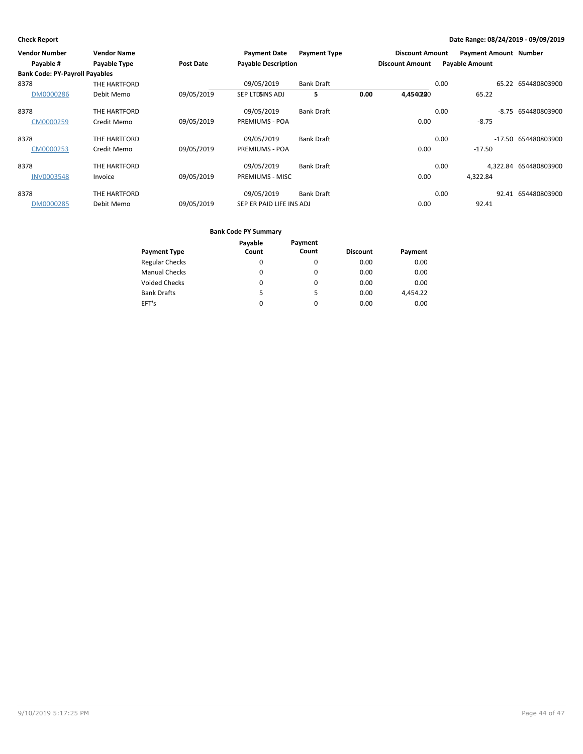| Vendor Number                         | <b>Vendor Name</b> |                  | <b>Payment Date</b>        | <b>Payment Type</b> |      | <b>Discount Amount</b> |      | <b>Payment Amount Number</b> |                       |
|---------------------------------------|--------------------|------------------|----------------------------|---------------------|------|------------------------|------|------------------------------|-----------------------|
| Payable #                             | Payable Type       | <b>Post Date</b> | <b>Payable Description</b> |                     |      | <b>Discount Amount</b> |      | <b>Payable Amount</b>        |                       |
| <b>Bank Code: PY-Payroll Payables</b> |                    |                  |                            |                     |      |                        |      |                              |                       |
| 8378                                  | THE HARTFORD       |                  | 09/05/2019                 | <b>Bank Draft</b>   |      |                        | 0.00 | 65.22                        | 654480803900          |
| DM0000286                             | Debit Memo         | 09/05/2019       | SEP LTDSINS ADJ            | 5                   | 0.00 | 4,4540200              |      | 65.22                        |                       |
| 8378                                  | THE HARTFORD       |                  | 09/05/2019                 | <b>Bank Draft</b>   |      |                        | 0.00 | -8.75                        | 654480803900          |
| CM0000259                             | Credit Memo        | 09/05/2019       | <b>PREMIUMS - POA</b>      |                     |      | 0.00                   |      | $-8.75$                      |                       |
| 8378                                  | THE HARTFORD       |                  | 09/05/2019                 | <b>Bank Draft</b>   |      |                        | 0.00 | $-17.50$                     | 654480803900          |
| CM0000253                             | Credit Memo        | 09/05/2019       | <b>PREMIUMS - POA</b>      |                     |      | 0.00                   |      | $-17.50$                     |                       |
| 8378                                  | THE HARTFORD       |                  | 09/05/2019                 | <b>Bank Draft</b>   |      |                        | 0.00 |                              | 4,322.84 654480803900 |
| <b>INV0003548</b>                     | Invoice            | 09/05/2019       | <b>PREMIUMS - MISC</b>     |                     |      | 0.00                   |      | 4,322.84                     |                       |
| 8378                                  | THE HARTFORD       |                  | 09/05/2019                 | <b>Bank Draft</b>   |      |                        | 0.00 |                              | 92.41 654480803900    |
| DM0000285                             | Debit Memo         | 09/05/2019       | SEP ER PAID LIFE INS ADJ   |                     |      | 0.00                   |      | 92.41                        |                       |

|                       | Payable | Payment |                 |          |
|-----------------------|---------|---------|-----------------|----------|
| <b>Payment Type</b>   | Count   | Count   | <b>Discount</b> | Payment  |
| <b>Regular Checks</b> | 0       | 0       | 0.00            | 0.00     |
| <b>Manual Checks</b>  | 0       | 0       | 0.00            | 0.00     |
| <b>Voided Checks</b>  | 0       | 0       | 0.00            | 0.00     |
| <b>Bank Drafts</b>    | 5.      | 5       | 0.00            | 4.454.22 |
| EFT's                 | 0       | 0       | 0.00            | 0.00     |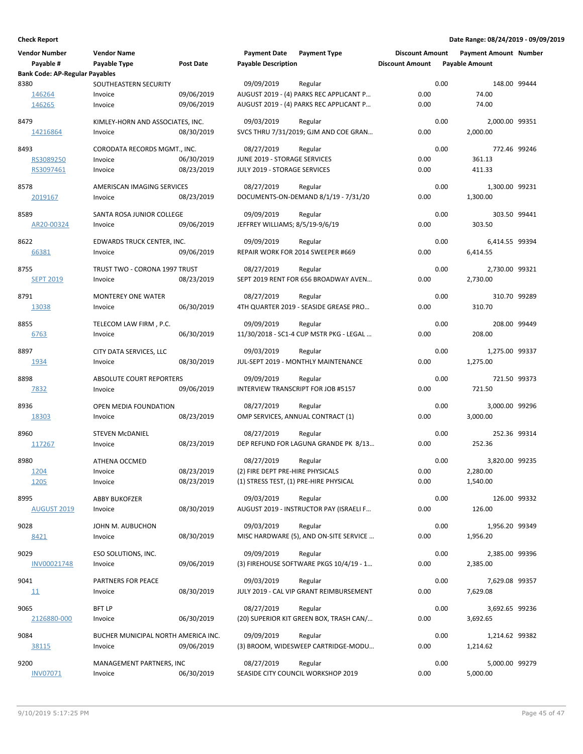| <b>Vendor Number</b>                  | <b>Vendor Name</b>                      |            | <b>Payment Date</b>                        | <b>Payment Type</b>                       | <b>Discount Amount</b> |      | <b>Payment Amount Number</b> |  |
|---------------------------------------|-----------------------------------------|------------|--------------------------------------------|-------------------------------------------|------------------------|------|------------------------------|--|
| Payable #                             | Payable Type                            | Post Date  | <b>Payable Description</b>                 |                                           | <b>Discount Amount</b> |      | <b>Payable Amount</b>        |  |
| <b>Bank Code: AP-Regular Payables</b> |                                         |            |                                            |                                           |                        |      |                              |  |
| 8380                                  | SOUTHEASTERN SECURITY                   |            | 09/09/2019                                 | Regular                                   |                        | 0.00 | 148.00 99444                 |  |
| 146264                                | Invoice                                 | 09/06/2019 |                                            | AUGUST 2019 - (4) PARKS REC APPLICANT P   | 0.00                   |      | 74.00                        |  |
| 146265                                | Invoice                                 | 09/06/2019 |                                            | AUGUST 2019 - (4) PARKS REC APPLICANT P   | 0.00                   |      | 74.00                        |  |
| 8479                                  | KIMLEY-HORN AND ASSOCIATES, INC.        |            | 09/03/2019                                 | Regular                                   |                        | 0.00 | 2,000.00 99351               |  |
| 14216864                              | Invoice                                 | 08/30/2019 |                                            | SVCS THRU 7/31/2019; GJM AND COE GRAN     | 0.00                   |      | 2,000.00                     |  |
|                                       |                                         |            |                                            | Regular                                   |                        | 0.00 | 772.46 99246                 |  |
| 8493<br>RS3089250                     | CORODATA RECORDS MGMT., INC.<br>Invoice | 06/30/2019 | 08/27/2019<br>JUNE 2019 - STORAGE SERVICES |                                           | 0.00                   |      | 361.13                       |  |
| RS3097461                             | Invoice                                 | 08/23/2019 | JULY 2019 - STORAGE SERVICES               |                                           | 0.00                   |      | 411.33                       |  |
|                                       |                                         |            |                                            |                                           |                        |      |                              |  |
| 8578                                  | AMERISCAN IMAGING SERVICES              |            | 08/27/2019                                 | Regular                                   |                        | 0.00 | 1,300.00 99231               |  |
| 2019167                               | Invoice                                 | 08/23/2019 |                                            | DOCUMENTS-ON-DEMAND 8/1/19 - 7/31/20      | 0.00                   |      | 1,300.00                     |  |
| 8589                                  | SANTA ROSA JUNIOR COLLEGE               |            | 09/09/2019                                 | Regular                                   |                        | 0.00 | 303.50 99441                 |  |
| AR20-00324                            | Invoice                                 | 09/06/2019 | JEFFREY WILLIAMS; 8/5/19-9/6/19            |                                           | 0.00                   |      | 303.50                       |  |
|                                       |                                         |            |                                            |                                           |                        |      |                              |  |
| 8622                                  | EDWARDS TRUCK CENTER, INC.              |            | 09/09/2019                                 | Regular                                   |                        | 0.00 | 6,414.55 99394               |  |
| 66381                                 | Invoice                                 | 09/06/2019 |                                            | REPAIR WORK FOR 2014 SWEEPER #669         | 0.00                   |      | 6,414.55                     |  |
| 8755                                  | TRUST TWO - CORONA 1997 TRUST           |            | 08/27/2019                                 | Regular                                   |                        | 0.00 | 2,730.00 99321               |  |
| <b>SEPT 2019</b>                      | Invoice                                 | 08/23/2019 |                                            | SEPT 2019 RENT FOR 656 BROADWAY AVEN      | 0.00                   |      | 2,730.00                     |  |
|                                       |                                         |            |                                            |                                           |                        |      |                              |  |
| 8791                                  | <b>MONTEREY ONE WATER</b>               |            | 08/27/2019                                 | Regular                                   |                        | 0.00 | 310.70 99289                 |  |
| 13038                                 | Invoice                                 | 06/30/2019 |                                            | 4TH QUARTER 2019 - SEASIDE GREASE PRO     | 0.00                   |      | 310.70                       |  |
| 8855                                  | TELECOM LAW FIRM, P.C.                  |            | 09/09/2019                                 | Regular                                   |                        | 0.00 | 208.00 99449                 |  |
| <u>6763</u>                           | Invoice                                 | 06/30/2019 |                                            | 11/30/2018 - SC1-4 CUP MSTR PKG - LEGAL   | 0.00                   |      | 208.00                       |  |
|                                       |                                         |            |                                            |                                           |                        |      |                              |  |
| 8897                                  | CITY DATA SERVICES, LLC                 |            | 09/03/2019                                 | Regular                                   |                        | 0.00 | 1,275.00 99337               |  |
| 1934                                  | Invoice                                 | 08/30/2019 |                                            | JUL-SEPT 2019 - MONTHLY MAINTENANCE       | 0.00                   |      | 1,275.00                     |  |
| 8898                                  | ABSOLUTE COURT REPORTERS                |            | 09/09/2019                                 | Regular                                   |                        | 0.00 | 721.50 99373                 |  |
| 7832                                  | Invoice                                 | 09/06/2019 |                                            | <b>INTERVIEW TRANSCRIPT FOR JOB #5157</b> | 0.00                   |      | 721.50                       |  |
|                                       |                                         |            |                                            |                                           |                        |      |                              |  |
| 8936                                  | OPEN MEDIA FOUNDATION                   |            | 08/27/2019                                 | Regular                                   |                        | 0.00 | 3,000.00 99296               |  |
| 18303                                 | Invoice                                 | 08/23/2019 |                                            | OMP SERVICES, ANNUAL CONTRACT (1)         | 0.00                   |      | 3,000.00                     |  |
| 8960                                  | <b>STEVEN MCDANIEL</b>                  |            | 08/27/2019                                 | Regular                                   |                        | 0.00 | 252.36 99314                 |  |
| 117267                                | Invoice                                 | 08/23/2019 |                                            | DEP REFUND FOR LAGUNA GRANDE PK 8/13      | 0.00                   |      | 252.36                       |  |
|                                       |                                         |            |                                            |                                           |                        |      |                              |  |
| 8980                                  | <b>ATHENA OCCMED</b>                    |            | 08/27/2019                                 | Regular                                   |                        | 0.00 | 3,820.00 99235               |  |
| 1204                                  | Invoice                                 | 08/23/2019 | (2) FIRE DEPT PRE-HIRE PHYSICALS           |                                           | 0.00                   |      | 2,280.00                     |  |
| 1205                                  | Invoice                                 | 08/23/2019 |                                            | (1) STRESS TEST, (1) PRE-HIRE PHYSICAL    | 0.00                   |      | 1,540.00                     |  |
| 8995                                  | <b>ABBY BUKOFZER</b>                    |            | 09/03/2019                                 | Regular                                   |                        | 0.00 | 126.00 99332                 |  |
| <b>AUGUST 2019</b>                    | Invoice                                 | 08/30/2019 |                                            | AUGUST 2019 - INSTRUCTOR PAY (ISRAELI F   | 0.00                   |      | 126.00                       |  |
|                                       |                                         |            |                                            |                                           |                        |      |                              |  |
| 9028                                  | JOHN M. AUBUCHON                        |            | 09/03/2019                                 | Regular                                   |                        | 0.00 | 1,956.20 99349               |  |
| 8421                                  | Invoice                                 | 08/30/2019 |                                            | MISC HARDWARE (5), AND ON-SITE SERVICE    | 0.00                   |      | 1,956.20                     |  |
| 9029                                  | ESO SOLUTIONS, INC.                     |            | 09/09/2019                                 | Regular                                   |                        | 0.00 | 2,385.00 99396               |  |
| INV00021748                           | Invoice                                 | 09/06/2019 |                                            | (3) FIREHOUSE SOFTWARE PKGS 10/4/19 - 1   | 0.00                   |      | 2,385.00                     |  |
|                                       |                                         |            |                                            |                                           |                        |      |                              |  |
| 9041                                  | PARTNERS FOR PEACE                      |            | 09/03/2019                                 | Regular                                   |                        | 0.00 | 7,629.08 99357               |  |
| 11                                    | Invoice                                 | 08/30/2019 |                                            | JULY 2019 - CAL VIP GRANT REIMBURSEMENT   | 0.00                   |      | 7,629.08                     |  |
| 9065                                  | <b>BFT LP</b>                           |            | 08/27/2019                                 | Regular                                   |                        | 0.00 | 3,692.65 99236               |  |
| 2126880-000                           | Invoice                                 | 06/30/2019 |                                            | (20) SUPERIOR KIT GREEN BOX, TRASH CAN/   | 0.00                   |      | 3,692.65                     |  |
|                                       |                                         |            |                                            |                                           |                        |      |                              |  |
| 9084                                  | BUCHER MUNICIPAL NORTH AMERICA INC.     |            | 09/09/2019                                 | Regular                                   |                        | 0.00 | 1,214.62 99382               |  |
| 38115                                 | Invoice                                 | 09/06/2019 |                                            | (3) BROOM, WIDESWEEP CARTRIDGE-MODU       | 0.00                   |      | 1,214.62                     |  |
| 9200                                  | MANAGEMENT PARTNERS, INC                |            | 08/27/2019                                 | Regular                                   |                        | 0.00 | 5,000.00 99279               |  |
| <b>INV07071</b>                       | Invoice                                 | 06/30/2019 |                                            | SEASIDE CITY COUNCIL WORKSHOP 2019        | 0.00                   |      | 5,000.00                     |  |
|                                       |                                         |            |                                            |                                           |                        |      |                              |  |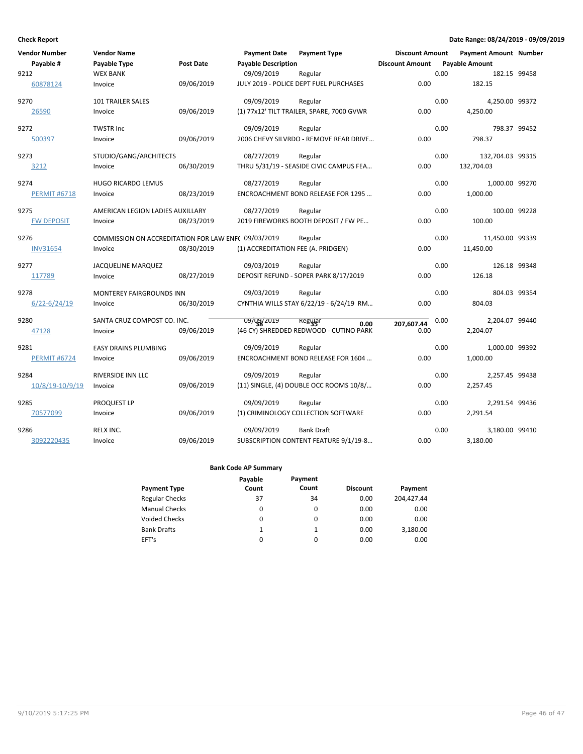| Vendor Number       | <b>Vendor Name</b>                                  |                  | <b>Payment Date</b>        | <b>Payment Type</b>                       | <b>Discount Amount</b> |      | <b>Payment Amount Number</b> |  |
|---------------------|-----------------------------------------------------|------------------|----------------------------|-------------------------------------------|------------------------|------|------------------------------|--|
| Payable #           | Payable Type                                        | <b>Post Date</b> | <b>Payable Description</b> |                                           | <b>Discount Amount</b> |      | <b>Payable Amount</b>        |  |
| 9212                | <b>WEX BANK</b>                                     |                  | 09/09/2019                 | Regular                                   |                        | 0.00 | 182.15 99458                 |  |
| 60878124            | Invoice                                             | 09/06/2019       |                            | JULY 2019 - POLICE DEPT FUEL PURCHASES    | 0.00                   |      | 182.15                       |  |
| 9270                | 101 TRAILER SALES                                   |                  | 09/09/2019                 | Regular                                   |                        | 0.00 | 4,250.00 99372               |  |
| 26590               | Invoice                                             | 09/06/2019       |                            | (1) 77x12' TILT TRAILER, SPARE, 7000 GVWR | 0.00                   |      | 4,250.00                     |  |
| 9272                | <b>TWSTR Inc</b>                                    |                  | 09/09/2019                 | Regular                                   |                        | 0.00 | 798.37 99452                 |  |
| 500397              | Invoice                                             | 09/06/2019       |                            | 2006 CHEVY SILVRDO - REMOVE REAR DRIVE    | 0.00                   |      | 798.37                       |  |
| 9273                | STUDIO/GANG/ARCHITECTS                              |                  | 08/27/2019                 | Regular                                   |                        | 0.00 | 132,704.03 99315             |  |
| 3212                | Invoice                                             | 06/30/2019       |                            | THRU 5/31/19 - SEASIDE CIVIC CAMPUS FEA   | 0.00                   |      | 132,704.03                   |  |
| 9274                | <b>HUGO RICARDO LEMUS</b>                           |                  | 08/27/2019                 | Regular                                   |                        | 0.00 | 1,000.00 99270               |  |
| <b>PERMIT #6718</b> | Invoice                                             | 08/23/2019       |                            | ENCROACHMENT BOND RELEASE FOR 1295        | 0.00                   |      | 1,000.00                     |  |
| 9275                | AMERICAN LEGION LADIES AUXILLARY                    |                  | 08/27/2019                 | Regular                                   |                        | 0.00 | 100.00 99228                 |  |
| <b>FW DEPOSIT</b>   | Invoice                                             | 08/23/2019       |                            | 2019 FIREWORKS BOOTH DEPOSIT / FW PE      | 0.00                   |      | 100.00                       |  |
| 9276                | COMMISSION ON ACCREDITATION FOR LAW ENF( 09/03/2019 |                  |                            | Regular                                   |                        | 0.00 | 11,450.00 99339              |  |
| <b>INV31654</b>     | Invoice                                             | 08/30/2019       |                            | (1) ACCREDITATION FEE (A. PRIDGEN)        | 0.00                   |      | 11,450.00                    |  |
| 9277                | JACQUELINE MARQUEZ                                  |                  | 09/03/2019                 | Regular                                   |                        | 0.00 | 126.18 99348                 |  |
| 117789              | Invoice                                             | 08/27/2019       |                            | DEPOSIT REFUND - SOPER PARK 8/17/2019     | 0.00                   |      | 126.18                       |  |
| 9278                | <b>MONTEREY FAIRGROUNDS INN</b>                     |                  | 09/03/2019                 | Regular                                   |                        | 0.00 | 804.03 99354                 |  |
| $6/22 - 6/24/19$    | Invoice                                             | 06/30/2019       |                            | CYNTHIA WILLS STAY 6/22/19 - 6/24/19 RM   | 0.00                   |      | 804.03                       |  |
| 9280                | SANTA CRUZ COMPOST CO. INC.                         |                  | 09/09/2019                 | Regyar<br>0.00                            | 207,607.44             | 0.00 | 2,204.07 99440               |  |
| 47128               | Invoice                                             | 09/06/2019       |                            | (46 CY) SHREDDED REDWOOD - CUTINO PARK    | 0.00                   |      | 2,204.07                     |  |
| 9281                | <b>EASY DRAINS PLUMBING</b>                         |                  | 09/09/2019                 | Regular                                   |                        | 0.00 | 1,000.00 99392               |  |
| <b>PERMIT #6724</b> | Invoice                                             | 09/06/2019       |                            | ENCROACHMENT BOND RELEASE FOR 1604        | 0.00                   |      | 1,000.00                     |  |
| 9284                | RIVERSIDE INN LLC                                   |                  | 09/09/2019                 | Regular                                   |                        | 0.00 | 2,257.45 99438               |  |
| 10/8/19-10/9/19     | Invoice                                             | 09/06/2019       |                            | (11) SINGLE, (4) DOUBLE OCC ROOMS 10/8/   | 0.00                   |      | 2,257.45                     |  |
| 9285                | PROQUEST LP                                         |                  | 09/09/2019                 | Regular                                   |                        | 0.00 | 2,291.54 99436               |  |
| 70577099            | Invoice                                             | 09/06/2019       |                            | (1) CRIMINOLOGY COLLECTION SOFTWARE       | 0.00                   |      | 2,291.54                     |  |
| 9286                | RELX INC.                                           |                  | 09/09/2019                 | <b>Bank Draft</b>                         |                        | 0.00 | 3,180.00 99410               |  |
| 3092220435          | Invoice                                             | 09/06/2019       |                            | SUBSCRIPTION CONTENT FEATURE 9/1/19-8     | 0.00                   |      | 3,180.00                     |  |

|                       | Payable | Payment  |                 |            |
|-----------------------|---------|----------|-----------------|------------|
| <b>Payment Type</b>   | Count   | Count    | <b>Discount</b> | Payment    |
| <b>Regular Checks</b> | 37      | 34       | 0.00            | 204.427.44 |
| <b>Manual Checks</b>  | 0       | 0        | 0.00            | 0.00       |
| <b>Voided Checks</b>  | 0       | 0        | 0.00            | 0.00       |
| <b>Bank Drafts</b>    | 1       |          | 0.00            | 3,180.00   |
| EFT's                 | 0       | $\Omega$ | 0.00            | 0.00       |